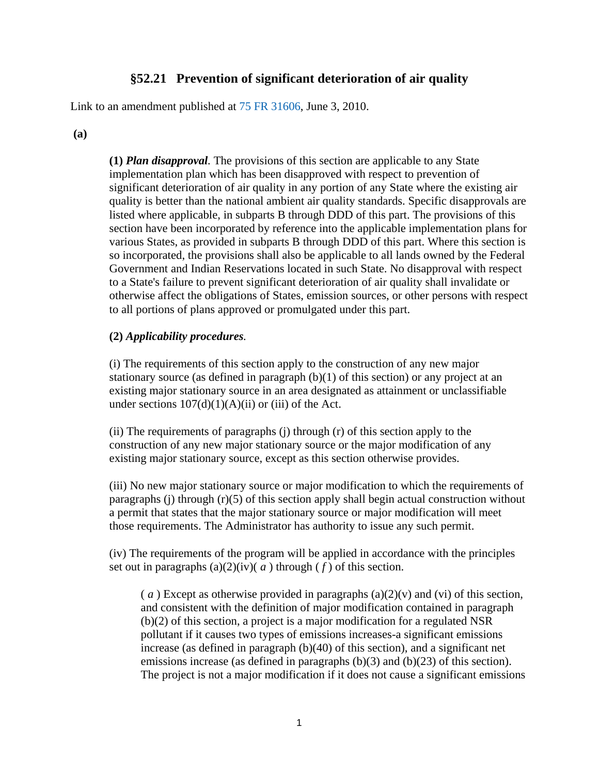# **§52.21 Prevention of significant deterioration of air quality**

Link to an amendment published at [75 FR 31606](http://www.gpo.gov/fdsys/pkg/FR-2010-06-03/pdf/2010-11974.pdf), June 3, 2010.

### **(a)**

**(1)** *Plan disapproval.* The provisions of this section are applicable to any State implementation plan which has been disapproved with respect to prevention of significant deterioration of air quality in any portion of any State where the existing air quality is better than the national ambient air quality standards. Specific disapprovals are listed where applicable, in subparts B through DDD of this part. The provisions of this section have been incorporated by reference into the applicable implementation plans for various States, as provided in subparts B through DDD of this part. Where this section is so incorporated, the provisions shall also be applicable to all lands owned by the Federal Government and Indian Reservations located in such State. No disapproval with respect to a State's failure to prevent significant deterioration of air quality shall invalidate or otherwise affect the obligations of States, emission sources, or other persons with respect to all portions of plans approved or promulgated under this part.

### **(2)** *Applicability procedures.*

(i) The requirements of this section apply to the construction of any new major stationary source (as defined in paragraph (b)(1) of this section) or any project at an existing major stationary source in an area designated as attainment or unclassifiable under sections  $107(d)(1)(A)(ii)$  or (iii) of the Act.

(ii) The requirements of paragraphs (j) through (r) of this section apply to the construction of any new major stationary source or the major modification of any existing major stationary source, except as this section otherwise provides.

(iii) No new major stationary source or major modification to which the requirements of paragraphs (j) through  $(r)(5)$  of this section apply shall begin actual construction without a permit that states that the major stationary source or major modification will meet those requirements. The Administrator has authority to issue any such permit.

(iv) The requirements of the program will be applied in accordance with the principles set out in paragraphs (a)(2)(iv)( $a$ ) through ( $f$ ) of this section.

 $(a)$  Except as otherwise provided in paragraphs  $(a)(2)(v)$  and  $(vi)$  of this section, and consistent with the definition of major modification contained in paragraph (b)(2) of this section, a project is a major modification for a regulated NSR pollutant if it causes two types of emissions increases-a significant emissions increase (as defined in paragraph (b)(40) of this section), and a significant net emissions increase (as defined in paragraphs (b)(3) and (b)(23) of this section). The project is not a major modification if it does not cause a significant emissions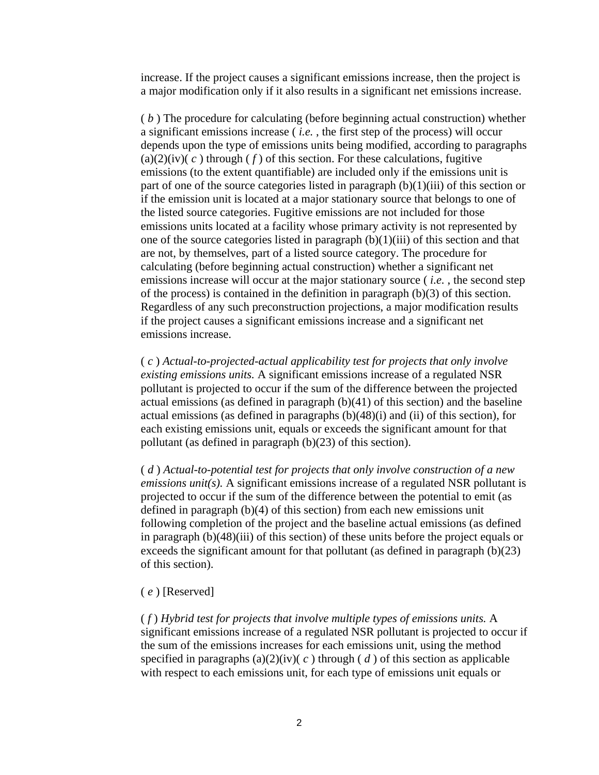increase. If the project causes a significant emissions increase, then the project is a major modification only if it also results in a significant net emissions increase.

( *b* ) The procedure for calculating (before beginning actual construction) whether a significant emissions increase ( *i.e.* , the first step of the process) will occur depends upon the type of emissions units being modified, according to paragraphs (a)(2)(iv)( $c$ ) through ( $f$ ) of this section. For these calculations, fugitive emissions (to the extent quantifiable) are included only if the emissions unit is part of one of the source categories listed in paragraph  $(b)(1)(iii)$  of this section or if the emission unit is located at a major stationary source that belongs to one of the listed source categories. Fugitive emissions are not included for those emissions units located at a facility whose primary activity is not represented by one of the source categories listed in paragraph  $(b)(1)(iii)$  of this section and that are not, by themselves, part of a listed source category. The procedure for calculating (before beginning actual construction) whether a significant net emissions increase will occur at the major stationary source ( *i.e.* , the second step of the process) is contained in the definition in paragraph (b)(3) of this section. Regardless of any such preconstruction projections, a major modification results if the project causes a significant emissions increase and a significant net emissions increase.

( *c* ) *Actual-to-projected-actual applicability test for projects that only involve existing emissions units.* A significant emissions increase of a regulated NSR pollutant is projected to occur if the sum of the difference between the projected actual emissions (as defined in paragraph  $(b)(41)$  of this section) and the baseline actual emissions (as defined in paragraphs (b)(48)(i) and (ii) of this section), for each existing emissions unit, equals or exceeds the significant amount for that pollutant (as defined in paragraph (b)(23) of this section).

( *d* ) *Actual-to-potential test for projects that only involve construction of a new emissions unit(s).* A significant emissions increase of a regulated NSR pollutant is projected to occur if the sum of the difference between the potential to emit (as defined in paragraph (b)(4) of this section) from each new emissions unit following completion of the project and the baseline actual emissions (as defined in paragraph (b)(48)(iii) of this section) of these units before the project equals or exceeds the significant amount for that pollutant (as defined in paragraph (b)(23) of this section).

#### ( *e* ) [Reserved]

( *f* ) *Hybrid test for projects that involve multiple types of emissions units.* A significant emissions increase of a regulated NSR pollutant is projected to occur if the sum of the emissions increases for each emissions unit, using the method specified in paragraphs (a)(2)(iv)( $c$ ) through ( $d$ ) of this section as applicable with respect to each emissions unit, for each type of emissions unit equals or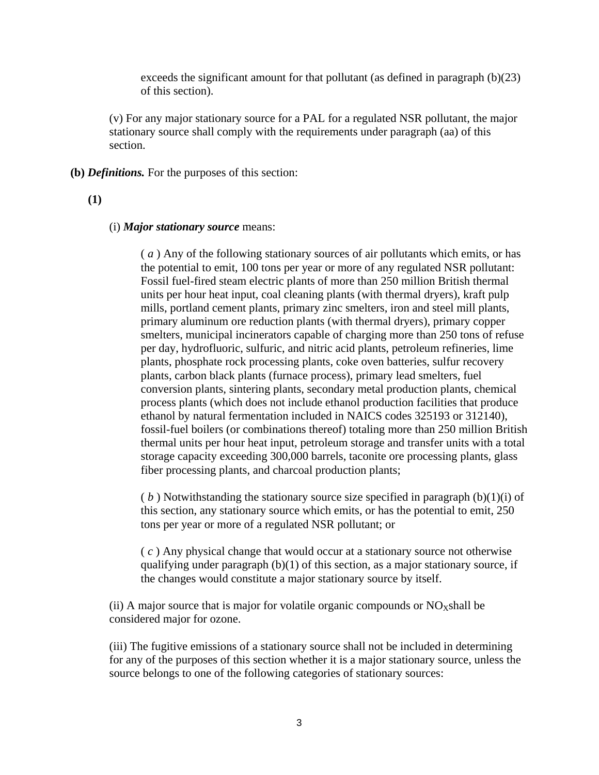exceeds the significant amount for that pollutant (as defined in paragraph  $(b)(23)$ ) of this section).

(v) For any major stationary source for a PAL for a regulated NSR pollutant, the major stationary source shall comply with the requirements under paragraph (aa) of this section.

**(b)** *Definitions.* For the purposes of this section:

#### **(1)**

#### (i) *Major stationary source* means:

( *a* ) Any of the following stationary sources of air pollutants which emits, or has the potential to emit, 100 tons per year or more of any regulated NSR pollutant: Fossil fuel-fired steam electric plants of more than 250 million British thermal units per hour heat input, coal cleaning plants (with thermal dryers), kraft pulp mills, portland cement plants, primary zinc smelters, iron and steel mill plants, primary aluminum ore reduction plants (with thermal dryers), primary copper smelters, municipal incinerators capable of charging more than 250 tons of refuse per day, hydrofluoric, sulfuric, and nitric acid plants, petroleum refineries, lime plants, phosphate rock processing plants, coke oven batteries, sulfur recovery plants, carbon black plants (furnace process), primary lead smelters, fuel conversion plants, sintering plants, secondary metal production plants, chemical process plants (which does not include ethanol production facilities that produce ethanol by natural fermentation included in NAICS codes 325193 or 312140), fossil-fuel boilers (or combinations thereof) totaling more than 250 million British thermal units per hour heat input, petroleum storage and transfer units with a total storage capacity exceeding 300,000 barrels, taconite ore processing plants, glass fiber processing plants, and charcoal production plants;

 $(b)$  Notwithstanding the stationary source size specified in paragraph  $(b)(1)(i)$  of this section, any stationary source which emits, or has the potential to emit, 250 tons per year or more of a regulated NSR pollutant; or

( *c* ) Any physical change that would occur at a stationary source not otherwise qualifying under paragraph (b)(1) of this section, as a major stationary source, if the changes would constitute a major stationary source by itself.

(ii) A major source that is major for volatile organic compounds or  $NO<sub>x</sub>shall$  be considered major for ozone.

(iii) The fugitive emissions of a stationary source shall not be included in determining for any of the purposes of this section whether it is a major stationary source, unless the source belongs to one of the following categories of stationary sources: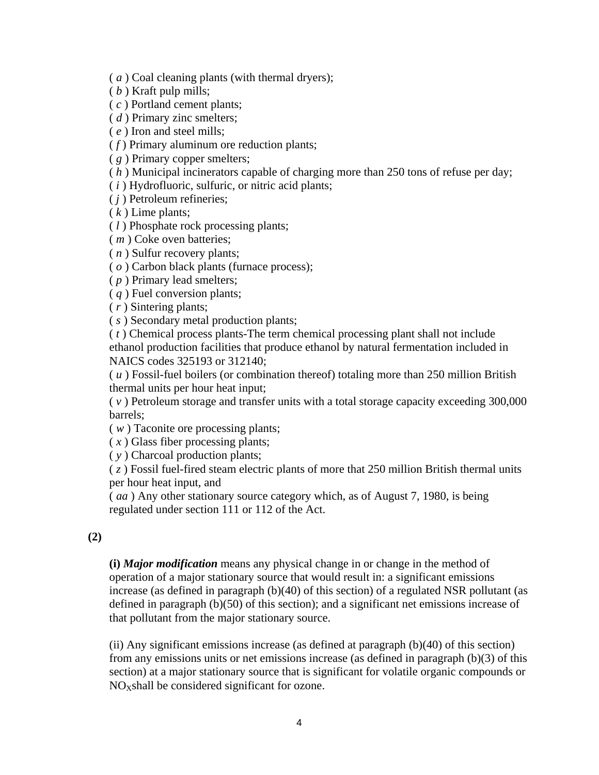( *a* ) Coal cleaning plants (with thermal dryers);

( *b* ) Kraft pulp mills;

( *c* ) Portland cement plants;

( *d* ) Primary zinc smelters;

( *e* ) Iron and steel mills;

 $(f)$  Primary aluminum ore reduction plants;

( *g* ) Primary copper smelters;

( *h* ) Municipal incinerators capable of charging more than 250 tons of refuse per day;

( *i* ) Hydrofluoric, sulfuric, or nitric acid plants;

( *j* ) Petroleum refineries;

( *k* ) Lime plants;

( *l* ) Phosphate rock processing plants;

( *m* ) Coke oven batteries;

( *n* ) Sulfur recovery plants;

( *o* ) Carbon black plants (furnace process);

( *p* ) Primary lead smelters;

( *q* ) Fuel conversion plants;

( *r* ) Sintering plants;

( *s* ) Secondary metal production plants;

( *t* ) Chemical process plants-The term chemical processing plant shall not include ethanol production facilities that produce ethanol by natural fermentation included in NAICS codes 325193 or 312140;

( *u* ) Fossil-fuel boilers (or combination thereof) totaling more than 250 million British thermal units per hour heat input;

( *v* ) Petroleum storage and transfer units with a total storage capacity exceeding 300,000 barrels;

( *w* ) Taconite ore processing plants;

( *x* ) Glass fiber processing plants;

( *y* ) Charcoal production plants;

( *z* ) Fossil fuel-fired steam electric plants of more that 250 million British thermal units per hour heat input, and

( *aa* ) Any other stationary source category which, as of August 7, 1980, is being regulated under section 111 or 112 of the Act.

# **(2)**

**(i)** *Major modification* means any physical change in or change in the method of operation of a major stationary source that would result in: a significant emissions increase (as defined in paragraph (b)(40) of this section) of a regulated NSR pollutant (as defined in paragraph (b)(50) of this section); and a significant net emissions increase of that pollutant from the major stationary source.

(ii) Any significant emissions increase (as defined at paragraph (b)(40) of this section) from any emissions units or net emissions increase (as defined in paragraph (b)(3) of this section) at a major stationary source that is significant for volatile organic compounds or  $NO<sub>x</sub> shall be considered significant for  $ozone$ .$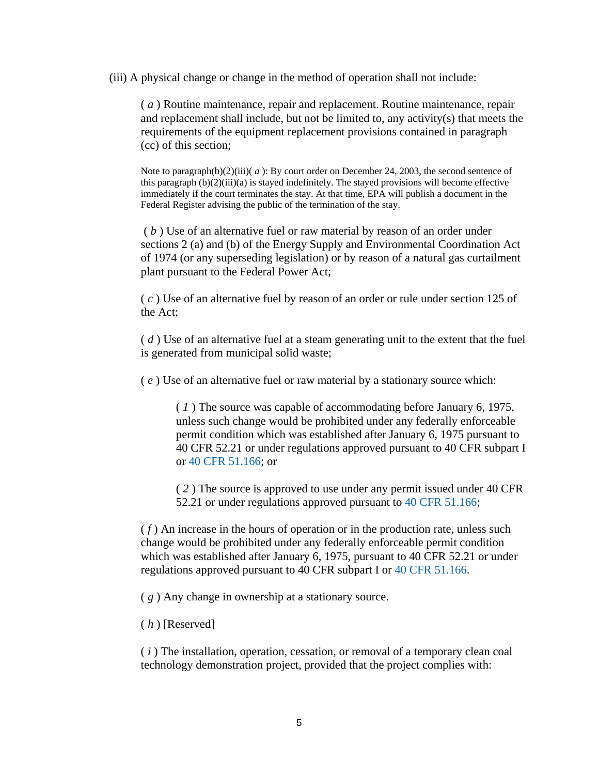(iii) A physical change or change in the method of operation shall not include:

( *a* ) Routine maintenance, repair and replacement. Routine maintenance, repair and replacement shall include, but not be limited to, any activity(s) that meets the requirements of the equipment replacement provisions contained in paragraph (cc) of this section;

Note to paragraph(b)(2)(iii)( *a* ): By court order on December 24, 2003, the second sentence of this paragraph  $(b)(2)(iii)(a)$  is stayed indefinitely. The stayed provisions will become effective immediately if the court terminates the stay. At that time, EPA will publish a document in the Federal Register advising the public of the termination of the stay.

 ( *b* ) Use of an alternative fuel or raw material by reason of an order under sections 2 (a) and (b) of the Energy Supply and Environmental Coordination Act of 1974 (or any superseding legislation) or by reason of a natural gas curtailment plant pursuant to the Federal Power Act;

( *c* ) Use of an alternative fuel by reason of an order or rule under section 125 of the Act;

( *d* ) Use of an alternative fuel at a steam generating unit to the extent that the fuel is generated from municipal solid waste;

( *e* ) Use of an alternative fuel or raw material by a stationary source which:

( *1* ) The source was capable of accommodating before January 6, 1975, unless such change would be prohibited under any federally enforceable permit condition which was established after January 6, 1975 pursuant to 40 CFR 52.21 or under regulations approved pursuant to 40 CFR subpart I or 40 CFR 51.166; or

( *2* ) The source is approved to use under any permit issued under 40 CFR 52.21 or under regulations approved pursuant to 40 CFR 51.166;

 $(f)$  An increase in the hours of operation or in the production rate, unless such change would be prohibited under any federally enforceable permit condition which was established after January 6, 1975, pursuant to 40 CFR 52.21 or under regulations approved pursuant to 40 CFR subpart I or 40 CFR 51.166.

( *g* ) Any change in ownership at a stationary source.

( *h* ) [Reserved]

( *i* ) The installation, operation, cessation, or removal of a temporary clean coal technology demonstration project, provided that the project complies with: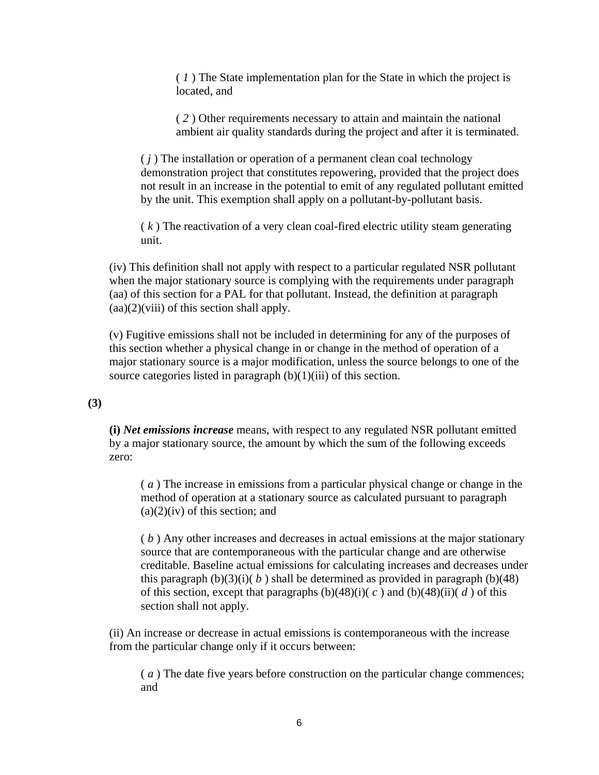( *1* ) The State implementation plan for the State in which the project is located, and

( *2* ) Other requirements necessary to attain and maintain the national ambient air quality standards during the project and after it is terminated.

( *j* ) The installation or operation of a permanent clean coal technology demonstration project that constitutes repowering, provided that the project does not result in an increase in the potential to emit of any regulated pollutant emitted by the unit. This exemption shall apply on a pollutant-by-pollutant basis.

( *k* ) The reactivation of a very clean coal-fired electric utility steam generating unit.

(iv) This definition shall not apply with respect to a particular regulated NSR pollutant when the major stationary source is complying with the requirements under paragraph (aa) of this section for a PAL for that pollutant. Instead, the definition at paragraph  $(aa)(2)(viii)$  of this section shall apply.

(v) Fugitive emissions shall not be included in determining for any of the purposes of this section whether a physical change in or change in the method of operation of a major stationary source is a major modification, unless the source belongs to one of the source categories listed in paragraph  $(b)(1)(iii)$  of this section.

### **(3)**

**(i)** *Net emissions increase* means, with respect to any regulated NSR pollutant emitted by a major stationary source, the amount by which the sum of the following exceeds zero:

( *a* ) The increase in emissions from a particular physical change or change in the method of operation at a stationary source as calculated pursuant to paragraph  $(a)(2)(iv)$  of this section; and

( *b* ) Any other increases and decreases in actual emissions at the major stationary source that are contemporaneous with the particular change and are otherwise creditable. Baseline actual emissions for calculating increases and decreases under this paragraph  $(b)(3)(i)$  *b*  $)$  shall be determined as provided in paragraph  $(b)(48)$ of this section, except that paragraphs  $(b)(48)(i)$  *c*) and  $(b)(48)(ii)$  *d*) of this section shall not apply.

(ii) An increase or decrease in actual emissions is contemporaneous with the increase from the particular change only if it occurs between:

( *a* ) The date five years before construction on the particular change commences; and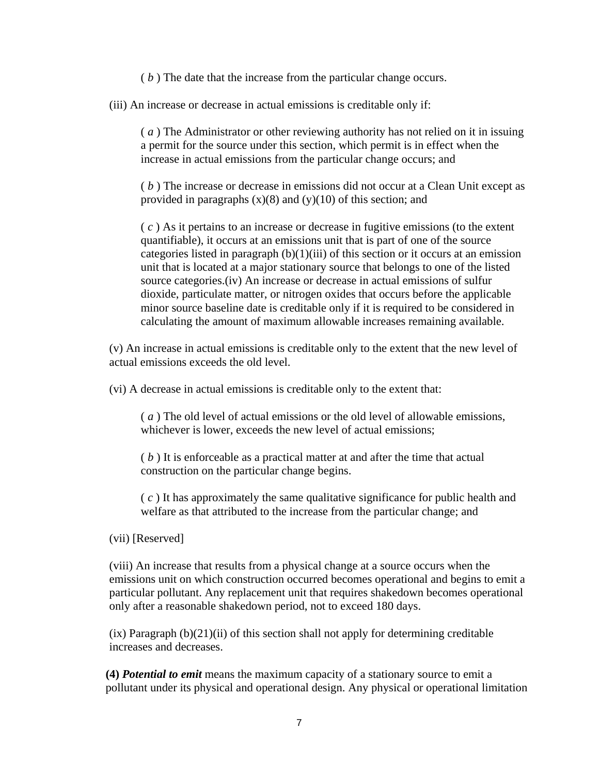( *b* ) The date that the increase from the particular change occurs.

(iii) An increase or decrease in actual emissions is creditable only if:

( *a* ) The Administrator or other reviewing authority has not relied on it in issuing a permit for the source under this section, which permit is in effect when the increase in actual emissions from the particular change occurs; and

( *b* ) The increase or decrease in emissions did not occur at a Clean Unit except as provided in paragraphs  $(x)(8)$  and  $(y)(10)$  of this section; and

( *c* ) As it pertains to an increase or decrease in fugitive emissions (to the extent quantifiable), it occurs at an emissions unit that is part of one of the source categories listed in paragraph  $(b)(1)(iii)$  of this section or it occurs at an emission unit that is located at a major stationary source that belongs to one of the listed source categories.(iv) An increase or decrease in actual emissions of sulfur dioxide, particulate matter, or nitrogen oxides that occurs before the applicable minor source baseline date is creditable only if it is required to be considered in calculating the amount of maximum allowable increases remaining available.

(v) An increase in actual emissions is creditable only to the extent that the new level of actual emissions exceeds the old level.

(vi) A decrease in actual emissions is creditable only to the extent that:

( *a* ) The old level of actual emissions or the old level of allowable emissions, whichever is lower, exceeds the new level of actual emissions;

( *b* ) It is enforceable as a practical matter at and after the time that actual construction on the particular change begins.

( *c* ) It has approximately the same qualitative significance for public health and welfare as that attributed to the increase from the particular change; and

(vii) [Reserved]

(viii) An increase that results from a physical change at a source occurs when the emissions unit on which construction occurred becomes operational and begins to emit a particular pollutant. Any replacement unit that requires shakedown becomes operational only after a reasonable shakedown period, not to exceed 180 days.

 $(ix)$  Paragraph  $(b)(21)(ii)$  of this section shall not apply for determining creditable increases and decreases.

**(4)** *Potential to emit* means the maximum capacity of a stationary source to emit a pollutant under its physical and operational design. Any physical or operational limitation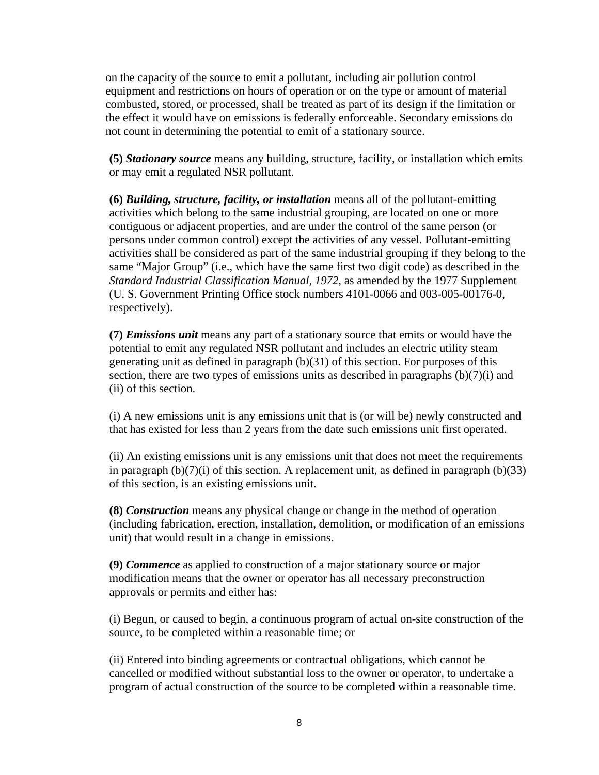on the capacity of the source to emit a pollutant, including air pollution control equipment and restrictions on hours of operation or on the type or amount of material combusted, stored, or processed, shall be treated as part of its design if the limitation or the effect it would have on emissions is federally enforceable. Secondary emissions do not count in determining the potential to emit of a stationary source.

**(5)** *Stationary source* means any building, structure, facility, or installation which emits or may emit a regulated NSR pollutant.

**(6)** *Building, structure, facility, or installation* means all of the pollutant-emitting activities which belong to the same industrial grouping, are located on one or more contiguous or adjacent properties, and are under the control of the same person (or persons under common control) except the activities of any vessel. Pollutant-emitting activities shall be considered as part of the same industrial grouping if they belong to the same "Major Group" (i.e., which have the same first two digit code) as described in the *Standard Industrial Classification Manual, 1972,* as amended by the 1977 Supplement (U. S. Government Printing Office stock numbers 4101-0066 and 003-005-00176-0, respectively).

**(7)** *Emissions unit* means any part of a stationary source that emits or would have the potential to emit any regulated NSR pollutant and includes an electric utility steam generating unit as defined in paragraph (b)(31) of this section. For purposes of this section, there are two types of emissions units as described in paragraphs (b)(7)(i) and (ii) of this section.

(i) A new emissions unit is any emissions unit that is (or will be) newly constructed and that has existed for less than 2 years from the date such emissions unit first operated.

(ii) An existing emissions unit is any emissions unit that does not meet the requirements in paragraph  $(b)(7)(i)$  of this section. A replacement unit, as defined in paragraph  $(b)(33)$ of this section, is an existing emissions unit.

**(8)** *Construction* means any physical change or change in the method of operation (including fabrication, erection, installation, demolition, or modification of an emissions unit) that would result in a change in emissions.

**(9)** *Commence* as applied to construction of a major stationary source or major modification means that the owner or operator has all necessary preconstruction approvals or permits and either has:

(i) Begun, or caused to begin, a continuous program of actual on-site construction of the source, to be completed within a reasonable time; or

(ii) Entered into binding agreements or contractual obligations, which cannot be cancelled or modified without substantial loss to the owner or operator, to undertake a program of actual construction of the source to be completed within a reasonable time.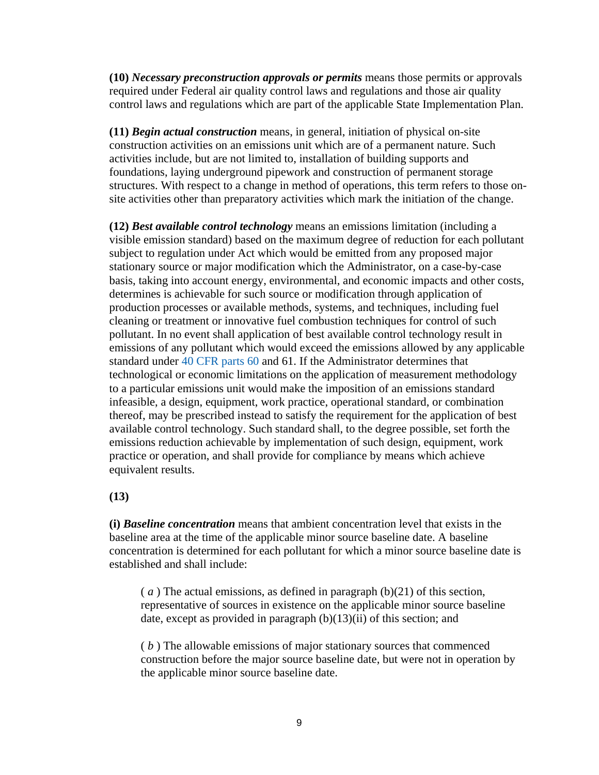**(10)** *Necessary preconstruction approvals or permits* means those permits or approvals required under Federal air quality control laws and regulations and those air quality control laws and regulations which are part of the applicable State Implementation Plan.

**(11)** *Begin actual construction* means, in general, initiation of physical on-site construction activities on an emissions unit which are of a permanent nature. Such activities include, but are not limited to, installation of building supports and foundations, laying underground pipework and construction of permanent storage structures. With respect to a change in method of operations, this term refers to those onsite activities other than preparatory activities which mark the initiation of the change.

**(12)** *Best available control technology* means an emissions limitation (including a visible emission standard) based on the maximum degree of reduction for each pollutant subject to regulation under Act which would be emitted from any proposed major stationary source or major modification which the Administrator, on a case-by-case basis, taking into account energy, environmental, and economic impacts and other costs, determines is achievable for such source or modification through application of production processes or available methods, systems, and techniques, including fuel cleaning or treatment or innovative fuel combustion techniques for control of such pollutant. In no event shall application of best available control technology result in emissions of any pollutant which would exceed the emissions allowed by any applicable standard under 40 CFR parts 60 and 61. If the Administrator determines that technological or economic limitations on the application of measurement methodology to a particular emissions unit would make the imposition of an emissions standard infeasible, a design, equipment, work practice, operational standard, or combination thereof, may be prescribed instead to satisfy the requirement for the application of best available control technology. Such standard shall, to the degree possible, set forth the emissions reduction achievable by implementation of such design, equipment, work practice or operation, and shall provide for compliance by means which achieve equivalent results.

#### **(13)**

**(i)** *Baseline concentration* means that ambient concentration level that exists in the baseline area at the time of the applicable minor source baseline date. A baseline concentration is determined for each pollutant for which a minor source baseline date is established and shall include:

( *a* ) The actual emissions, as defined in paragraph (b)(21) of this section, representative of sources in existence on the applicable minor source baseline date, except as provided in paragraph  $(b)(13)(ii)$  of this section; and

( *b* ) The allowable emissions of major stationary sources that commenced construction before the major source baseline date, but were not in operation by the applicable minor source baseline date.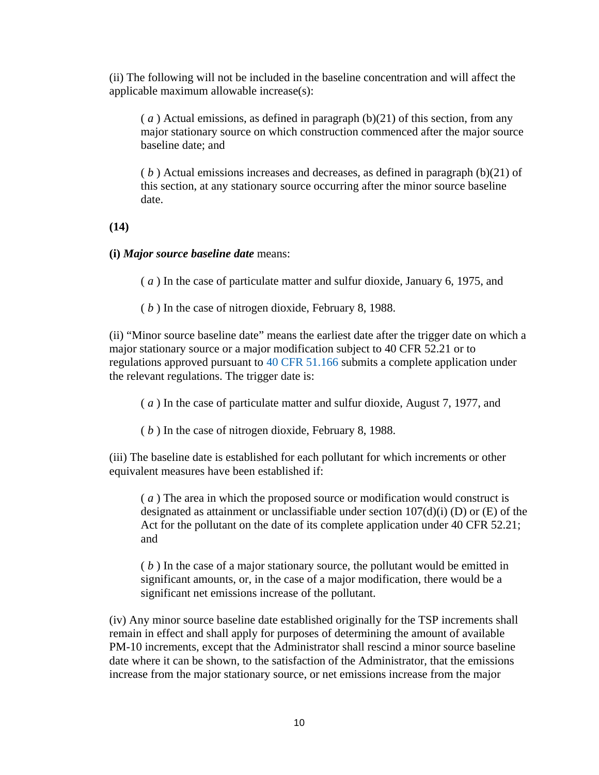(ii) The following will not be included in the baseline concentration and will affect the applicable maximum allowable increase(s):

( *a* ) Actual emissions, as defined in paragraph (b)(21) of this section, from any major stationary source on which construction commenced after the major source baseline date; and

( *b* ) Actual emissions increases and decreases, as defined in paragraph (b)(21) of this section, at any stationary source occurring after the minor source baseline date.

#### **(14)**

#### **(i)** *Major source baseline date* means:

( *a* ) In the case of particulate matter and sulfur dioxide, January 6, 1975, and

( *b* ) In the case of nitrogen dioxide, February 8, 1988.

(ii) "Minor source baseline date" means the earliest date after the trigger date on which a major stationary source or a major modification subject to 40 CFR 52.21 or to regulations approved pursuant to 40 CFR 51.166 submits a complete application under the relevant regulations. The trigger date is:

( *a* ) In the case of particulate matter and sulfur dioxide, August 7, 1977, and

( *b* ) In the case of nitrogen dioxide, February 8, 1988.

(iii) The baseline date is established for each pollutant for which increments or other equivalent measures have been established if:

( *a* ) The area in which the proposed source or modification would construct is designated as attainment or unclassifiable under section  $107(d)(i)$  (D) or (E) of the Act for the pollutant on the date of its complete application under 40 CFR 52.21; and

( *b* ) In the case of a major stationary source, the pollutant would be emitted in significant amounts, or, in the case of a major modification, there would be a significant net emissions increase of the pollutant.

(iv) Any minor source baseline date established originally for the TSP increments shall remain in effect and shall apply for purposes of determining the amount of available PM-10 increments, except that the Administrator shall rescind a minor source baseline date where it can be shown, to the satisfaction of the Administrator, that the emissions increase from the major stationary source, or net emissions increase from the major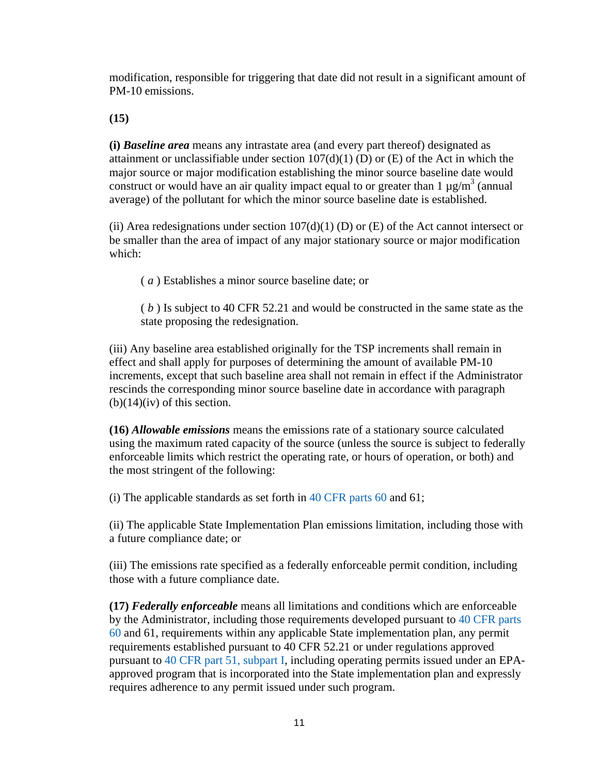modification, responsible for triggering that date did not result in a significant amount of PM-10 emissions.

**(15)** 

**(i)** *Baseline area* means any intrastate area (and every part thereof) designated as attainment or unclassifiable under section  $107(d)(1)$  (D) or (E) of the Act in which the major source or major modification establishing the minor source baseline date would construct or would have an air quality impact equal to or greater than  $1 \mu g/m^3$  (annual average) of the pollutant for which the minor source baseline date is established.

(ii) Area redesignations under section  $107(d)(1)$  (D) or (E) of the Act cannot intersect or be smaller than the area of impact of any major stationary source or major modification which:

( *a* ) Establishes a minor source baseline date; or

( *b* ) Is subject to 40 CFR 52.21 and would be constructed in the same state as the state proposing the redesignation.

(iii) Any baseline area established originally for the TSP increments shall remain in effect and shall apply for purposes of determining the amount of available PM-10 increments, except that such baseline area shall not remain in effect if the Administrator rescinds the corresponding minor source baseline date in accordance with paragraph  $(b)(14)(iv)$  of this section.

**(16)** *Allowable emissions* means the emissions rate of a stationary source calculated using the maximum rated capacity of the source (unless the source is subject to federally enforceable limits which restrict the operating rate, or hours of operation, or both) and the most stringent of the following:

(i) The applicable standards as set forth in  $40$  CFR parts  $60$  and  $61$ ;

(ii) The applicable State Implementation Plan emissions limitation, including those with a future compliance date; or

(iii) The emissions rate specified as a federally enforceable permit condition, including those with a future compliance date.

**(17)** *Federally enforceable* means all limitations and conditions which are enforceable by the Administrator, including those requirements developed pursuant to 40 CFR parts 60 and 61, requirements within any applicable State implementation plan, any permit requirements established pursuant to 40 CFR 52.21 or under regulations approved pursuant to 40 CFR part 51, subpart I, including operating permits issued under an EPAapproved program that is incorporated into the State implementation plan and expressly requires adherence to any permit issued under such program.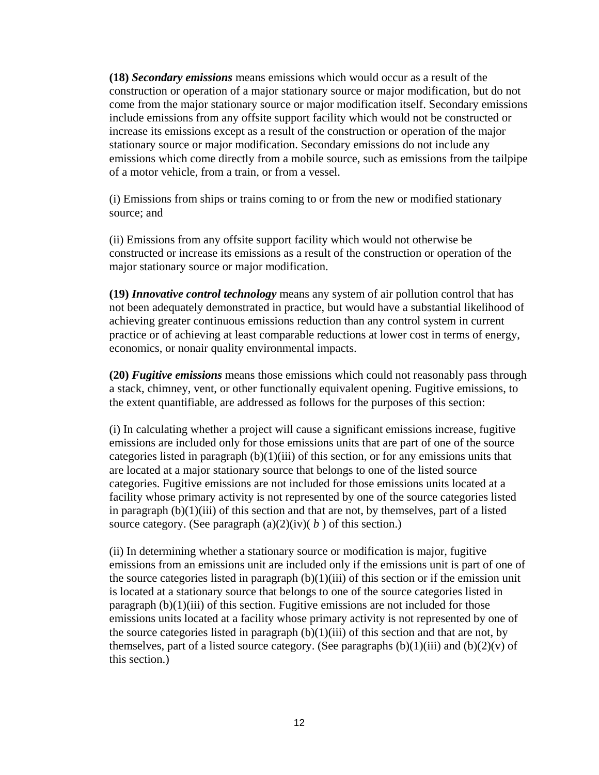**(18)** *Secondary emissions* means emissions which would occur as a result of the construction or operation of a major stationary source or major modification, but do not come from the major stationary source or major modification itself. Secondary emissions include emissions from any offsite support facility which would not be constructed or increase its emissions except as a result of the construction or operation of the major stationary source or major modification. Secondary emissions do not include any emissions which come directly from a mobile source, such as emissions from the tailpipe of a motor vehicle, from a train, or from a vessel.

(i) Emissions from ships or trains coming to or from the new or modified stationary source; and

(ii) Emissions from any offsite support facility which would not otherwise be constructed or increase its emissions as a result of the construction or operation of the major stationary source or major modification.

**(19)** *Innovative control technology* means any system of air pollution control that has not been adequately demonstrated in practice, but would have a substantial likelihood of achieving greater continuous emissions reduction than any control system in current practice or of achieving at least comparable reductions at lower cost in terms of energy, economics, or nonair quality environmental impacts.

**(20)** *Fugitive emissions* means those emissions which could not reasonably pass through a stack, chimney, vent, or other functionally equivalent opening. Fugitive emissions, to the extent quantifiable, are addressed as follows for the purposes of this section:

(i) In calculating whether a project will cause a significant emissions increase, fugitive emissions are included only for those emissions units that are part of one of the source categories listed in paragraph  $(b)(1)(iii)$  of this section, or for any emissions units that are located at a major stationary source that belongs to one of the listed source categories. Fugitive emissions are not included for those emissions units located at a facility whose primary activity is not represented by one of the source categories listed in paragraph  $(b)(1)(iii)$  of this section and that are not, by themselves, part of a listed source category. (See paragraph (a)(2)(iv)( *b* ) of this section.)

(ii) In determining whether a stationary source or modification is major, fugitive emissions from an emissions unit are included only if the emissions unit is part of one of the source categories listed in paragraph  $(b)(1)(iii)$  of this section or if the emission unit is located at a stationary source that belongs to one of the source categories listed in paragraph (b)(1)(iii) of this section. Fugitive emissions are not included for those emissions units located at a facility whose primary activity is not represented by one of the source categories listed in paragraph  $(b)(1)(iii)$  of this section and that are not, by themselves, part of a listed source category. (See paragraphs  $(b)(1)(iii)$  and  $(b)(2)(v)$  of this section.)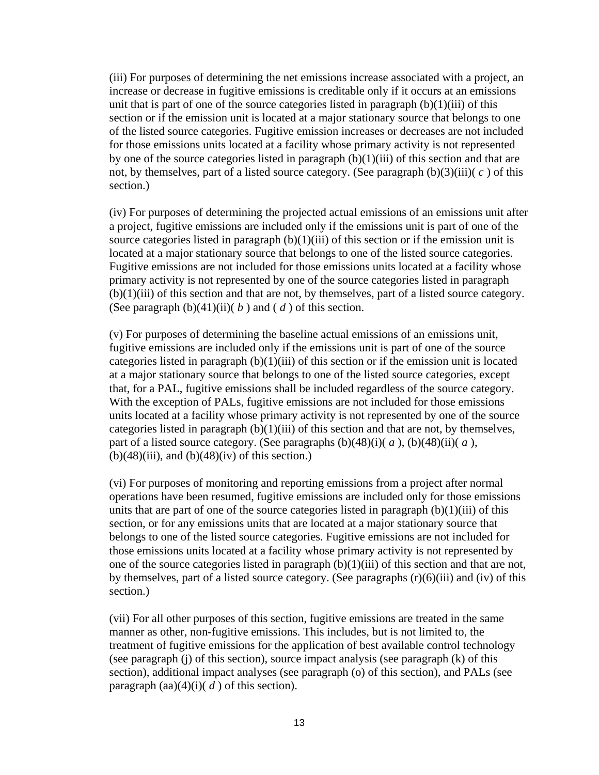(iii) For purposes of determining the net emissions increase associated with a project, an increase or decrease in fugitive emissions is creditable only if it occurs at an emissions unit that is part of one of the source categories listed in paragraph  $(b)(1)(iii)$  of this section or if the emission unit is located at a major stationary source that belongs to one of the listed source categories. Fugitive emission increases or decreases are not included for those emissions units located at a facility whose primary activity is not represented by one of the source categories listed in paragraph  $(b)(1)(iii)$  of this section and that are not, by themselves, part of a listed source category. (See paragraph (b)(3)(iii)( *c* ) of this section.)

(iv) For purposes of determining the projected actual emissions of an emissions unit after a project, fugitive emissions are included only if the emissions unit is part of one of the source categories listed in paragraph  $(b)(1)(iii)$  of this section or if the emission unit is located at a major stationary source that belongs to one of the listed source categories. Fugitive emissions are not included for those emissions units located at a facility whose primary activity is not represented by one of the source categories listed in paragraph (b)(1)(iii) of this section and that are not, by themselves, part of a listed source category. (See paragraph  $(b)(41)(ii)$  *b*) and (*d*) of this section.

(v) For purposes of determining the baseline actual emissions of an emissions unit, fugitive emissions are included only if the emissions unit is part of one of the source categories listed in paragraph  $(b)(1)(iii)$  of this section or if the emission unit is located at a major stationary source that belongs to one of the listed source categories, except that, for a PAL, fugitive emissions shall be included regardless of the source category. With the exception of PALs, fugitive emissions are not included for those emissions units located at a facility whose primary activity is not represented by one of the source categories listed in paragraph  $(b)(1)(iii)$  of this section and that are not, by themselves, part of a listed source category. (See paragraphs (b)(48)(i)( *a* ), (b)(48)(ii)( *a* ),  $(b)(48)(iii)$ , and  $(b)(48)(iv)$  of this section.)

(vi) For purposes of monitoring and reporting emissions from a project after normal operations have been resumed, fugitive emissions are included only for those emissions units that are part of one of the source categories listed in paragraph  $(b)(1)(iii)$  of this section, or for any emissions units that are located at a major stationary source that belongs to one of the listed source categories. Fugitive emissions are not included for those emissions units located at a facility whose primary activity is not represented by one of the source categories listed in paragraph  $(b)(1)(iii)$  of this section and that are not, by themselves, part of a listed source category. (See paragraphs  $(r)(6)(iii)$  and (iv) of this section.)

(vii) For all other purposes of this section, fugitive emissions are treated in the same manner as other, non-fugitive emissions. This includes, but is not limited to, the treatment of fugitive emissions for the application of best available control technology (see paragraph (j) of this section), source impact analysis (see paragraph (k) of this section), additional impact analyses (see paragraph (o) of this section), and PALs (see paragraph  $(aa)(4)(i)(d)$  of this section).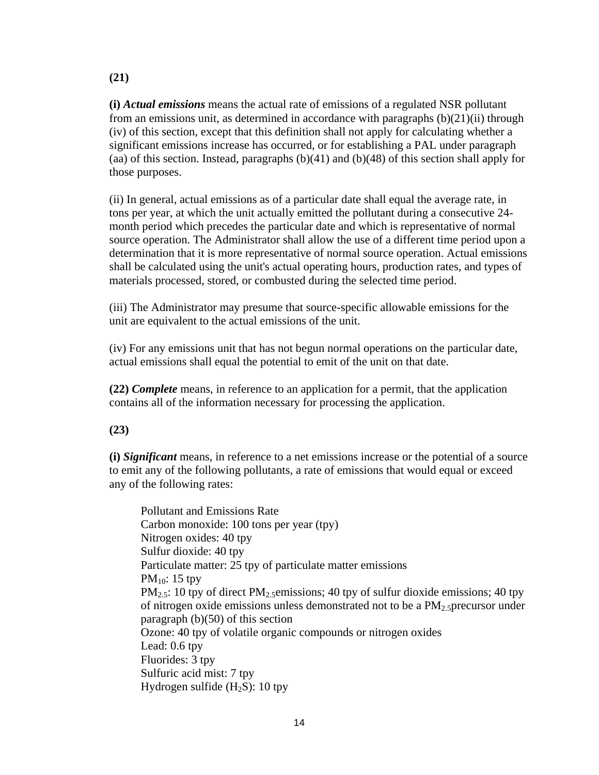**(21)** 

**(i)** *Actual emissions* means the actual rate of emissions of a regulated NSR pollutant from an emissions unit, as determined in accordance with paragraphs (b)(21)(ii) through (iv) of this section, except that this definition shall not apply for calculating whether a significant emissions increase has occurred, or for establishing a PAL under paragraph (aa) of this section. Instead, paragraphs  $(b)(41)$  and  $(b)(48)$  of this section shall apply for those purposes.

(ii) In general, actual emissions as of a particular date shall equal the average rate, in tons per year, at which the unit actually emitted the pollutant during a consecutive 24 month period which precedes the particular date and which is representative of normal source operation. The Administrator shall allow the use of a different time period upon a determination that it is more representative of normal source operation. Actual emissions shall be calculated using the unit's actual operating hours, production rates, and types of materials processed, stored, or combusted during the selected time period.

(iii) The Administrator may presume that source-specific allowable emissions for the unit are equivalent to the actual emissions of the unit.

(iv) For any emissions unit that has not begun normal operations on the particular date, actual emissions shall equal the potential to emit of the unit on that date.

**(22)** *Complete* means, in reference to an application for a permit, that the application contains all of the information necessary for processing the application.

**(23)** 

**(i)** *Significant* means, in reference to a net emissions increase or the potential of a source to emit any of the following pollutants, a rate of emissions that would equal or exceed any of the following rates:

Pollutant and Emissions Rate Carbon monoxide: 100 tons per year (tpy) Nitrogen oxides: 40 tpy Sulfur dioxide: 40 tpy Particulate matter: 25 tpy of particulate matter emissions **PM**<sub>10</sub>: 15 tpy  $PM_{2.5}$ : 10 tpy of direct  $PM_{2.5}$ emissions; 40 tpy of sulfur dioxide emissions; 40 tpy of nitrogen oxide emissions unless demonstrated not to be a  $PM<sub>2.5</sub>$ precursor under paragraph (b)(50) of this section Ozone: 40 tpy of volatile organic compounds or nitrogen oxides Lead: 0.6 tpy Fluorides: 3 tpy Sulfuric acid mist: 7 tpy Hydrogen sulfide  $(H_2S)$ : 10 tpy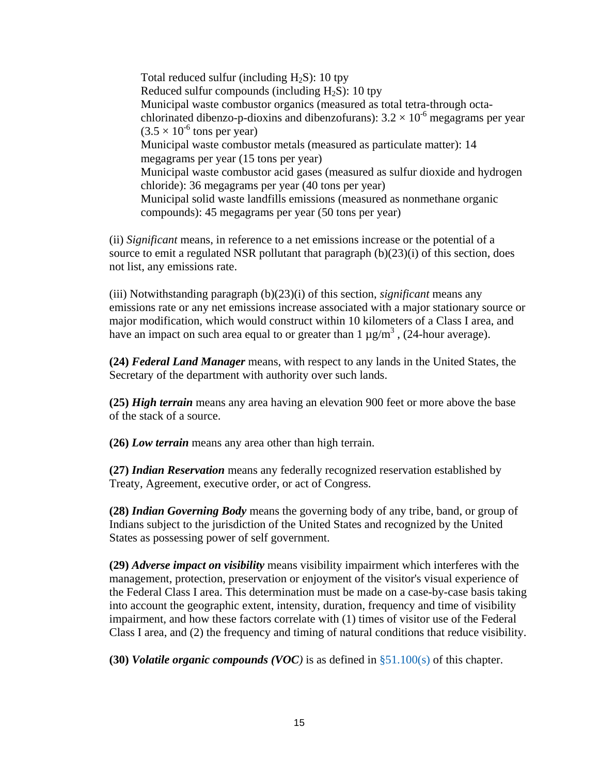Total reduced sulfur (including  $H_2S$ ): 10 tpy Reduced sulfur compounds (including  $H_2S$ ): 10 tpy Municipal waste combustor organics (measured as total tetra-through octachlorinated dibenzo-p-dioxins and dibenzofurans):  $3.2 \times 10^{-6}$  megagrams per year  $(3.5 \times 10^{-6}$  tons per year) Municipal waste combustor metals (measured as particulate matter): 14 megagrams per year (15 tons per year) Municipal waste combustor acid gases (measured as sulfur dioxide and hydrogen chloride): 36 megagrams per year (40 tons per year) Municipal solid waste landfills emissions (measured as nonmethane organic compounds): 45 megagrams per year (50 tons per year)

(ii) *Significant* means, in reference to a net emissions increase or the potential of a source to emit a regulated NSR pollutant that paragraph (b)(23)(i) of this section, does not list, any emissions rate.

(iii) Notwithstanding paragraph (b)(23)(i) of this section, *significant* means any emissions rate or any net emissions increase associated with a major stationary source or major modification, which would construct within 10 kilometers of a Class I area, and have an impact on such area equal to or greater than  $1 \mu g/m^3$ , (24-hour average).

**(24)** *Federal Land Manager* means, with respect to any lands in the United States, the Secretary of the department with authority over such lands.

**(25)** *High terrain* means any area having an elevation 900 feet or more above the base of the stack of a source.

**(26)** *Low terrain* means any area other than high terrain.

**(27)** *Indian Reservation* means any federally recognized reservation established by Treaty, Agreement, executive order, or act of Congress.

**(28)** *Indian Governing Body* means the governing body of any tribe, band, or group of Indians subject to the jurisdiction of the United States and recognized by the United States as possessing power of self government.

**(29)** *Adverse impact on visibility* means visibility impairment which interferes with the management, protection, preservation or enjoyment of the visitor's visual experience of the Federal Class I area. This determination must be made on a case-by-case basis taking into account the geographic extent, intensity, duration, frequency and time of visibility impairment, and how these factors correlate with (1) times of visitor use of the Federal Class I area, and (2) the frequency and timing of natural conditions that reduce visibility.

**(30)** *Volatile organic compounds (VOC)* is as defined in §51.100(s) of this chapter.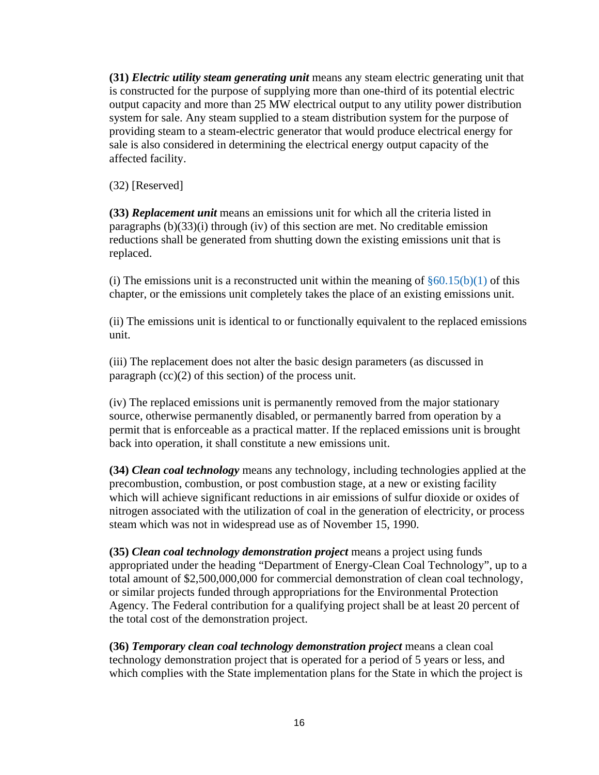**(31)** *Electric utility steam generating unit* means any steam electric generating unit that is constructed for the purpose of supplying more than one-third of its potential electric output capacity and more than 25 MW electrical output to any utility power distribution system for sale. Any steam supplied to a steam distribution system for the purpose of providing steam to a steam-electric generator that would produce electrical energy for sale is also considered in determining the electrical energy output capacity of the affected facility.

(32) [Reserved]

**(33)** *Replacement unit* means an emissions unit for which all the criteria listed in paragraphs (b)(33)(i) through (iv) of this section are met. No creditable emission reductions shall be generated from shutting down the existing emissions unit that is replaced.

(i) The emissions unit is a reconstructed unit within the meaning of  $\S 60.15(b)(1)$  of this chapter, or the emissions unit completely takes the place of an existing emissions unit.

(ii) The emissions unit is identical to or functionally equivalent to the replaced emissions unit.

(iii) The replacement does not alter the basic design parameters (as discussed in paragraph (cc)(2) of this section) of the process unit.

(iv) The replaced emissions unit is permanently removed from the major stationary source, otherwise permanently disabled, or permanently barred from operation by a permit that is enforceable as a practical matter. If the replaced emissions unit is brought back into operation, it shall constitute a new emissions unit.

**(34)** *Clean coal technology* means any technology, including technologies applied at the precombustion, combustion, or post combustion stage, at a new or existing facility which will achieve significant reductions in air emissions of sulfur dioxide or oxides of nitrogen associated with the utilization of coal in the generation of electricity, or process steam which was not in widespread use as of November 15, 1990.

**(35)** *Clean coal technology demonstration project* means a project using funds appropriated under the heading "Department of Energy-Clean Coal Technology", up to a total amount of \$2,500,000,000 for commercial demonstration of clean coal technology, or similar projects funded through appropriations for the Environmental Protection Agency. The Federal contribution for a qualifying project shall be at least 20 percent of the total cost of the demonstration project.

**(36)** *Temporary clean coal technology demonstration project* means a clean coal technology demonstration project that is operated for a period of 5 years or less, and which complies with the State implementation plans for the State in which the project is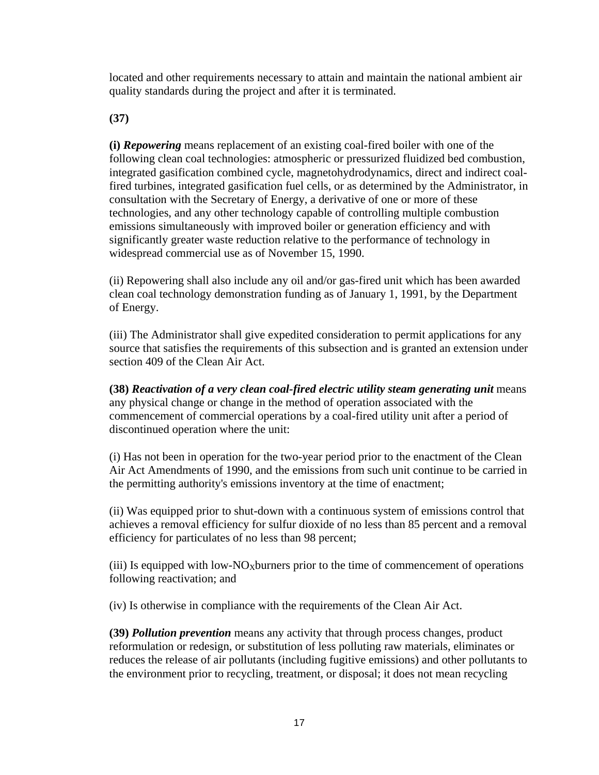located and other requirements necessary to attain and maintain the national ambient air quality standards during the project and after it is terminated.

## **(37)**

**(i)** *Repowering* means replacement of an existing coal-fired boiler with one of the following clean coal technologies: atmospheric or pressurized fluidized bed combustion, integrated gasification combined cycle, magnetohydrodynamics, direct and indirect coalfired turbines, integrated gasification fuel cells, or as determined by the Administrator, in consultation with the Secretary of Energy, a derivative of one or more of these technologies, and any other technology capable of controlling multiple combustion emissions simultaneously with improved boiler or generation efficiency and with significantly greater waste reduction relative to the performance of technology in widespread commercial use as of November 15, 1990.

(ii) Repowering shall also include any oil and/or gas-fired unit which has been awarded clean coal technology demonstration funding as of January 1, 1991, by the Department of Energy.

(iii) The Administrator shall give expedited consideration to permit applications for any source that satisfies the requirements of this subsection and is granted an extension under section 409 of the Clean Air Act.

**(38)** *Reactivation of a very clean coal-fired electric utility steam generating unit* means any physical change or change in the method of operation associated with the commencement of commercial operations by a coal-fired utility unit after a period of discontinued operation where the unit:

(i) Has not been in operation for the two-year period prior to the enactment of the Clean Air Act Amendments of 1990, and the emissions from such unit continue to be carried in the permitting authority's emissions inventory at the time of enactment;

(ii) Was equipped prior to shut-down with a continuous system of emissions control that achieves a removal efficiency for sulfur dioxide of no less than 85 percent and a removal efficiency for particulates of no less than 98 percent;

(iii) Is equipped with low- $NO_X$ burners prior to the time of commencement of operations following reactivation; and

(iv) Is otherwise in compliance with the requirements of the Clean Air Act.

**(39)** *Pollution prevention* means any activity that through process changes, product reformulation or redesign, or substitution of less polluting raw materials, eliminates or reduces the release of air pollutants (including fugitive emissions) and other pollutants to the environment prior to recycling, treatment, or disposal; it does not mean recycling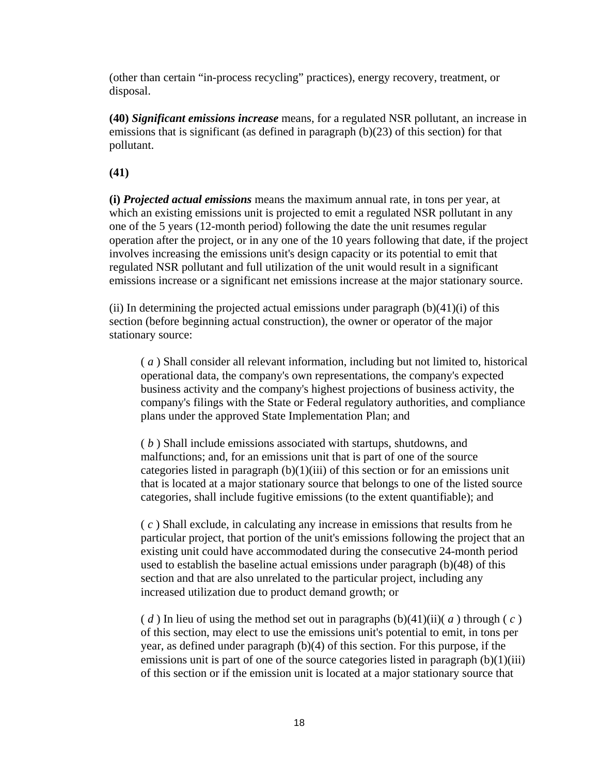(other than certain "in-process recycling" practices), energy recovery, treatment, or disposal.

**(40)** *Significant emissions increase* means, for a regulated NSR pollutant, an increase in emissions that is significant (as defined in paragraph  $(b)(23)$  of this section) for that pollutant.

# **(41)**

**(i)** *Projected actual emissions* means the maximum annual rate, in tons per year, at which an existing emissions unit is projected to emit a regulated NSR pollutant in any one of the 5 years (12-month period) following the date the unit resumes regular operation after the project, or in any one of the 10 years following that date, if the project involves increasing the emissions unit's design capacity or its potential to emit that regulated NSR pollutant and full utilization of the unit would result in a significant emissions increase or a significant net emissions increase at the major stationary source.

(ii) In determining the projected actual emissions under paragraph  $(b)(41)(i)$  of this section (before beginning actual construction), the owner or operator of the major stationary source:

( *a* ) Shall consider all relevant information, including but not limited to, historical operational data, the company's own representations, the company's expected business activity and the company's highest projections of business activity, the company's filings with the State or Federal regulatory authorities, and compliance plans under the approved State Implementation Plan; and

( *b* ) Shall include emissions associated with startups, shutdowns, and malfunctions; and, for an emissions unit that is part of one of the source categories listed in paragraph  $(b)(1)(iii)$  of this section or for an emissions unit that is located at a major stationary source that belongs to one of the listed source categories, shall include fugitive emissions (to the extent quantifiable); and

( *c* ) Shall exclude, in calculating any increase in emissions that results from he particular project, that portion of the unit's emissions following the project that an existing unit could have accommodated during the consecutive 24-month period used to establish the baseline actual emissions under paragraph (b)(48) of this section and that are also unrelated to the particular project, including any increased utilization due to product demand growth; or

 $(d)$  In lieu of using the method set out in paragraphs  $(b)(41)(ii)(a)$  through  $(c)$ of this section, may elect to use the emissions unit's potential to emit, in tons per year, as defined under paragraph (b)(4) of this section. For this purpose, if the emissions unit is part of one of the source categories listed in paragraph  $(b)(1)(iii)$ of this section or if the emission unit is located at a major stationary source that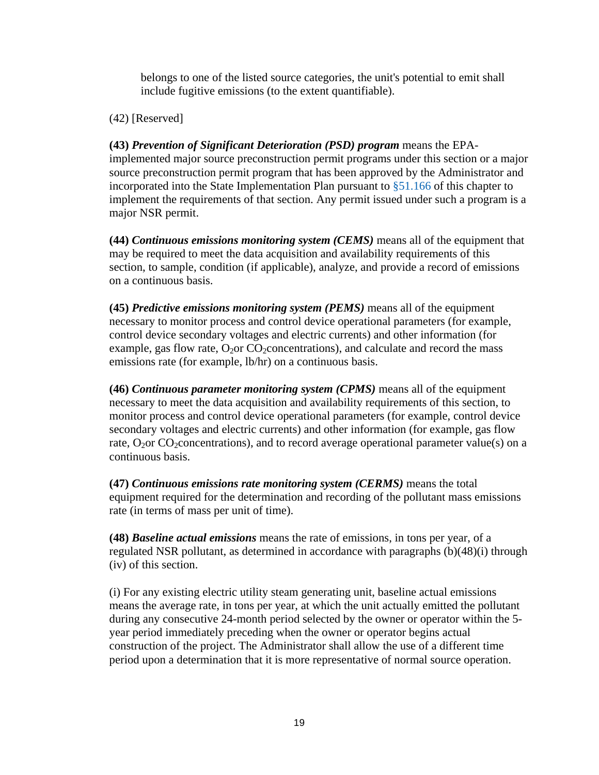belongs to one of the listed source categories, the unit's potential to emit shall include fugitive emissions (to the extent quantifiable).

## (42) [Reserved]

**(43)** *Prevention of Significant Deterioration (PSD) program* means the EPAimplemented major source preconstruction permit programs under this section or a major source preconstruction permit program that has been approved by the Administrator and incorporated into the State Implementation Plan pursuant to §51.166 of this chapter to implement the requirements of that section. Any permit issued under such a program is a major NSR permit.

**(44)** *Continuous emissions monitoring system (CEMS)* means all of the equipment that may be required to meet the data acquisition and availability requirements of this section, to sample, condition (if applicable), analyze, and provide a record of emissions on a continuous basis.

**(45)** *Predictive emissions monitoring system (PEMS)* means all of the equipment necessary to monitor process and control device operational parameters (for example, control device secondary voltages and electric currents) and other information (for example, gas flow rate,  $O<sub>2</sub>$  concentrations), and calculate and record the mass emissions rate (for example, lb/hr) on a continuous basis.

**(46)** *Continuous parameter monitoring system (CPMS)* means all of the equipment necessary to meet the data acquisition and availability requirements of this section, to monitor process and control device operational parameters (for example, control device secondary voltages and electric currents) and other information (for example, gas flow rate,  $O_2$  or CO<sub>2</sub> concentrations), and to record average operational parameter value(s) on a continuous basis.

**(47)** *Continuous emissions rate monitoring system (CERMS)* means the total equipment required for the determination and recording of the pollutant mass emissions rate (in terms of mass per unit of time).

**(48)** *Baseline actual emissions* means the rate of emissions, in tons per year, of a regulated NSR pollutant, as determined in accordance with paragraphs (b)(48)(i) through (iv) of this section.

(i) For any existing electric utility steam generating unit, baseline actual emissions means the average rate, in tons per year, at which the unit actually emitted the pollutant during any consecutive 24-month period selected by the owner or operator within the 5 year period immediately preceding when the owner or operator begins actual construction of the project. The Administrator shall allow the use of a different time period upon a determination that it is more representative of normal source operation.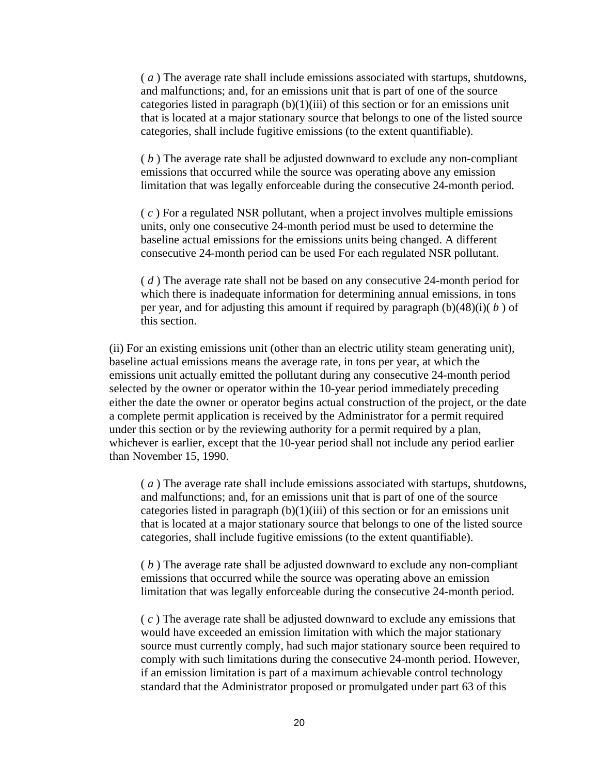( *a* ) The average rate shall include emissions associated with startups, shutdowns, and malfunctions; and, for an emissions unit that is part of one of the source categories listed in paragraph  $(b)(1)(iii)$  of this section or for an emissions unit that is located at a major stationary source that belongs to one of the listed source categories, shall include fugitive emissions (to the extent quantifiable).

( *b* ) The average rate shall be adjusted downward to exclude any non-compliant emissions that occurred while the source was operating above any emission limitation that was legally enforceable during the consecutive 24-month period.

( *c* ) For a regulated NSR pollutant, when a project involves multiple emissions units, only one consecutive 24-month period must be used to determine the baseline actual emissions for the emissions units being changed. A different consecutive 24-month period can be used For each regulated NSR pollutant.

( *d* ) The average rate shall not be based on any consecutive 24-month period for which there is inadequate information for determining annual emissions, in tons per year, and for adjusting this amount if required by paragraph (b)(48)(i)( *b* ) of this section.

(ii) For an existing emissions unit (other than an electric utility steam generating unit), baseline actual emissions means the average rate, in tons per year, at which the emissions unit actually emitted the pollutant during any consecutive 24-month period selected by the owner or operator within the 10-year period immediately preceding either the date the owner or operator begins actual construction of the project, or the date a complete permit application is received by the Administrator for a permit required under this section or by the reviewing authority for a permit required by a plan, whichever is earlier, except that the 10-year period shall not include any period earlier than November 15, 1990.

( *a* ) The average rate shall include emissions associated with startups, shutdowns, and malfunctions; and, for an emissions unit that is part of one of the source categories listed in paragraph  $(b)(1)(iii)$  of this section or for an emissions unit that is located at a major stationary source that belongs to one of the listed source categories, shall include fugitive emissions (to the extent quantifiable).

( *b* ) The average rate shall be adjusted downward to exclude any non-compliant emissions that occurred while the source was operating above an emission limitation that was legally enforceable during the consecutive 24-month period.

( *c* ) The average rate shall be adjusted downward to exclude any emissions that would have exceeded an emission limitation with which the major stationary source must currently comply, had such major stationary source been required to comply with such limitations during the consecutive 24-month period. However, if an emission limitation is part of a maximum achievable control technology standard that the Administrator proposed or promulgated under part 63 of this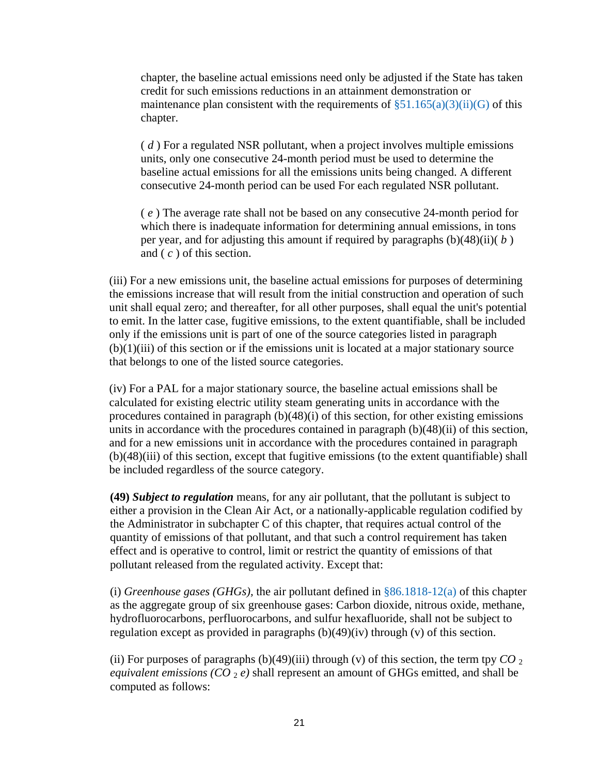chapter, the baseline actual emissions need only be adjusted if the State has taken credit for such emissions reductions in an attainment demonstration or maintenance plan consistent with the requirements of  $\S51.165(a)(3)(ii)(G)$  of this chapter.

( *d* ) For a regulated NSR pollutant, when a project involves multiple emissions units, only one consecutive 24-month period must be used to determine the baseline actual emissions for all the emissions units being changed. A different consecutive 24-month period can be used For each regulated NSR pollutant.

( *e* ) The average rate shall not be based on any consecutive 24-month period for which there is inadequate information for determining annual emissions, in tons per year, and for adjusting this amount if required by paragraphs (b)(48)(ii)( *b* ) and ( *c* ) of this section.

(iii) For a new emissions unit, the baseline actual emissions for purposes of determining the emissions increase that will result from the initial construction and operation of such unit shall equal zero; and thereafter, for all other purposes, shall equal the unit's potential to emit. In the latter case, fugitive emissions, to the extent quantifiable, shall be included only if the emissions unit is part of one of the source categories listed in paragraph  $(b)(1)(iii)$  of this section or if the emissions unit is located at a major stationary source that belongs to one of the listed source categories.

(iv) For a PAL for a major stationary source, the baseline actual emissions shall be calculated for existing electric utility steam generating units in accordance with the procedures contained in paragraph (b)(48)(i) of this section, for other existing emissions units in accordance with the procedures contained in paragraph (b)(48)(ii) of this section, and for a new emissions unit in accordance with the procedures contained in paragraph (b)(48)(iii) of this section, except that fugitive emissions (to the extent quantifiable) shall be included regardless of the source category.

**(49)** *Subject to regulation* means, for any air pollutant, that the pollutant is subject to either a provision in the Clean Air Act, or a nationally-applicable regulation codified by the Administrator in subchapter C of this chapter, that requires actual control of the quantity of emissions of that pollutant, and that such a control requirement has taken effect and is operative to control, limit or restrict the quantity of emissions of that pollutant released from the regulated activity. Except that:

(i) *Greenhouse gases (GHGs),* the air pollutant defined in §86.1818-12(a) of this chapter as the aggregate group of six greenhouse gases: Carbon dioxide, nitrous oxide, methane, hydrofluorocarbons, perfluorocarbons, and sulfur hexafluoride, shall not be subject to regulation except as provided in paragraphs (b)(49)(iv) through (v) of this section.

(ii) For purposes of paragraphs (b)(49)(iii) through (v) of this section, the term tpy  $CO_2$ *equivalent emissions (CO* <sup>2</sup> *e)* shall represent an amount of GHGs emitted, and shall be computed as follows: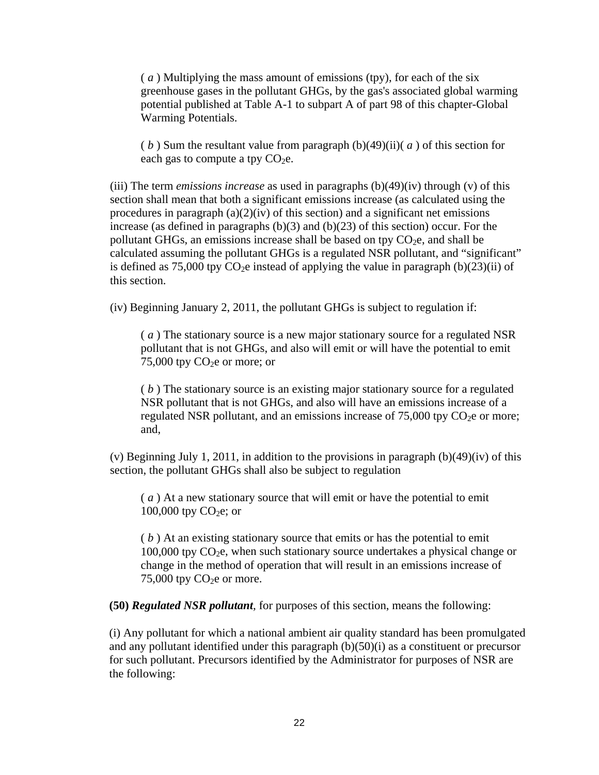( *a* ) Multiplying the mass amount of emissions (tpy), for each of the six greenhouse gases in the pollutant GHGs, by the gas's associated global warming potential published at Table A-1 to subpart A of part 98 of this chapter-Global Warming Potentials.

( *b* ) Sum the resultant value from paragraph (b)(49)(ii)( *a* ) of this section for each gas to compute a tpy  $CO<sub>2</sub>e$ .

(iii) The term *emissions increase* as used in paragraphs (b)(49)(iv) through (v) of this section shall mean that both a significant emissions increase (as calculated using the procedures in paragraph  $(a)(2)(iv)$  of this section) and a significant net emissions increase (as defined in paragraphs (b)(3) and (b)(23) of this section) occur. For the pollutant GHGs, an emissions increase shall be based on tpy  $CO<sub>2</sub>e$ , and shall be calculated assuming the pollutant GHGs is a regulated NSR pollutant, and "significant" is defined as 75,000 tpy  $CO<sub>2</sub>e$  instead of applying the value in paragraph (b)(23)(ii) of this section.

(iv) Beginning January 2, 2011, the pollutant GHGs is subject to regulation if:

( *a* ) The stationary source is a new major stationary source for a regulated NSR pollutant that is not GHGs, and also will emit or will have the potential to emit 75,000 tpy  $CO<sub>2</sub>e$  or more; or

( *b* ) The stationary source is an existing major stationary source for a regulated NSR pollutant that is not GHGs, and also will have an emissions increase of a regulated NSR pollutant, and an emissions increase of  $75,000$  tpy  $CO<sub>2</sub>e$  or more; and,

(v) Beginning July 1, 2011, in addition to the provisions in paragraph  $(b)(49)(iv)$  of this section, the pollutant GHGs shall also be subject to regulation

( *a* ) At a new stationary source that will emit or have the potential to emit 100,000 tpy  $CO<sub>2</sub>e$ ; or

( *b* ) At an existing stationary source that emits or has the potential to emit  $100,000$  tpy  $CO<sub>2</sub>e$ , when such stationary source undertakes a physical change or change in the method of operation that will result in an emissions increase of 75,000 tpy  $CO<sub>2</sub>e$  or more.

**(50)** *Regulated NSR pollutant,* for purposes of this section, means the following:

(i) Any pollutant for which a national ambient air quality standard has been promulgated and any pollutant identified under this paragraph (b)(50)(i) as a constituent or precursor for such pollutant. Precursors identified by the Administrator for purposes of NSR are the following: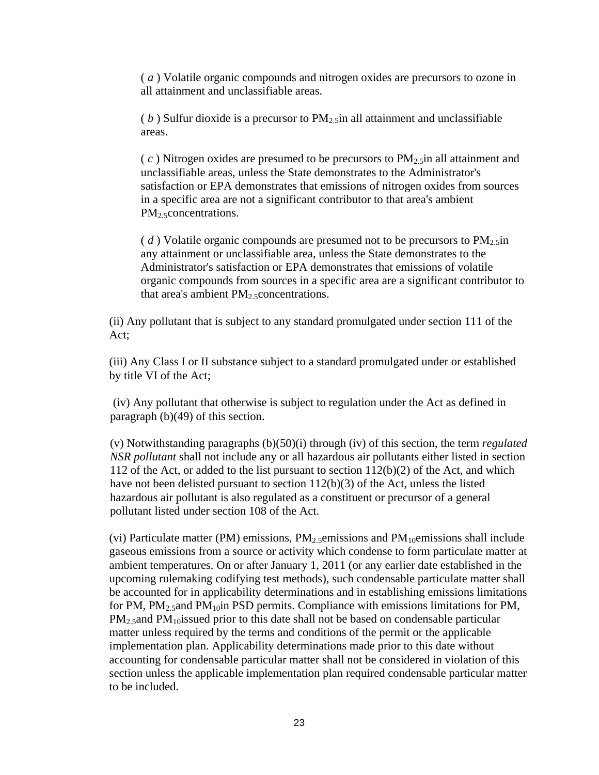( *a* ) Volatile organic compounds and nitrogen oxides are precursors to ozone in all attainment and unclassifiable areas.

 $(b)$  Sulfur dioxide is a precursor to  $PM<sub>2.5</sub>$ in all attainment and unclassifiable areas.

 $(c)$  Nitrogen oxides are presumed to be precursors to PM<sub>2.5</sub>in all attainment and unclassifiable areas, unless the State demonstrates to the Administrator's satisfaction or EPA demonstrates that emissions of nitrogen oxides from sources in a specific area are not a significant contributor to that area's ambient PM<sub>2</sub> sconcentrations.

 $(d)$  Volatile organic compounds are presumed not to be precursors to PM<sub>2.5</sub>in any attainment or unclassifiable area, unless the State demonstrates to the Administrator's satisfaction or EPA demonstrates that emissions of volatile organic compounds from sources in a specific area are a significant contributor to that area's ambient  $PM_{2.5}$ concentrations.

(ii) Any pollutant that is subject to any standard promulgated under section 111 of the Act;

(iii) Any Class I or II substance subject to a standard promulgated under or established by title VI of the Act;

 (iv) Any pollutant that otherwise is subject to regulation under the Act as defined in paragraph (b)(49) of this section.

(v) Notwithstanding paragraphs (b)(50)(i) through (iv) of this section, the term *regulated NSR pollutant* shall not include any or all hazardous air pollutants either listed in section 112 of the Act, or added to the list pursuant to section  $112(b)(2)$  of the Act, and which have not been delisted pursuant to section 112(b)(3) of the Act, unless the listed hazardous air pollutant is also regulated as a constituent or precursor of a general pollutant listed under section 108 of the Act.

(vi) Particulate matter (PM) emissions,  $PM_{2.5}$ emissions and  $PM_{10}$ emissions shall include gaseous emissions from a source or activity which condense to form particulate matter at ambient temperatures. On or after January 1, 2011 (or any earlier date established in the upcoming rulemaking codifying test methods), such condensable particulate matter shall be accounted for in applicability determinations and in establishing emissions limitations for PM,  $PM_{2.5}$ and PM<sub>10</sub>in PSD permits. Compliance with emissions limitations for PM,  $PM<sub>2.5</sub>$ and PM<sub>10</sub> issued prior to this date shall not be based on condensable particular matter unless required by the terms and conditions of the permit or the applicable implementation plan. Applicability determinations made prior to this date without accounting for condensable particular matter shall not be considered in violation of this section unless the applicable implementation plan required condensable particular matter to be included.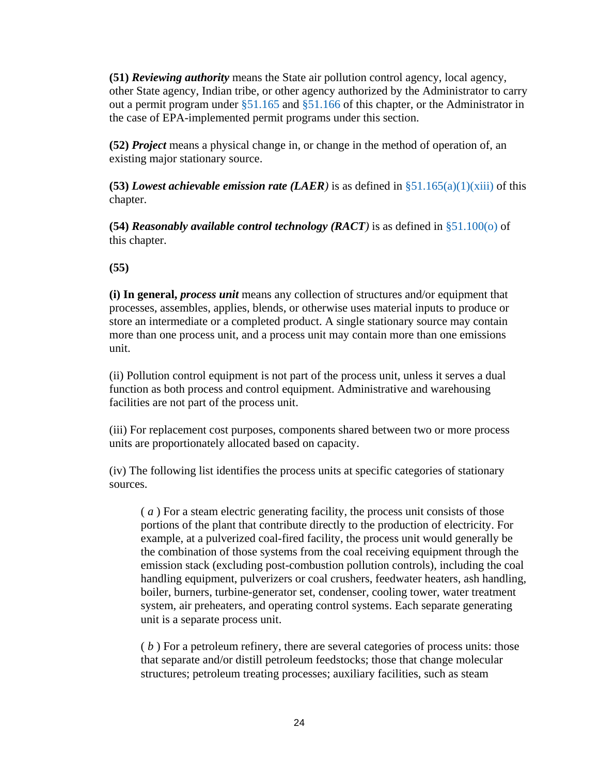**(51)** *Reviewing authority* means the State air pollution control agency, local agency, other State agency, Indian tribe, or other agency authorized by the Administrator to carry out a permit program under  $\S 51.165$  and  $\S 51.166$  of this chapter, or the Administrator in the case of EPA-implemented permit programs under this section.

**(52)** *Project* means a physical change in, or change in the method of operation of, an existing major stationary source.

**(53)** *Lowest achievable emission rate (LAER)* is as defined in  $\S 51.165(a)(1)(xiii)$  of this chapter.

**(54)** *Reasonably available control technology (RACT)* is as defined in §51.100(o) of this chapter.

## **(55)**

**(i) In general,** *process unit* means any collection of structures and/or equipment that processes, assembles, applies, blends, or otherwise uses material inputs to produce or store an intermediate or a completed product. A single stationary source may contain more than one process unit, and a process unit may contain more than one emissions unit.

(ii) Pollution control equipment is not part of the process unit, unless it serves a dual function as both process and control equipment. Administrative and warehousing facilities are not part of the process unit.

(iii) For replacement cost purposes, components shared between two or more process units are proportionately allocated based on capacity.

(iv) The following list identifies the process units at specific categories of stationary sources.

( *a* ) For a steam electric generating facility, the process unit consists of those portions of the plant that contribute directly to the production of electricity. For example, at a pulverized coal-fired facility, the process unit would generally be the combination of those systems from the coal receiving equipment through the emission stack (excluding post-combustion pollution controls), including the coal handling equipment, pulverizers or coal crushers, feedwater heaters, ash handling, boiler, burners, turbine-generator set, condenser, cooling tower, water treatment system, air preheaters, and operating control systems. Each separate generating unit is a separate process unit.

( *b* ) For a petroleum refinery, there are several categories of process units: those that separate and/or distill petroleum feedstocks; those that change molecular structures; petroleum treating processes; auxiliary facilities, such as steam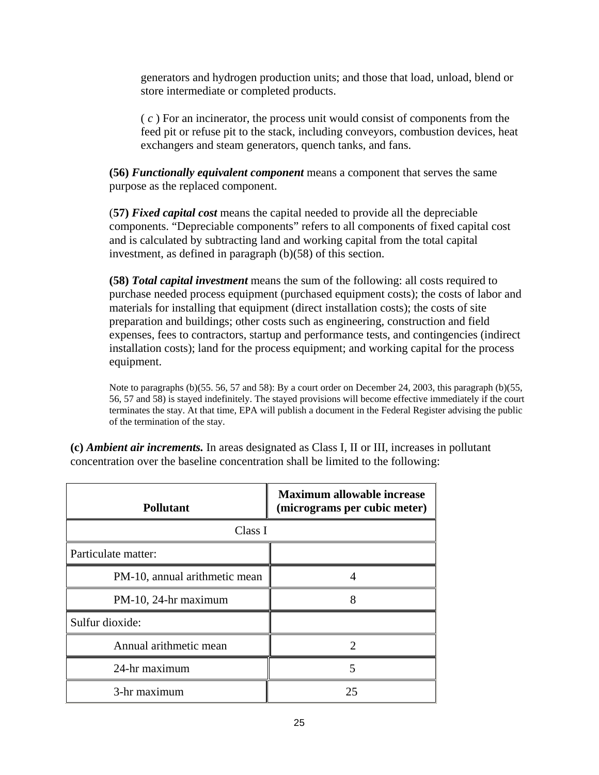generators and hydrogen production units; and those that load, unload, blend or store intermediate or completed products.

( *c* ) For an incinerator, the process unit would consist of components from the feed pit or refuse pit to the stack, including conveyors, combustion devices, heat exchangers and steam generators, quench tanks, and fans.

**(56)** *Functionally equivalent component* means a component that serves the same purpose as the replaced component.

(**57)** *Fixed capital cost* means the capital needed to provide all the depreciable components. "Depreciable components" refers to all components of fixed capital cost and is calculated by subtracting land and working capital from the total capital investment, as defined in paragraph (b)(58) of this section.

**(58)** *Total capital investment* means the sum of the following: all costs required to purchase needed process equipment (purchased equipment costs); the costs of labor and materials for installing that equipment (direct installation costs); the costs of site preparation and buildings; other costs such as engineering, construction and field expenses, fees to contractors, startup and performance tests, and contingencies (indirect installation costs); land for the process equipment; and working capital for the process equipment.

Note to paragraphs (b)(55. 56, 57 and 58): By a court order on December 24, 2003, this paragraph (b)(55, 56, 57 and 58) is stayed indefinitely. The stayed provisions will become effective immediately if the court terminates the stay. At that time, EPA will publish a document in the Federal Register advising the public of the termination of the stay.

**(c)** *Ambient air increments.* In areas designated as Class I, II or III, increases in pollutant concentration over the baseline concentration shall be limited to the following:

| <b>Pollutant</b>              | <b>Maximum allowable increase</b><br>(micrograms per cubic meter) |  |  |  |
|-------------------------------|-------------------------------------------------------------------|--|--|--|
| Class I                       |                                                                   |  |  |  |
| Particulate matter:           |                                                                   |  |  |  |
| PM-10, annual arithmetic mean |                                                                   |  |  |  |
| PM-10, 24-hr maximum          | 8                                                                 |  |  |  |
| Sulfur dioxide:               |                                                                   |  |  |  |
| Annual arithmetic mean        | $\mathcal{D}$                                                     |  |  |  |
| 24-hr maximum                 |                                                                   |  |  |  |
| 3-hr maximum                  | 25                                                                |  |  |  |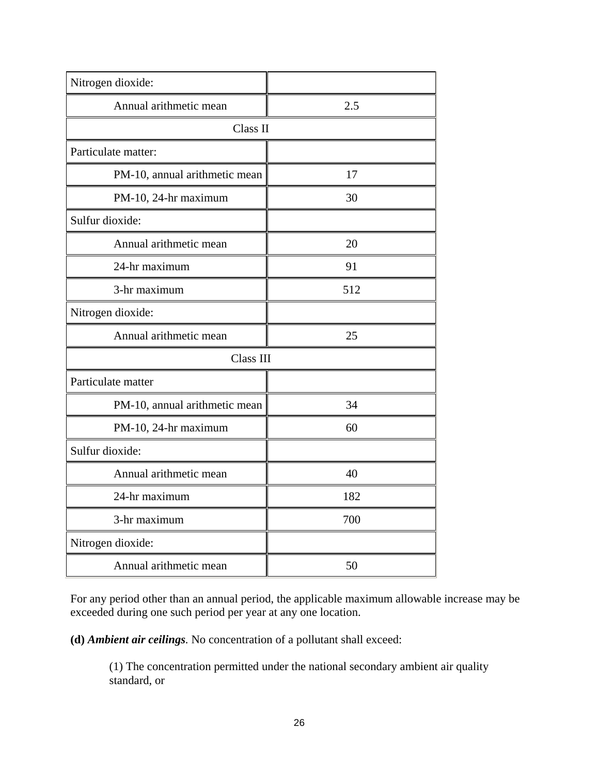| Nitrogen dioxide:             |     |  |
|-------------------------------|-----|--|
| Annual arithmetic mean        | 2.5 |  |
| Class II                      |     |  |
| Particulate matter:           |     |  |
| PM-10, annual arithmetic mean | 17  |  |
| PM-10, 24-hr maximum          | 30  |  |
| Sulfur dioxide:               |     |  |
| Annual arithmetic mean        | 20  |  |
| 24-hr maximum                 | 91  |  |
| 3-hr maximum                  | 512 |  |
| Nitrogen dioxide:             |     |  |
| Annual arithmetic mean        | 25  |  |
| Class III                     |     |  |
| Particulate matter            |     |  |
| PM-10, annual arithmetic mean | 34  |  |
| PM-10, 24-hr maximum          | 60  |  |
| Sulfur dioxide:               |     |  |
| Annual arithmetic mean        | 40  |  |
| 24-hr maximum                 | 182 |  |
| 3-hr maximum                  | 700 |  |
| Nitrogen dioxide:             |     |  |
| Annual arithmetic mean        | 50  |  |

For any period other than an annual period, the applicable maximum allowable increase may be exceeded during one such period per year at any one location.

**(d)** *Ambient air ceilings.* No concentration of a pollutant shall exceed:

(1) The concentration permitted under the national secondary ambient air quality standard, or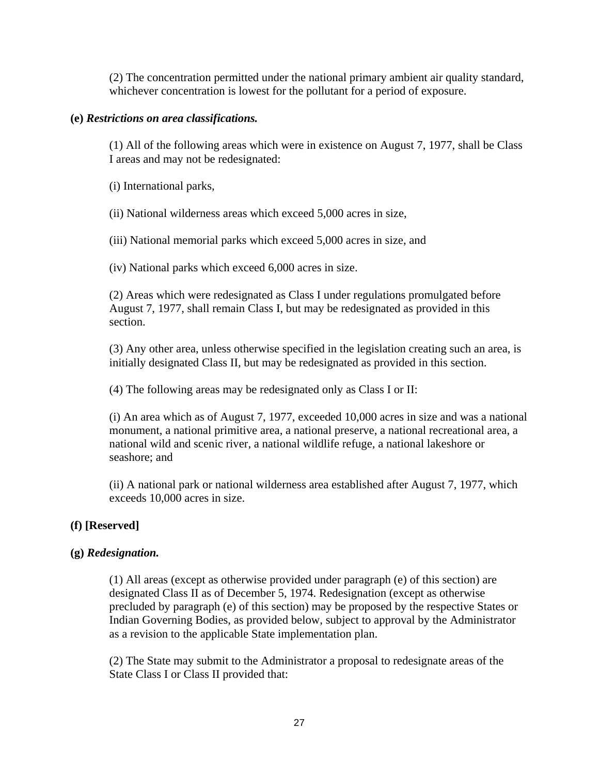(2) The concentration permitted under the national primary ambient air quality standard, whichever concentration is lowest for the pollutant for a period of exposure.

### **(e)** *Restrictions on area classifications.*

(1) All of the following areas which were in existence on August 7, 1977, shall be Class I areas and may not be redesignated:

(i) International parks,

(ii) National wilderness areas which exceed 5,000 acres in size,

(iii) National memorial parks which exceed 5,000 acres in size, and

(iv) National parks which exceed 6,000 acres in size.

(2) Areas which were redesignated as Class I under regulations promulgated before August 7, 1977, shall remain Class I, but may be redesignated as provided in this section.

(3) Any other area, unless otherwise specified in the legislation creating such an area, is initially designated Class II, but may be redesignated as provided in this section.

(4) The following areas may be redesignated only as Class I or II:

(i) An area which as of August 7, 1977, exceeded 10,000 acres in size and was a national monument, a national primitive area, a national preserve, a national recreational area, a national wild and scenic river, a national wildlife refuge, a national lakeshore or seashore; and

(ii) A national park or national wilderness area established after August 7, 1977, which exceeds 10,000 acres in size.

### **(f) [Reserved]**

### **(g)** *Redesignation.*

(1) All areas (except as otherwise provided under paragraph (e) of this section) are designated Class II as of December 5, 1974. Redesignation (except as otherwise precluded by paragraph (e) of this section) may be proposed by the respective States or Indian Governing Bodies, as provided below, subject to approval by the Administrator as a revision to the applicable State implementation plan.

(2) The State may submit to the Administrator a proposal to redesignate areas of the State Class I or Class II provided that: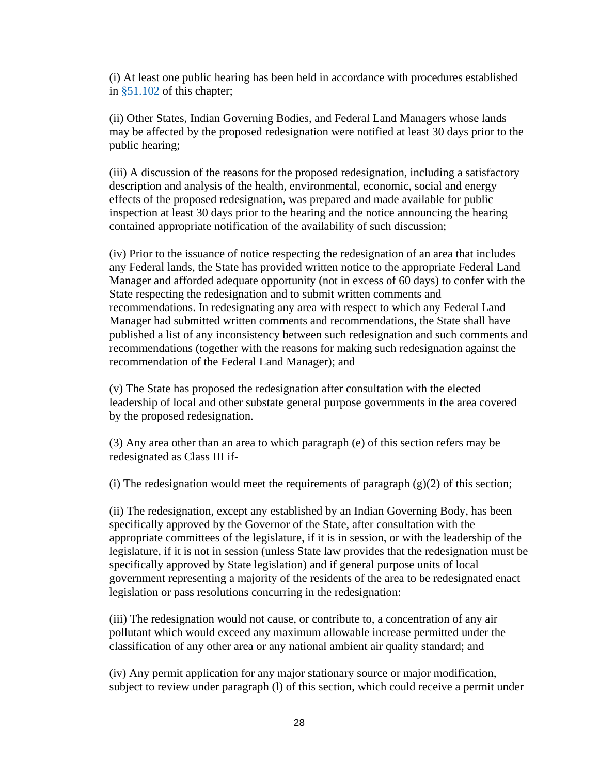(i) At least one public hearing has been held in accordance with procedures established in §51.102 of this chapter;

(ii) Other States, Indian Governing Bodies, and Federal Land Managers whose lands may be affected by the proposed redesignation were notified at least 30 days prior to the public hearing;

(iii) A discussion of the reasons for the proposed redesignation, including a satisfactory description and analysis of the health, environmental, economic, social and energy effects of the proposed redesignation, was prepared and made available for public inspection at least 30 days prior to the hearing and the notice announcing the hearing contained appropriate notification of the availability of such discussion;

(iv) Prior to the issuance of notice respecting the redesignation of an area that includes any Federal lands, the State has provided written notice to the appropriate Federal Land Manager and afforded adequate opportunity (not in excess of 60 days) to confer with the State respecting the redesignation and to submit written comments and recommendations. In redesignating any area with respect to which any Federal Land Manager had submitted written comments and recommendations, the State shall have published a list of any inconsistency between such redesignation and such comments and recommendations (together with the reasons for making such redesignation against the recommendation of the Federal Land Manager); and

(v) The State has proposed the redesignation after consultation with the elected leadership of local and other substate general purpose governments in the area covered by the proposed redesignation.

(3) Any area other than an area to which paragraph (e) of this section refers may be redesignated as Class III if-

(i) The redesignation would meet the requirements of paragraph  $(g)(2)$  of this section;

(ii) The redesignation, except any established by an Indian Governing Body, has been specifically approved by the Governor of the State, after consultation with the appropriate committees of the legislature, if it is in session, or with the leadership of the legislature, if it is not in session (unless State law provides that the redesignation must be specifically approved by State legislation) and if general purpose units of local government representing a majority of the residents of the area to be redesignated enact legislation or pass resolutions concurring in the redesignation:

(iii) The redesignation would not cause, or contribute to, a concentration of any air pollutant which would exceed any maximum allowable increase permitted under the classification of any other area or any national ambient air quality standard; and

(iv) Any permit application for any major stationary source or major modification, subject to review under paragraph (l) of this section, which could receive a permit under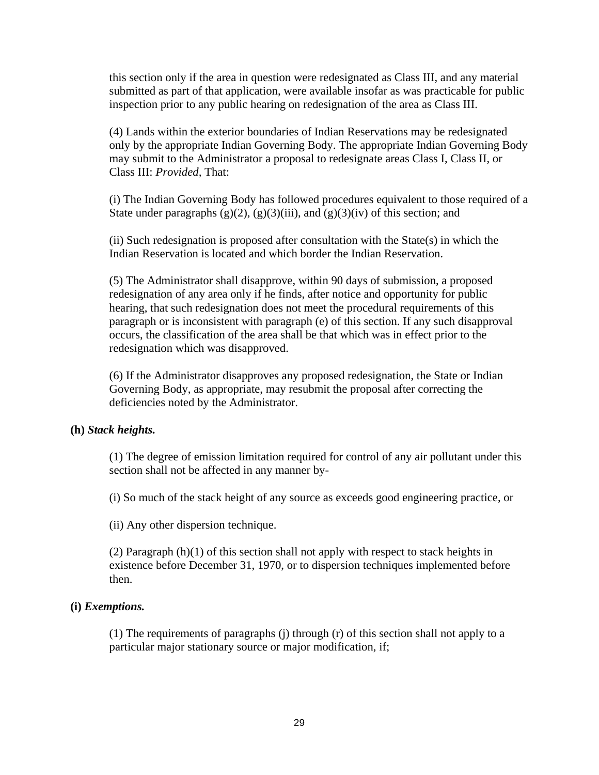this section only if the area in question were redesignated as Class III, and any material submitted as part of that application, were available insofar as was practicable for public inspection prior to any public hearing on redesignation of the area as Class III.

(4) Lands within the exterior boundaries of Indian Reservations may be redesignated only by the appropriate Indian Governing Body. The appropriate Indian Governing Body may submit to the Administrator a proposal to redesignate areas Class I, Class II, or Class III: *Provided,* That:

(i) The Indian Governing Body has followed procedures equivalent to those required of a State under paragraphs  $(g)(2)$ ,  $(g)(3)(iii)$ , and  $(g)(3)(iv)$  of this section; and

(ii) Such redesignation is proposed after consultation with the State(s) in which the Indian Reservation is located and which border the Indian Reservation.

(5) The Administrator shall disapprove, within 90 days of submission, a proposed redesignation of any area only if he finds, after notice and opportunity for public hearing, that such redesignation does not meet the procedural requirements of this paragraph or is inconsistent with paragraph (e) of this section. If any such disapproval occurs, the classification of the area shall be that which was in effect prior to the redesignation which was disapproved.

(6) If the Administrator disapproves any proposed redesignation, the State or Indian Governing Body, as appropriate, may resubmit the proposal after correcting the deficiencies noted by the Administrator.

### **(h)** *Stack heights.*

(1) The degree of emission limitation required for control of any air pollutant under this section shall not be affected in any manner by-

(i) So much of the stack height of any source as exceeds good engineering practice, or

(ii) Any other dispersion technique.

(2) Paragraph (h)(1) of this section shall not apply with respect to stack heights in existence before December 31, 1970, or to dispersion techniques implemented before then.

### **(i)** *Exemptions.*

(1) The requirements of paragraphs (j) through (r) of this section shall not apply to a particular major stationary source or major modification, if;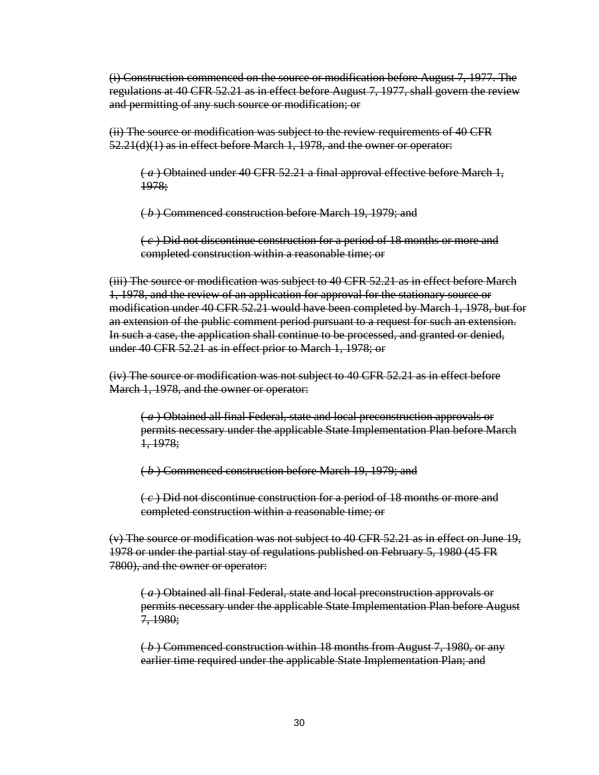(i) Construction commenced on the source or modification before August 7, 1977. The regulations at 40 CFR 52.21 as in effect before August 7, 1977, shall govern the review and permitting of any such source or modification; or

(ii) The source or modification was subject to the review requirements of 40 CFR 52.21(d)(1) as in effect before March 1, 1978, and the owner or operator:

( *a* ) Obtained under 40 CFR 52.21 a final approval effective before March 1, 1978;

( *b* ) Commenced construction before March 19, 1979; and

( *c* ) Did not discontinue construction for a period of 18 months or more and completed construction within a reasonable time; or

(iii) The source or modification was subject to 40 CFR 52.21 as in effect before March 1, 1978, and the review of an application for approval for the stationary source or modification under 40 CFR 52.21 would have been completed by March 1, 1978, but for an extension of the public comment period pursuant to a request for such an extension. In such a case, the application shall continue to be processed, and granted or denied, under 40 CFR 52.21 as in effect prior to March 1, 1978; or

(iv) The source or modification was not subject to 40 CFR 52.21 as in effect before March 1, 1978, and the owner or operator:

( *a* ) Obtained all final Federal, state and local preconstruction approvals or permits necessary under the applicable State Implementation Plan before March 1, 1978;

( *b* ) Commenced construction before March 19, 1979; and

( *c* ) Did not discontinue construction for a period of 18 months or more and completed construction within a reasonable time; or

(v) The source or modification was not subject to 40 CFR 52.21 as in effect on June 19, 1978 or under the partial stay of regulations published on February 5, 1980 (45 FR 7800), and the owner or operator:

( *a* ) Obtained all final Federal, state and local preconstruction approvals or permits necessary under the applicable State Implementation Plan before August 7, 1980;

( *b* ) Commenced construction within 18 months from August 7, 1980, or any earlier time required under the applicable State Implementation Plan; and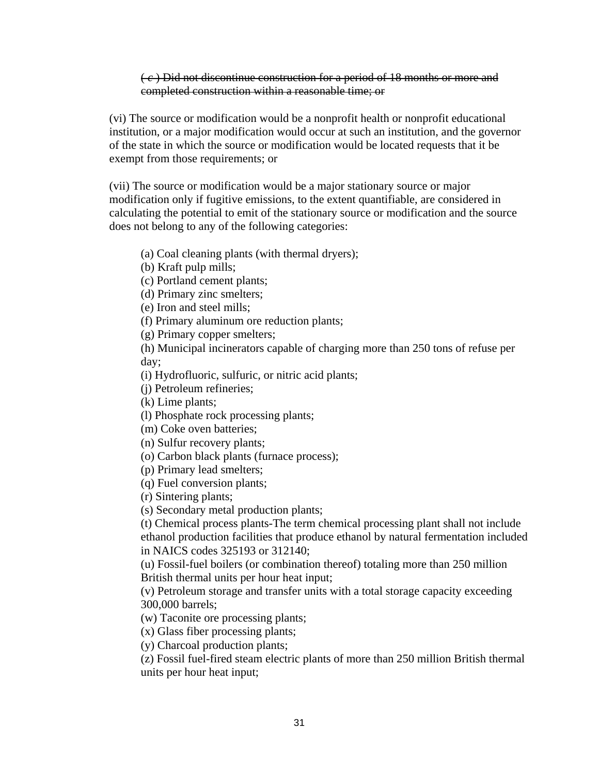### ( *c* ) Did not discontinue construction for a period of 18 months or more and completed construction within a reasonable time; or

(vi) The source or modification would be a nonprofit health or nonprofit educational institution, or a major modification would occur at such an institution, and the governor of the state in which the source or modification would be located requests that it be exempt from those requirements; or

(vii) The source or modification would be a major stationary source or major modification only if fugitive emissions, to the extent quantifiable, are considered in calculating the potential to emit of the stationary source or modification and the source does not belong to any of the following categories:

(a) Coal cleaning plants (with thermal dryers);

(b) Kraft pulp mills;

(c) Portland cement plants;

(d) Primary zinc smelters;

(e) Iron and steel mills;

(f) Primary aluminum ore reduction plants;

(g) Primary copper smelters;

(h) Municipal incinerators capable of charging more than 250 tons of refuse per day;

(i) Hydrofluoric, sulfuric, or nitric acid plants;

(j) Petroleum refineries;

(k) Lime plants;

(l) Phosphate rock processing plants;

(m) Coke oven batteries;

(n) Sulfur recovery plants;

(o) Carbon black plants (furnace process);

(p) Primary lead smelters;

(q) Fuel conversion plants;

(r) Sintering plants;

(s) Secondary metal production plants;

(t) Chemical process plants-The term chemical processing plant shall not include ethanol production facilities that produce ethanol by natural fermentation included in NAICS codes 325193 or 312140;

(u) Fossil-fuel boilers (or combination thereof) totaling more than 250 million British thermal units per hour heat input;

(v) Petroleum storage and transfer units with a total storage capacity exceeding 300,000 barrels;

(w) Taconite ore processing plants;

(x) Glass fiber processing plants;

(y) Charcoal production plants;

(z) Fossil fuel-fired steam electric plants of more than 250 million British thermal units per hour heat input;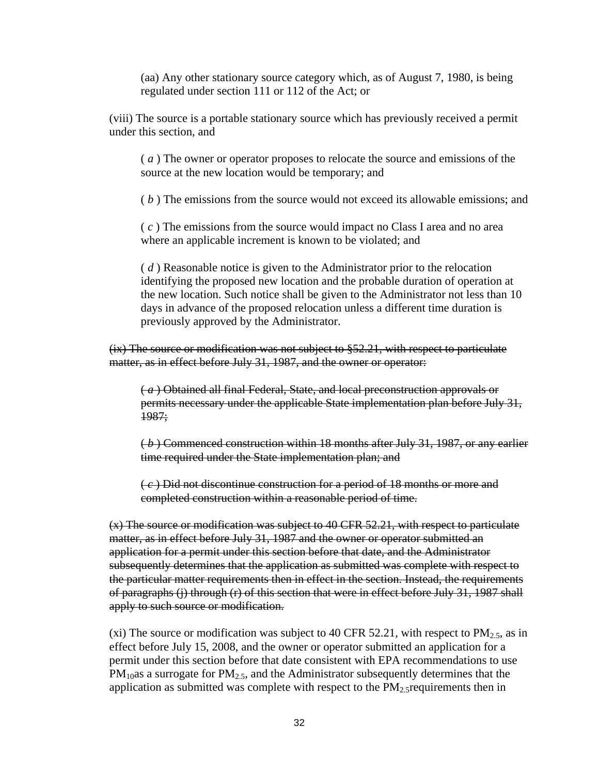(aa) Any other stationary source category which, as of August 7, 1980, is being regulated under section 111 or 112 of the Act; or

(viii) The source is a portable stationary source which has previously received a permit under this section, and

( *a* ) The owner or operator proposes to relocate the source and emissions of the source at the new location would be temporary; and

( *b* ) The emissions from the source would not exceed its allowable emissions; and

( *c* ) The emissions from the source would impact no Class I area and no area where an applicable increment is known to be violated; and

( *d* ) Reasonable notice is given to the Administrator prior to the relocation identifying the proposed new location and the probable duration of operation at the new location. Such notice shall be given to the Administrator not less than 10 days in advance of the proposed relocation unless a different time duration is previously approved by the Administrator.

(ix) The source or modification was not subject to §52.21, with respect to particulate matter, as in effect before July 31, 1987, and the owner or operator:

( *a* ) Obtained all final Federal, State, and local preconstruction approvals or permits necessary under the applicable State implementation plan before July 31, 1987;

( *b* ) Commenced construction within 18 months after July 31, 1987, or any earlier time required under the State implementation plan; and

( *c* ) Did not discontinue construction for a period of 18 months or more and completed construction within a reasonable period of time.

(x) The source or modification was subject to 40 CFR 52.21, with respect to particulate matter, as in effect before July 31, 1987 and the owner or operator submitted an application for a permit under this section before that date, and the Administrator subsequently determines that the application as submitted was complete with respect to the particular matter requirements then in effect in the section. Instead, the requirements of paragraphs (j) through (r) of this section that were in effect before July 31, 1987 shall apply to such source or modification.

(xi) The source or modification was subject to 40 CFR 52.21, with respect to  $PM_{2.5}$ , as in effect before July 15, 2008, and the owner or operator submitted an application for a permit under this section before that date consistent with EPA recommendations to use  $PM<sub>10</sub>$ as a surrogate for  $PM<sub>2.5</sub>$ , and the Administrator subsequently determines that the application as submitted was complete with respect to the  $PM_{2.5}$ requirements then in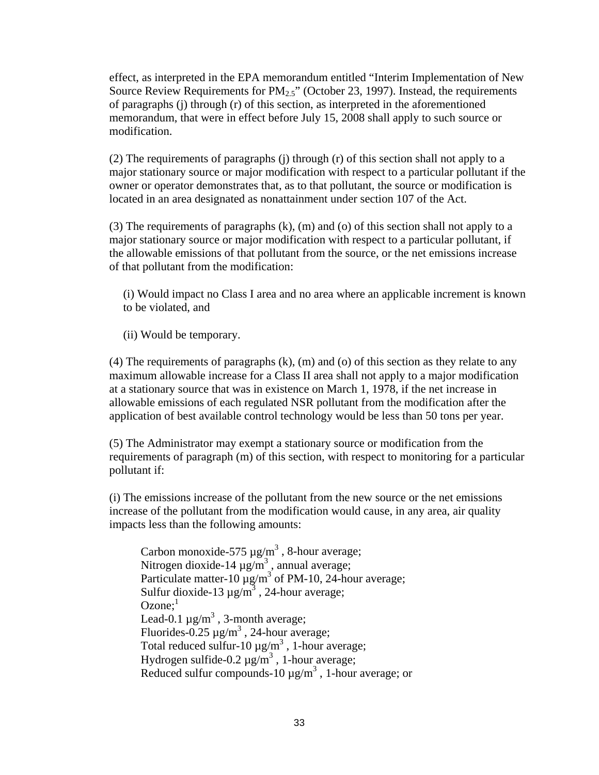effect, as interpreted in the EPA memorandum entitled "Interim Implementation of New Source Review Requirements for  $PM_{2.5}$ " (October 23, 1997). Instead, the requirements of paragraphs (j) through (r) of this section, as interpreted in the aforementioned memorandum, that were in effect before July 15, 2008 shall apply to such source or modification.

(2) The requirements of paragraphs (j) through (r) of this section shall not apply to a major stationary source or major modification with respect to a particular pollutant if the owner or operator demonstrates that, as to that pollutant, the source or modification is located in an area designated as nonattainment under section 107 of the Act.

(3) The requirements of paragraphs (k), (m) and (o) of this section shall not apply to a major stationary source or major modification with respect to a particular pollutant, if the allowable emissions of that pollutant from the source, or the net emissions increase of that pollutant from the modification:

(i) Would impact no Class I area and no area where an applicable increment is known to be violated, and

(ii) Would be temporary.

(4) The requirements of paragraphs (k), (m) and (o) of this section as they relate to any maximum allowable increase for a Class II area shall not apply to a major modification at a stationary source that was in existence on March 1, 1978, if the net increase in allowable emissions of each regulated NSR pollutant from the modification after the application of best available control technology would be less than 50 tons per year.

(5) The Administrator may exempt a stationary source or modification from the requirements of paragraph (m) of this section, with respect to monitoring for a particular pollutant if:

(i) The emissions increase of the pollutant from the new source or the net emissions increase of the pollutant from the modification would cause, in any area, air quality impacts less than the following amounts:

Carbon monoxide-575  $\mu$ g/m<sup>3</sup>, 8-hour average; Nitrogen dioxide-14  $\mu$ g/m<sup>3</sup>, annual average; Particulate matter-10  $\mu$ g/m<sup>3</sup> of PM-10, 24-hour average; Sulfur dioxide-13  $\mu$ g/m<sup>3</sup>, 24-hour average; Ozone; $<sup>1</sup>$ </sup> Lead-0.1  $\mu$ g/m<sup>3</sup>, 3-month average; Fluorides-0.25  $\mu$ g/m<sup>3</sup>, 24-hour average; Total reduced sulfur-10  $\mu$ g/m<sup>3</sup>, 1-hour average; Hydrogen sulfide-0.2  $\mu$ g/m<sup>3</sup>, 1-hour average; Reduced sulfur compounds-10  $\mu$ g/m<sup>3</sup>, 1-hour average; or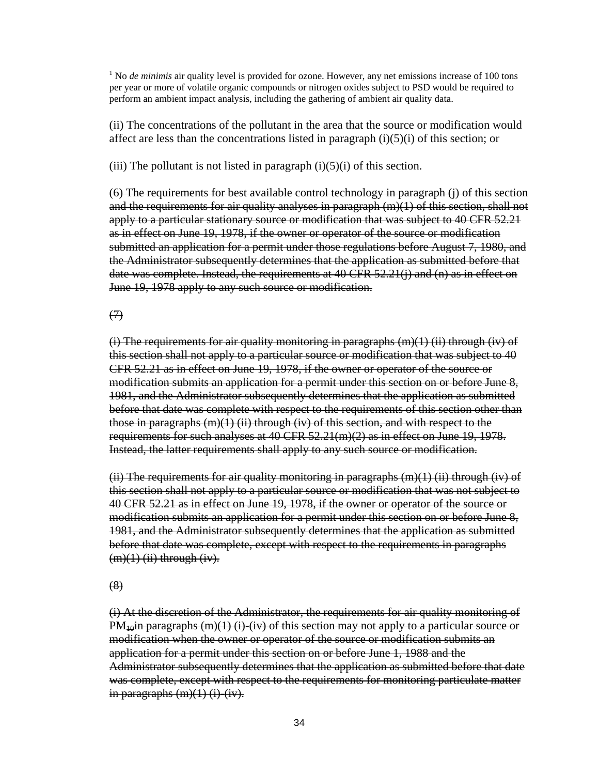<sup>1</sup> No *de minimis* air quality level is provided for ozone. However, any net emissions increase of 100 tons per year or more of volatile organic compounds or nitrogen oxides subject to PSD would be required to perform an ambient impact analysis, including the gathering of ambient air quality data.

(ii) The concentrations of the pollutant in the area that the source or modification would affect are less than the concentrations listed in paragraph  $(i)(5)(i)$  of this section; or

(iii) The pollutant is not listed in paragraph  $(i)(5)(i)$  of this section.

(6) The requirements for best available control technology in paragraph (j) of this section and the requirements for air quality analyses in paragraph (m)(1) of this section, shall not apply to a particular stationary source or modification that was subject to 40 CFR 52.21 as in effect on June 19, 1978, if the owner or operator of the source or modification submitted an application for a permit under those regulations before August 7, 1980, and the Administrator subsequently determines that the application as submitted before that date was complete. Instead, the requirements at 40 CFR 52.21(j) and (n) as in effect on June 19, 1978 apply to any such source or modification.

 $\leftrightarrow$ 

(i) The requirements for air quality monitoring in paragraphs  $(m)(1)$  (ii) through (iv) of this section shall not apply to a particular source or modification that was subject to 40 CFR 52.21 as in effect on June 19, 1978, if the owner or operator of the source or modification submits an application for a permit under this section on or before June 8, 1981, and the Administrator subsequently determines that the application as submitted before that date was complete with respect to the requirements of this section other than those in paragraphs  $(m)(1)$  (ii) through (iv) of this section, and with respect to the requirements for such analyses at  $40$  CFR  $52.21$ (m) $(2)$  as in effect on June 19, 1978. Instead, the latter requirements shall apply to any such source or modification.

(ii) The requirements for air quality monitoring in paragraphs  $(m)(1)$  (ii) through (iv) of this section shall not apply to a particular source or modification that was not subject to 40 CFR 52.21 as in effect on June 19, 1978, if the owner or operator of the source or modification submits an application for a permit under this section on or before June 8, 1981, and the Administrator subsequently determines that the application as submitted before that date was complete, except with respect to the requirements in paragraphs  $(m)(1)$  (ii) through (iv).

(8)

(i) At the discretion of the Administrator, the requirements for air quality monitoring of  $PM<sub>10</sub>$ in paragraphs (m)(1) (i)-(iv) of this section may not apply to a particular source or modification when the owner or operator of the source or modification submits an application for a permit under this section on or before June 1, 1988 and the Administrator subsequently determines that the application as submitted before that date was complete, except with respect to the requirements for monitoring particulate matter in paragraphs  $(m)(1)$  (i)  $(iv)$ .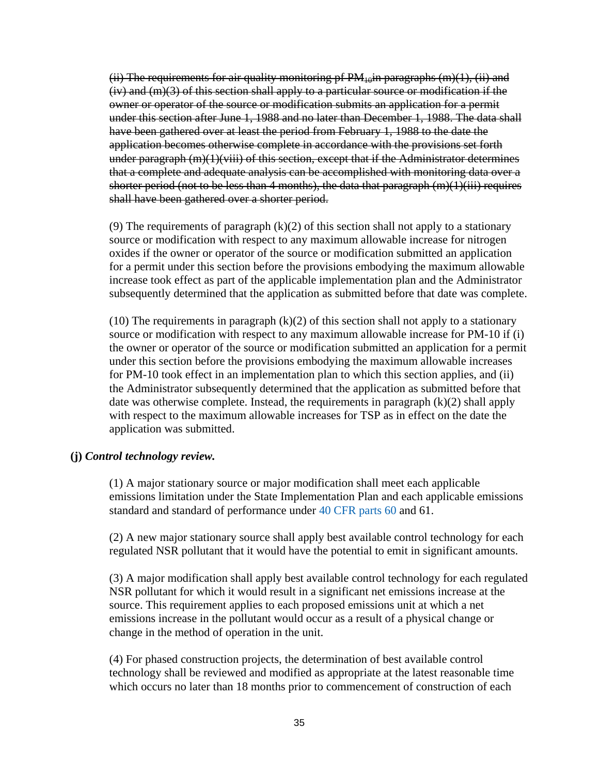(ii) The requirements for air quality monitoring pf  $PM_{10}$ in paragraphs (m)(1), (ii) and (iv) and (m)(3) of this section shall apply to a particular source or modification if the owner or operator of the source or modification submits an application for a permit under this section after June 1, 1988 and no later than December 1, 1988. The data shall have been gathered over at least the period from February 1, 1988 to the date the application becomes otherwise complete in accordance with the provisions set forth under paragraph (m)(1)(viii) of this section, except that if the Administrator determines that a complete and adequate analysis can be accomplished with monitoring data over a shorter period (not to be less than 4 months), the data that paragraph  $(m)(1)(iii)$  requires shall have been gathered over a shorter period.

(9) The requirements of paragraph  $(k)(2)$  of this section shall not apply to a stationary source or modification with respect to any maximum allowable increase for nitrogen oxides if the owner or operator of the source or modification submitted an application for a permit under this section before the provisions embodying the maximum allowable increase took effect as part of the applicable implementation plan and the Administrator subsequently determined that the application as submitted before that date was complete.

 $(10)$  The requirements in paragraph  $(k)(2)$  of this section shall not apply to a stationary source or modification with respect to any maximum allowable increase for PM-10 if (i) the owner or operator of the source or modification submitted an application for a permit under this section before the provisions embodying the maximum allowable increases for PM-10 took effect in an implementation plan to which this section applies, and (ii) the Administrator subsequently determined that the application as submitted before that date was otherwise complete. Instead, the requirements in paragraph  $(k)(2)$  shall apply with respect to the maximum allowable increases for TSP as in effect on the date the application was submitted.

#### **(j)** *Control technology review.*

(1) A major stationary source or major modification shall meet each applicable emissions limitation under the State Implementation Plan and each applicable emissions standard and standard of performance under 40 CFR parts 60 and 61.

(2) A new major stationary source shall apply best available control technology for each regulated NSR pollutant that it would have the potential to emit in significant amounts.

(3) A major modification shall apply best available control technology for each regulated NSR pollutant for which it would result in a significant net emissions increase at the source. This requirement applies to each proposed emissions unit at which a net emissions increase in the pollutant would occur as a result of a physical change or change in the method of operation in the unit.

(4) For phased construction projects, the determination of best available control technology shall be reviewed and modified as appropriate at the latest reasonable time which occurs no later than 18 months prior to commencement of construction of each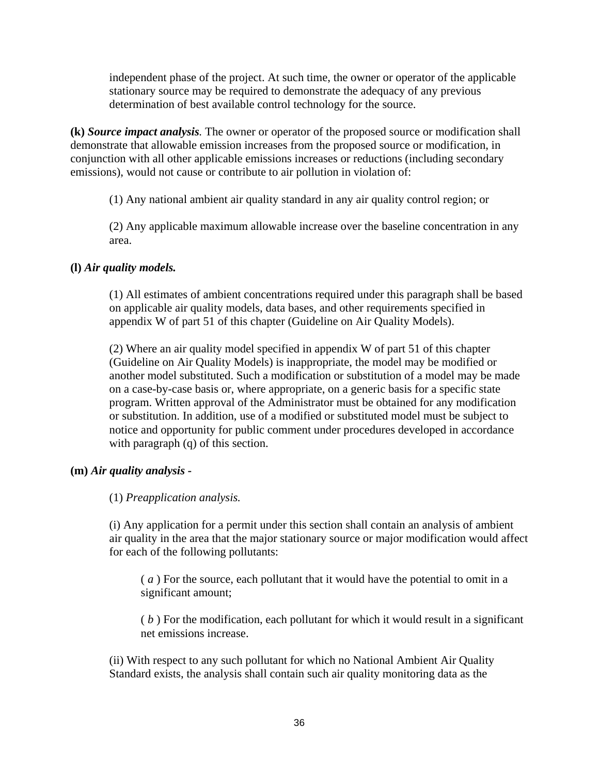independent phase of the project. At such time, the owner or operator of the applicable stationary source may be required to demonstrate the adequacy of any previous determination of best available control technology for the source.

**(k)** *Source impact analysis.* The owner or operator of the proposed source or modification shall demonstrate that allowable emission increases from the proposed source or modification, in conjunction with all other applicable emissions increases or reductions (including secondary emissions), would not cause or contribute to air pollution in violation of:

(1) Any national ambient air quality standard in any air quality control region; or

(2) Any applicable maximum allowable increase over the baseline concentration in any area.

## **(l)** *Air quality models.*

(1) All estimates of ambient concentrations required under this paragraph shall be based on applicable air quality models, data bases, and other requirements specified in appendix W of part 51 of this chapter (Guideline on Air Quality Models).

(2) Where an air quality model specified in appendix W of part 51 of this chapter (Guideline on Air Quality Models) is inappropriate, the model may be modified or another model substituted. Such a modification or substitution of a model may be made on a case-by-case basis or, where appropriate, on a generic basis for a specific state program. Written approval of the Administrator must be obtained for any modification or substitution. In addition, use of a modified or substituted model must be subject to notice and opportunity for public comment under procedures developed in accordance with paragraph (q) of this section.

### **(m)** *Air quality analysis* **-**

# (1) *Preapplication analysis.*

(i) Any application for a permit under this section shall contain an analysis of ambient air quality in the area that the major stationary source or major modification would affect for each of the following pollutants:

( *a* ) For the source, each pollutant that it would have the potential to omit in a significant amount;

( *b* ) For the modification, each pollutant for which it would result in a significant net emissions increase.

(ii) With respect to any such pollutant for which no National Ambient Air Quality Standard exists, the analysis shall contain such air quality monitoring data as the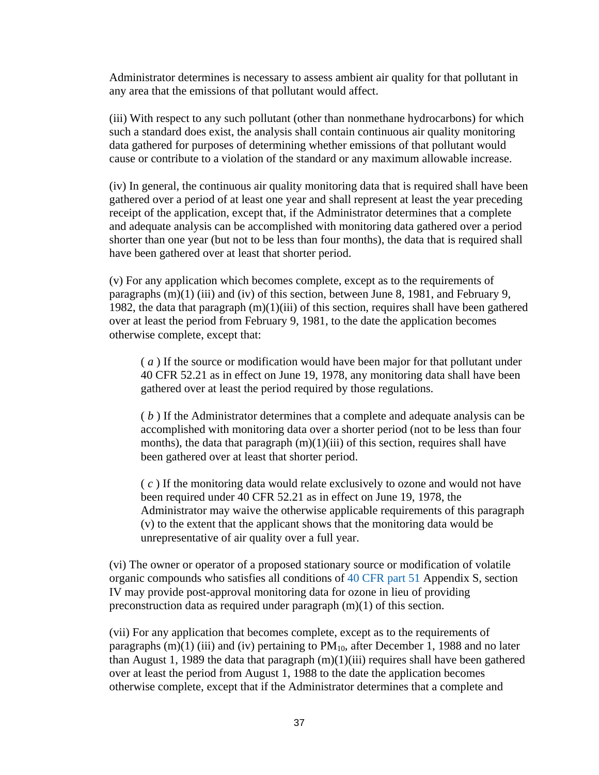Administrator determines is necessary to assess ambient air quality for that pollutant in any area that the emissions of that pollutant would affect.

(iii) With respect to any such pollutant (other than nonmethane hydrocarbons) for which such a standard does exist, the analysis shall contain continuous air quality monitoring data gathered for purposes of determining whether emissions of that pollutant would cause or contribute to a violation of the standard or any maximum allowable increase.

(iv) In general, the continuous air quality monitoring data that is required shall have been gathered over a period of at least one year and shall represent at least the year preceding receipt of the application, except that, if the Administrator determines that a complete and adequate analysis can be accomplished with monitoring data gathered over a period shorter than one year (but not to be less than four months), the data that is required shall have been gathered over at least that shorter period.

(v) For any application which becomes complete, except as to the requirements of paragraphs (m)(1) (iii) and (iv) of this section, between June 8, 1981, and February 9, 1982, the data that paragraph  $(m)(1)(iii)$  of this section, requires shall have been gathered over at least the period from February 9, 1981, to the date the application becomes otherwise complete, except that:

( *a* ) If the source or modification would have been major for that pollutant under 40 CFR 52.21 as in effect on June 19, 1978, any monitoring data shall have been gathered over at least the period required by those regulations.

( *b* ) If the Administrator determines that a complete and adequate analysis can be accomplished with monitoring data over a shorter period (not to be less than four months), the data that paragraph  $(m)(1)(iii)$  of this section, requires shall have been gathered over at least that shorter period.

( *c* ) If the monitoring data would relate exclusively to ozone and would not have been required under 40 CFR 52.21 as in effect on June 19, 1978, the Administrator may waive the otherwise applicable requirements of this paragraph (v) to the extent that the applicant shows that the monitoring data would be unrepresentative of air quality over a full year.

(vi) The owner or operator of a proposed stationary source or modification of volatile organic compounds who satisfies all conditions of 40 CFR part 51 Appendix S, section IV may provide post-approval monitoring data for ozone in lieu of providing preconstruction data as required under paragraph (m)(1) of this section.

(vii) For any application that becomes complete, except as to the requirements of paragraphs  $(m)(1)$  (iii) and (iv) pertaining to  $PM_{10}$ , after December 1, 1988 and no later than August 1, 1989 the data that paragraph  $(m)(1)(iii)$  requires shall have been gathered over at least the period from August 1, 1988 to the date the application becomes otherwise complete, except that if the Administrator determines that a complete and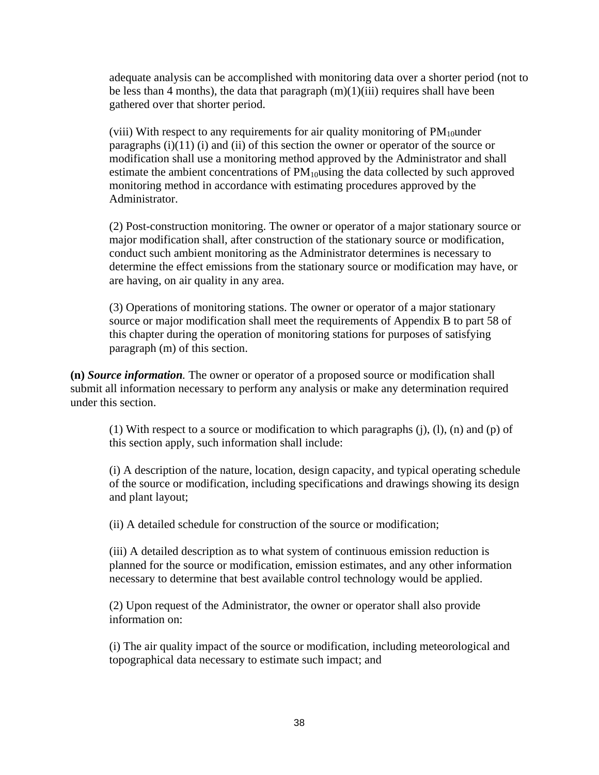adequate analysis can be accomplished with monitoring data over a shorter period (not to be less than 4 months), the data that paragraph  $(m)(1)(iii)$  requires shall have been gathered over that shorter period.

(viii) With respect to any requirements for air quality monitoring of  $PM_{10}$ under paragraphs (i)(11) (i) and (ii) of this section the owner or operator of the source or modification shall use a monitoring method approved by the Administrator and shall estimate the ambient concentrations of  $PM_{10}$ using the data collected by such approved monitoring method in accordance with estimating procedures approved by the Administrator.

(2) Post-construction monitoring. The owner or operator of a major stationary source or major modification shall, after construction of the stationary source or modification, conduct such ambient monitoring as the Administrator determines is necessary to determine the effect emissions from the stationary source or modification may have, or are having, on air quality in any area.

(3) Operations of monitoring stations. The owner or operator of a major stationary source or major modification shall meet the requirements of Appendix B to part 58 of this chapter during the operation of monitoring stations for purposes of satisfying paragraph (m) of this section.

**(n)** *Source information.* The owner or operator of a proposed source or modification shall submit all information necessary to perform any analysis or make any determination required under this section.

(1) With respect to a source or modification to which paragraphs  $(i)$ ,  $(l)$ ,  $(n)$  and  $(p)$  of this section apply, such information shall include:

(i) A description of the nature, location, design capacity, and typical operating schedule of the source or modification, including specifications and drawings showing its design and plant layout;

(ii) A detailed schedule for construction of the source or modification;

(iii) A detailed description as to what system of continuous emission reduction is planned for the source or modification, emission estimates, and any other information necessary to determine that best available control technology would be applied.

(2) Upon request of the Administrator, the owner or operator shall also provide information on:

(i) The air quality impact of the source or modification, including meteorological and topographical data necessary to estimate such impact; and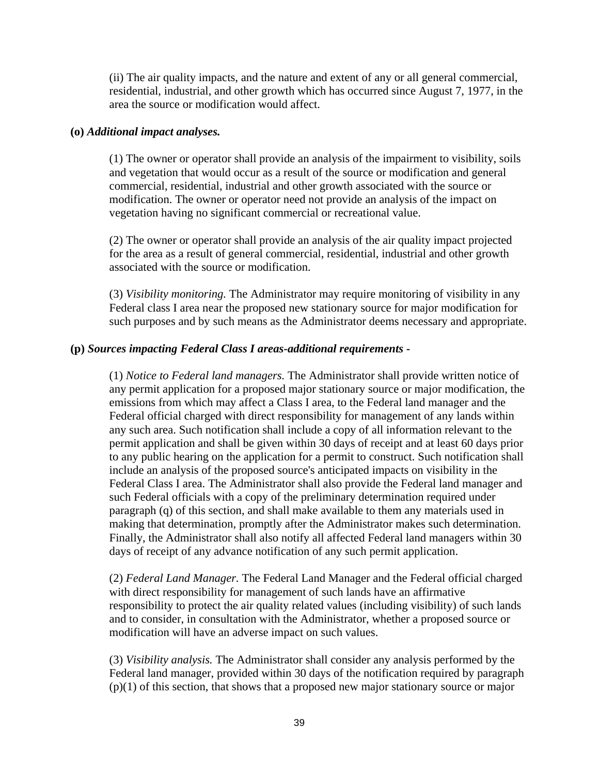(ii) The air quality impacts, and the nature and extent of any or all general commercial, residential, industrial, and other growth which has occurred since August 7, 1977, in the area the source or modification would affect.

#### **(o)** *Additional impact analyses.*

(1) The owner or operator shall provide an analysis of the impairment to visibility, soils and vegetation that would occur as a result of the source or modification and general commercial, residential, industrial and other growth associated with the source or modification. The owner or operator need not provide an analysis of the impact on vegetation having no significant commercial or recreational value.

(2) The owner or operator shall provide an analysis of the air quality impact projected for the area as a result of general commercial, residential, industrial and other growth associated with the source or modification.

(3) *Visibility monitoring.* The Administrator may require monitoring of visibility in any Federal class I area near the proposed new stationary source for major modification for such purposes and by such means as the Administrator deems necessary and appropriate.

#### **(p)** *Sources impacting Federal Class I areas-additional requirements* **-**

(1) *Notice to Federal land managers.* The Administrator shall provide written notice of any permit application for a proposed major stationary source or major modification, the emissions from which may affect a Class I area, to the Federal land manager and the Federal official charged with direct responsibility for management of any lands within any such area. Such notification shall include a copy of all information relevant to the permit application and shall be given within 30 days of receipt and at least 60 days prior to any public hearing on the application for a permit to construct. Such notification shall include an analysis of the proposed source's anticipated impacts on visibility in the Federal Class I area. The Administrator shall also provide the Federal land manager and such Federal officials with a copy of the preliminary determination required under paragraph (q) of this section, and shall make available to them any materials used in making that determination, promptly after the Administrator makes such determination. Finally, the Administrator shall also notify all affected Federal land managers within 30 days of receipt of any advance notification of any such permit application.

(2) *Federal Land Manager.* The Federal Land Manager and the Federal official charged with direct responsibility for management of such lands have an affirmative responsibility to protect the air quality related values (including visibility) of such lands and to consider, in consultation with the Administrator, whether a proposed source or modification will have an adverse impact on such values.

(3) *Visibility analysis.* The Administrator shall consider any analysis performed by the Federal land manager, provided within 30 days of the notification required by paragraph (p)(1) of this section, that shows that a proposed new major stationary source or major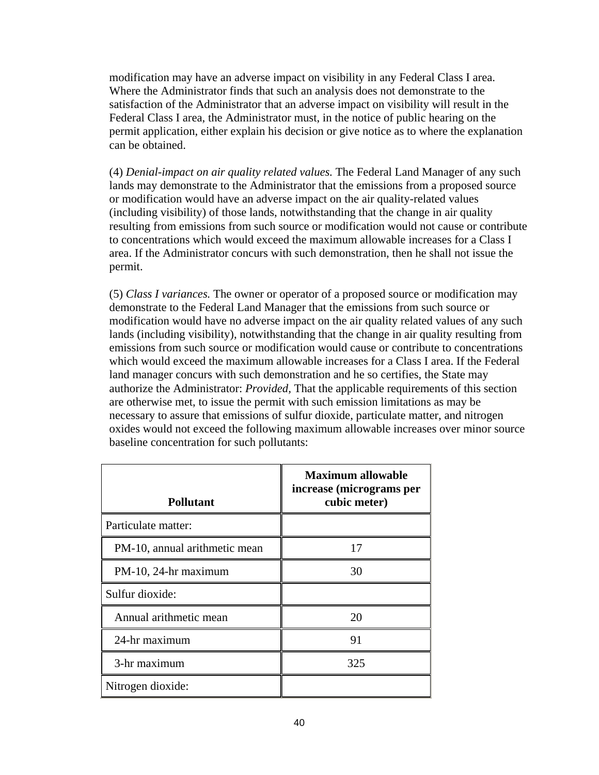modification may have an adverse impact on visibility in any Federal Class I area. Where the Administrator finds that such an analysis does not demonstrate to the satisfaction of the Administrator that an adverse impact on visibility will result in the Federal Class I area, the Administrator must, in the notice of public hearing on the permit application, either explain his decision or give notice as to where the explanation can be obtained.

(4) *Denial-impact on air quality related values.* The Federal Land Manager of any such lands may demonstrate to the Administrator that the emissions from a proposed source or modification would have an adverse impact on the air quality-related values (including visibility) of those lands, notwithstanding that the change in air quality resulting from emissions from such source or modification would not cause or contribute to concentrations which would exceed the maximum allowable increases for a Class I area. If the Administrator concurs with such demonstration, then he shall not issue the permit.

(5) *Class I variances.* The owner or operator of a proposed source or modification may demonstrate to the Federal Land Manager that the emissions from such source or modification would have no adverse impact on the air quality related values of any such lands (including visibility), notwithstanding that the change in air quality resulting from emissions from such source or modification would cause or contribute to concentrations which would exceed the maximum allowable increases for a Class I area. If the Federal land manager concurs with such demonstration and he so certifies, the State may authorize the Administrator: *Provided,* That the applicable requirements of this section are otherwise met, to issue the permit with such emission limitations as may be necessary to assure that emissions of sulfur dioxide, particulate matter, and nitrogen oxides would not exceed the following maximum allowable increases over minor source baseline concentration for such pollutants:

| <b>Pollutant</b>              | <b>Maximum allowable</b><br>increase (micrograms per<br>cubic meter) |  |
|-------------------------------|----------------------------------------------------------------------|--|
| Particulate matter:           |                                                                      |  |
| PM-10, annual arithmetic mean | 17                                                                   |  |
| PM-10, 24-hr maximum          | 30                                                                   |  |
| Sulfur dioxide:               |                                                                      |  |
| Annual arithmetic mean        | 20                                                                   |  |
| 24-hr maximum                 | 91                                                                   |  |
| 3-hr maximum                  | 325                                                                  |  |
| Nitrogen dioxide:             |                                                                      |  |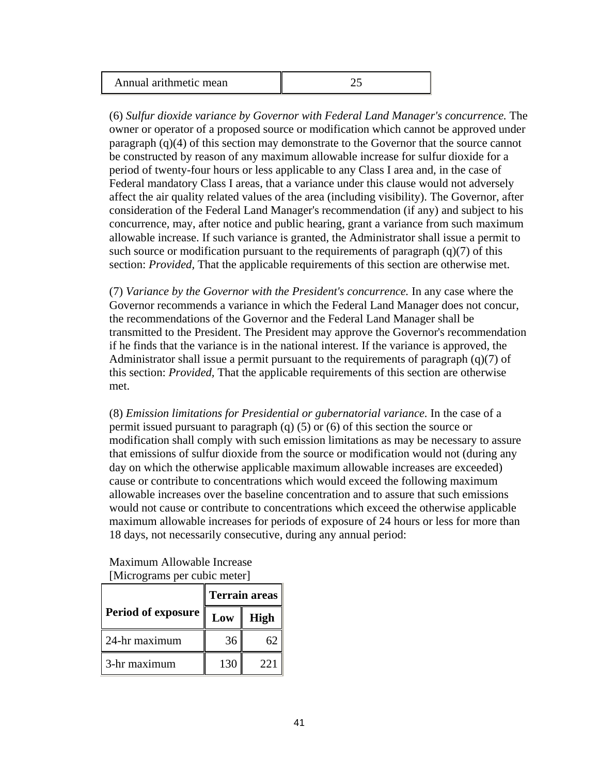| Annual arithmetic mean |  |
|------------------------|--|
|------------------------|--|

(6) *Sulfur dioxide variance by Governor with Federal Land Manager's concurrence.* The owner or operator of a proposed source or modification which cannot be approved under paragraph (q)(4) of this section may demonstrate to the Governor that the source cannot be constructed by reason of any maximum allowable increase for sulfur dioxide for a period of twenty-four hours or less applicable to any Class I area and, in the case of Federal mandatory Class I areas, that a variance under this clause would not adversely affect the air quality related values of the area (including visibility). The Governor, after consideration of the Federal Land Manager's recommendation (if any) and subject to his concurrence, may, after notice and public hearing, grant a variance from such maximum allowable increase. If such variance is granted, the Administrator shall issue a permit to such source or modification pursuant to the requirements of paragraph  $(q)(7)$  of this section: *Provided,* That the applicable requirements of this section are otherwise met.

(7) *Variance by the Governor with the President's concurrence.* In any case where the Governor recommends a variance in which the Federal Land Manager does not concur, the recommendations of the Governor and the Federal Land Manager shall be transmitted to the President. The President may approve the Governor's recommendation if he finds that the variance is in the national interest. If the variance is approved, the Administrator shall issue a permit pursuant to the requirements of paragraph (q)(7) of this section: *Provided,* That the applicable requirements of this section are otherwise met.

(8) *Emission limitations for Presidential or gubernatorial variance.* In the case of a permit issued pursuant to paragraph (q) (5) or (6) of this section the source or modification shall comply with such emission limitations as may be necessary to assure that emissions of sulfur dioxide from the source or modification would not (during any day on which the otherwise applicable maximum allowable increases are exceeded) cause or contribute to concentrations which would exceed the following maximum allowable increases over the baseline concentration and to assure that such emissions would not cause or contribute to concentrations which exceed the otherwise applicable maximum allowable increases for periods of exposure of 24 hours or less for more than 18 days, not necessarily consecutive, during any annual period:

|                    | <b>Terrain areas</b> |      |  |
|--------------------|----------------------|------|--|
| Period of exposure | Low                  | High |  |
| 24-hr maximum      | 36                   | 62   |  |
| 3-hr maximum       | 130                  | 221  |  |

Maximum Allowable Increase [Micrograms per cubic meter]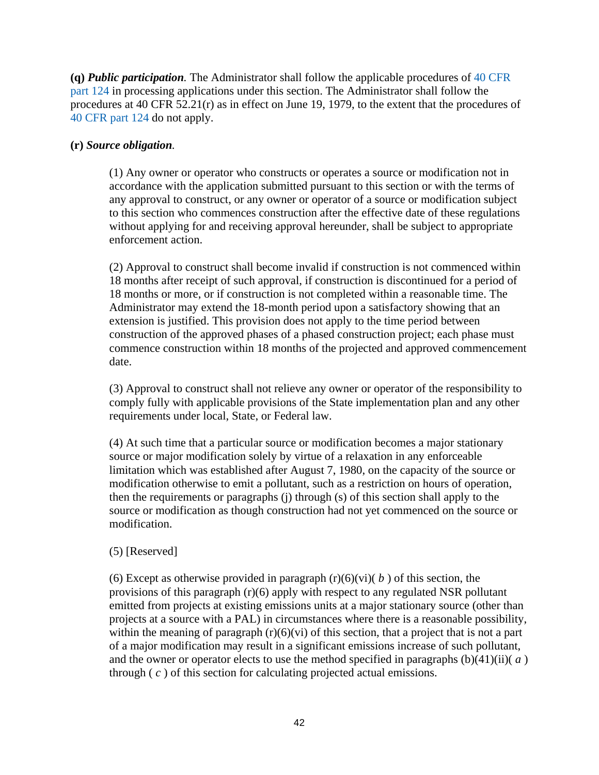**(q)** *Public participation.* The Administrator shall follow the applicable procedures of 40 CFR part 124 in processing applications under this section. The Administrator shall follow the procedures at 40 CFR 52.21(r) as in effect on June 19, 1979, to the extent that the procedures of 40 CFR part 124 do not apply.

## **(r)** *Source obligation.*

(1) Any owner or operator who constructs or operates a source or modification not in accordance with the application submitted pursuant to this section or with the terms of any approval to construct, or any owner or operator of a source or modification subject to this section who commences construction after the effective date of these regulations without applying for and receiving approval hereunder, shall be subject to appropriate enforcement action.

(2) Approval to construct shall become invalid if construction is not commenced within 18 months after receipt of such approval, if construction is discontinued for a period of 18 months or more, or if construction is not completed within a reasonable time. The Administrator may extend the 18-month period upon a satisfactory showing that an extension is justified. This provision does not apply to the time period between construction of the approved phases of a phased construction project; each phase must commence construction within 18 months of the projected and approved commencement date.

(3) Approval to construct shall not relieve any owner or operator of the responsibility to comply fully with applicable provisions of the State implementation plan and any other requirements under local, State, or Federal law.

(4) At such time that a particular source or modification becomes a major stationary source or major modification solely by virtue of a relaxation in any enforceable limitation which was established after August 7, 1980, on the capacity of the source or modification otherwise to emit a pollutant, such as a restriction on hours of operation, then the requirements or paragraphs (j) through (s) of this section shall apply to the source or modification as though construction had not yet commenced on the source or modification.

# (5) [Reserved]

(6) Except as otherwise provided in paragraph  $(r)(6)(vi)(b)$  of this section, the provisions of this paragraph (r)(6) apply with respect to any regulated NSR pollutant emitted from projects at existing emissions units at a major stationary source (other than projects at a source with a PAL) in circumstances where there is a reasonable possibility, within the meaning of paragraph  $(r)(6)(vi)$  of this section, that a project that is not a part of a major modification may result in a significant emissions increase of such pollutant, and the owner or operator elects to use the method specified in paragraphs (b)(41)(ii)( *a* ) through ( *c* ) of this section for calculating projected actual emissions.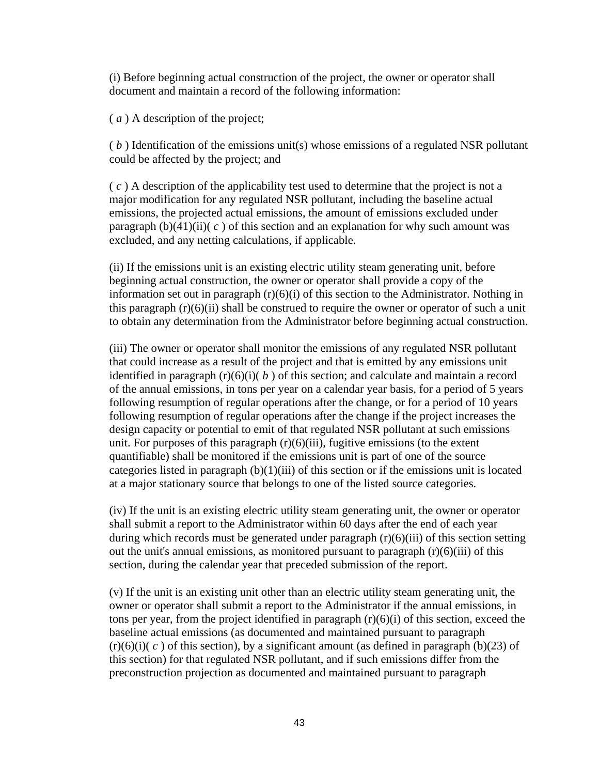(i) Before beginning actual construction of the project, the owner or operator shall document and maintain a record of the following information:

( *a* ) A description of the project;

( *b* ) Identification of the emissions unit(s) whose emissions of a regulated NSR pollutant could be affected by the project; and

( *c* ) A description of the applicability test used to determine that the project is not a major modification for any regulated NSR pollutant, including the baseline actual emissions, the projected actual emissions, the amount of emissions excluded under paragraph  $(b)(41)(ii)$  *c*) of this section and an explanation for why such amount was excluded, and any netting calculations, if applicable.

(ii) If the emissions unit is an existing electric utility steam generating unit, before beginning actual construction, the owner or operator shall provide a copy of the information set out in paragraph  $(r)(6)(i)$  of this section to the Administrator. Nothing in this paragraph  $(r)(6)(ii)$  shall be construed to require the owner or operator of such a unit to obtain any determination from the Administrator before beginning actual construction.

(iii) The owner or operator shall monitor the emissions of any regulated NSR pollutant that could increase as a result of the project and that is emitted by any emissions unit identified in paragraph  $(r)(6)(i)(b)$  of this section; and calculate and maintain a record of the annual emissions, in tons per year on a calendar year basis, for a period of 5 years following resumption of regular operations after the change, or for a period of 10 years following resumption of regular operations after the change if the project increases the design capacity or potential to emit of that regulated NSR pollutant at such emissions unit. For purposes of this paragraph  $(r)(6)(iii)$ , fugitive emissions (to the extent quantifiable) shall be monitored if the emissions unit is part of one of the source categories listed in paragraph  $(b)(1)(iii)$  of this section or if the emissions unit is located at a major stationary source that belongs to one of the listed source categories.

(iv) If the unit is an existing electric utility steam generating unit, the owner or operator shall submit a report to the Administrator within 60 days after the end of each year during which records must be generated under paragraph  $(r)(6)(iii)$  of this section setting out the unit's annual emissions, as monitored pursuant to paragraph  $(r)(6)(iii)$  of this section, during the calendar year that preceded submission of the report.

(v) If the unit is an existing unit other than an electric utility steam generating unit, the owner or operator shall submit a report to the Administrator if the annual emissions, in tons per year, from the project identified in paragraph (r)(6)(i) of this section, exceed the baseline actual emissions (as documented and maintained pursuant to paragraph  $(r)(6)(i)(c)$  of this section), by a significant amount (as defined in paragraph (b)(23) of this section) for that regulated NSR pollutant, and if such emissions differ from the preconstruction projection as documented and maintained pursuant to paragraph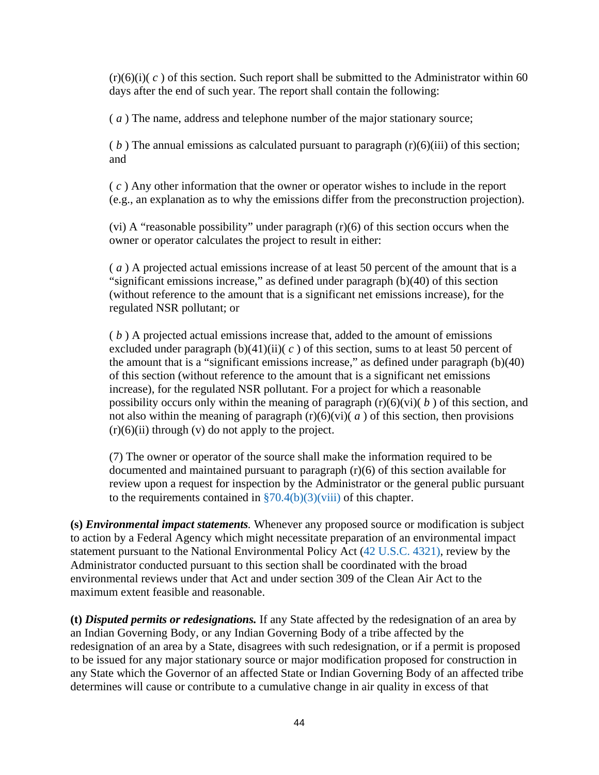$(r)(6)(i)(c)$  of this section. Such report shall be submitted to the Administrator within 60 days after the end of such year. The report shall contain the following:

( *a* ) The name, address and telephone number of the major stationary source;

 $(b)$  The annual emissions as calculated pursuant to paragraph  $(r)(6)(iii)$  of this section; and

( *c* ) Any other information that the owner or operator wishes to include in the report (e.g., an explanation as to why the emissions differ from the preconstruction projection).

(vi) A "reasonable possibility" under paragraph (r)(6) of this section occurs when the owner or operator calculates the project to result in either:

( *a* ) A projected actual emissions increase of at least 50 percent of the amount that is a "significant emissions increase," as defined under paragraph (b)(40) of this section (without reference to the amount that is a significant net emissions increase), for the regulated NSR pollutant; or

( *b* ) A projected actual emissions increase that, added to the amount of emissions excluded under paragraph  $(b)(41)(ii)(c)$  of this section, sums to at least 50 percent of the amount that is a "significant emissions increase," as defined under paragraph (b)(40) of this section (without reference to the amount that is a significant net emissions increase), for the regulated NSR pollutant. For a project for which a reasonable possibility occurs only within the meaning of paragraph (r)(6)(vi)( *b* ) of this section, and not also within the meaning of paragraph  $(r)(6)(vi)(a)$  of this section, then provisions  $(r)(6)(ii)$  through  $(v)$  do not apply to the project.

(7) The owner or operator of the source shall make the information required to be documented and maintained pursuant to paragraph (r)(6) of this section available for review upon a request for inspection by the Administrator or the general public pursuant to the requirements contained in  $\S70.4(b)(3)(viii)$  of this chapter.

**(s)** *Environmental impact statements.* Whenever any proposed source or modification is subject to action by a Federal Agency which might necessitate preparation of an environmental impact statement pursuant to the National Environmental Policy Act (42 U.S.C. 4321), review by the Administrator conducted pursuant to this section shall be coordinated with the broad environmental reviews under that Act and under section 309 of the Clean Air Act to the maximum extent feasible and reasonable.

**(t)** *Disputed permits or redesignations.* If any State affected by the redesignation of an area by an Indian Governing Body, or any Indian Governing Body of a tribe affected by the redesignation of an area by a State, disagrees with such redesignation, or if a permit is proposed to be issued for any major stationary source or major modification proposed for construction in any State which the Governor of an affected State or Indian Governing Body of an affected tribe determines will cause or contribute to a cumulative change in air quality in excess of that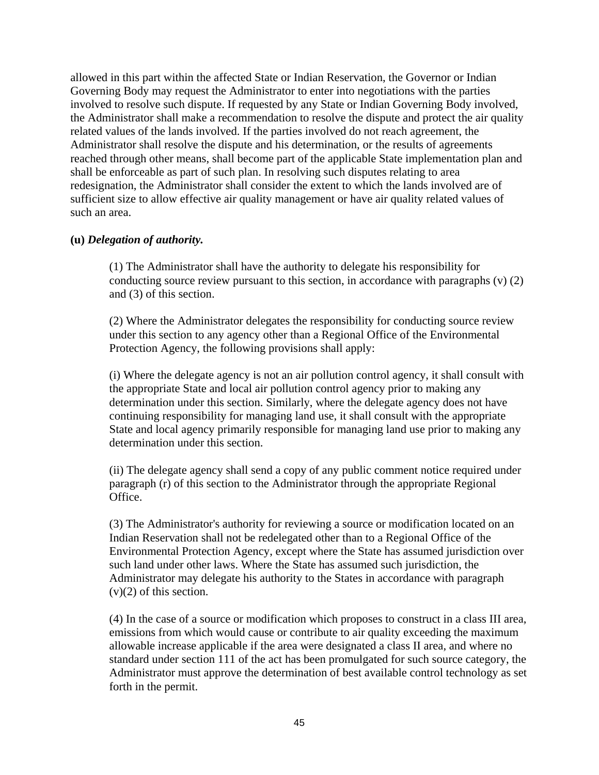allowed in this part within the affected State or Indian Reservation, the Governor or Indian Governing Body may request the Administrator to enter into negotiations with the parties involved to resolve such dispute. If requested by any State or Indian Governing Body involved, the Administrator shall make a recommendation to resolve the dispute and protect the air quality related values of the lands involved. If the parties involved do not reach agreement, the Administrator shall resolve the dispute and his determination, or the results of agreements reached through other means, shall become part of the applicable State implementation plan and shall be enforceable as part of such plan. In resolving such disputes relating to area redesignation, the Administrator shall consider the extent to which the lands involved are of sufficient size to allow effective air quality management or have air quality related values of such an area.

### **(u)** *Delegation of authority.*

(1) The Administrator shall have the authority to delegate his responsibility for conducting source review pursuant to this section, in accordance with paragraphs  $(v)$  (2) and (3) of this section.

(2) Where the Administrator delegates the responsibility for conducting source review under this section to any agency other than a Regional Office of the Environmental Protection Agency, the following provisions shall apply:

(i) Where the delegate agency is not an air pollution control agency, it shall consult with the appropriate State and local air pollution control agency prior to making any determination under this section. Similarly, where the delegate agency does not have continuing responsibility for managing land use, it shall consult with the appropriate State and local agency primarily responsible for managing land use prior to making any determination under this section.

(ii) The delegate agency shall send a copy of any public comment notice required under paragraph (r) of this section to the Administrator through the appropriate Regional Office.

(3) The Administrator's authority for reviewing a source or modification located on an Indian Reservation shall not be redelegated other than to a Regional Office of the Environmental Protection Agency, except where the State has assumed jurisdiction over such land under other laws. Where the State has assumed such jurisdiction, the Administrator may delegate his authority to the States in accordance with paragraph  $(v)(2)$  of this section.

(4) In the case of a source or modification which proposes to construct in a class III area, emissions from which would cause or contribute to air quality exceeding the maximum allowable increase applicable if the area were designated a class II area, and where no standard under section 111 of the act has been promulgated for such source category, the Administrator must approve the determination of best available control technology as set forth in the permit.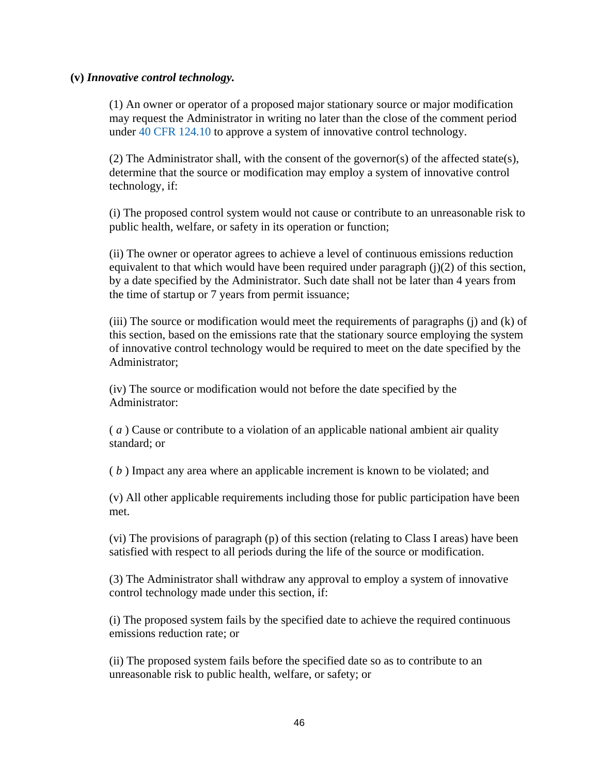### **(v)** *Innovative control technology.*

(1) An owner or operator of a proposed major stationary source or major modification may request the Administrator in writing no later than the close of the comment period under 40 CFR 124.10 to approve a system of innovative control technology.

(2) The Administrator shall, with the consent of the governor(s) of the affected state(s), determine that the source or modification may employ a system of innovative control technology, if:

(i) The proposed control system would not cause or contribute to an unreasonable risk to public health, welfare, or safety in its operation or function;

(ii) The owner or operator agrees to achieve a level of continuous emissions reduction equivalent to that which would have been required under paragraph (j)(2) of this section, by a date specified by the Administrator. Such date shall not be later than 4 years from the time of startup or 7 years from permit issuance;

(iii) The source or modification would meet the requirements of paragraphs (j) and (k) of this section, based on the emissions rate that the stationary source employing the system of innovative control technology would be required to meet on the date specified by the Administrator;

(iv) The source or modification would not before the date specified by the Administrator:

( *a* ) Cause or contribute to a violation of an applicable national ambient air quality standard; or

( *b* ) Impact any area where an applicable increment is known to be violated; and

(v) All other applicable requirements including those for public participation have been met.

(vi) The provisions of paragraph (p) of this section (relating to Class I areas) have been satisfied with respect to all periods during the life of the source or modification.

(3) The Administrator shall withdraw any approval to employ a system of innovative control technology made under this section, if:

(i) The proposed system fails by the specified date to achieve the required continuous emissions reduction rate; or

(ii) The proposed system fails before the specified date so as to contribute to an unreasonable risk to public health, welfare, or safety; or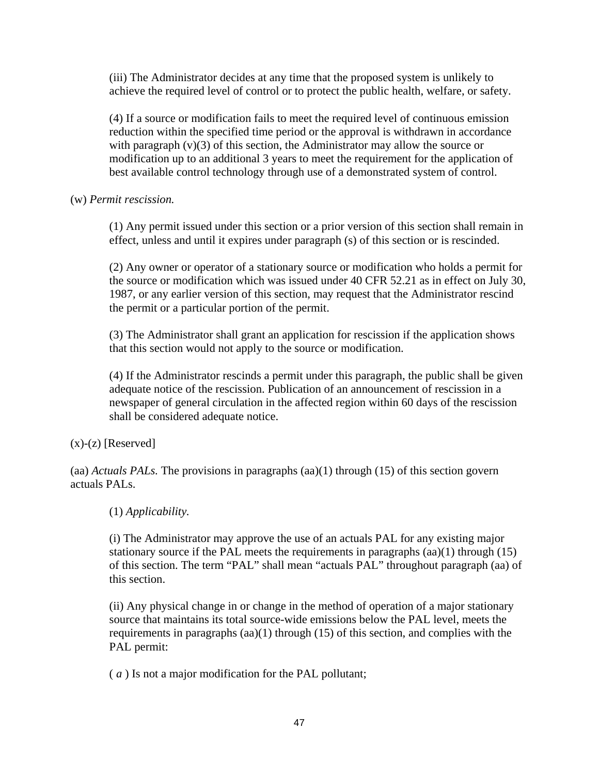(iii) The Administrator decides at any time that the proposed system is unlikely to achieve the required level of control or to protect the public health, welfare, or safety.

(4) If a source or modification fails to meet the required level of continuous emission reduction within the specified time period or the approval is withdrawn in accordance with paragraph  $(v)(3)$  of this section, the Administrator may allow the source or modification up to an additional 3 years to meet the requirement for the application of best available control technology through use of a demonstrated system of control.

### (w) *Permit rescission.*

(1) Any permit issued under this section or a prior version of this section shall remain in effect, unless and until it expires under paragraph (s) of this section or is rescinded.

(2) Any owner or operator of a stationary source or modification who holds a permit for the source or modification which was issued under 40 CFR 52.21 as in effect on July 30, 1987, or any earlier version of this section, may request that the Administrator rescind the permit or a particular portion of the permit.

(3) The Administrator shall grant an application for rescission if the application shows that this section would not apply to the source or modification.

(4) If the Administrator rescinds a permit under this paragraph, the public shall be given adequate notice of the rescission. Publication of an announcement of rescission in a newspaper of general circulation in the affected region within 60 days of the rescission shall be considered adequate notice.

 $(x)-(z)$  [Reserved]

(aa) *Actuals PALs.* The provisions in paragraphs (aa)(1) through (15) of this section govern actuals PALs.

# (1) *Applicability.*

(i) The Administrator may approve the use of an actuals PAL for any existing major stationary source if the PAL meets the requirements in paragraphs (aa)(1) through (15) of this section. The term "PAL" shall mean "actuals PAL" throughout paragraph (aa) of this section.

(ii) Any physical change in or change in the method of operation of a major stationary source that maintains its total source-wide emissions below the PAL level, meets the requirements in paragraphs (aa)(1) through (15) of this section, and complies with the PAL permit:

( *a* ) Is not a major modification for the PAL pollutant;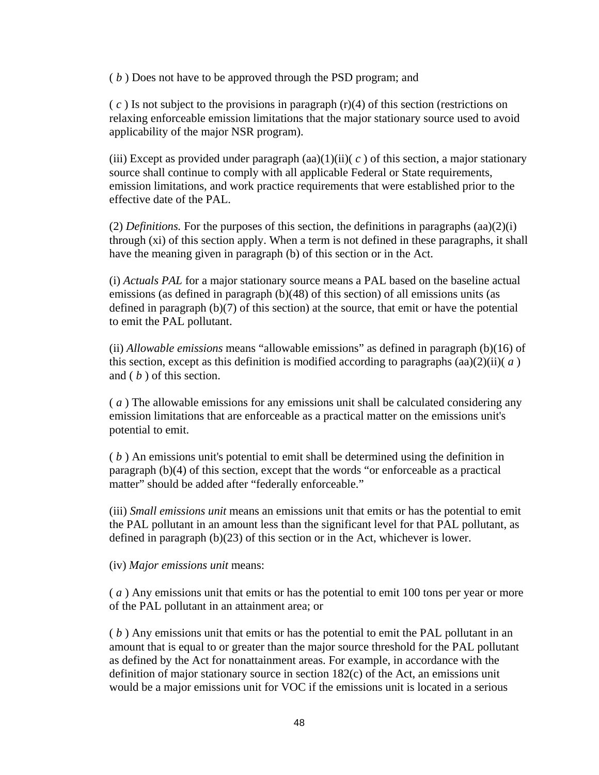( *b* ) Does not have to be approved through the PSD program; and

 $(c)$  Is not subject to the provisions in paragraph  $(r)(4)$  of this section (restrictions on relaxing enforceable emission limitations that the major stationary source used to avoid applicability of the major NSR program).

(iii) Except as provided under paragraph  $(aa)(1)(ii)(c)$  of this section, a major stationary source shall continue to comply with all applicable Federal or State requirements, emission limitations, and work practice requirements that were established prior to the effective date of the PAL.

(2) *Definitions*. For the purposes of this section, the definitions in paragraphs  $(aa)(2)(i)$ through (xi) of this section apply. When a term is not defined in these paragraphs, it shall have the meaning given in paragraph (b) of this section or in the Act.

(i) *Actuals PAL* for a major stationary source means a PAL based on the baseline actual emissions (as defined in paragraph (b)(48) of this section) of all emissions units (as defined in paragraph (b)(7) of this section) at the source, that emit or have the potential to emit the PAL pollutant.

(ii) *Allowable emissions* means "allowable emissions" as defined in paragraph (b)(16) of this section, except as this definition is modified according to paragraphs (aa)(2)(ii)( $a$ ) and ( *b* ) of this section.

( *a* ) The allowable emissions for any emissions unit shall be calculated considering any emission limitations that are enforceable as a practical matter on the emissions unit's potential to emit.

( *b* ) An emissions unit's potential to emit shall be determined using the definition in paragraph (b)(4) of this section, except that the words "or enforceable as a practical matter" should be added after "federally enforceable."

(iii) *Small emissions unit* means an emissions unit that emits or has the potential to emit the PAL pollutant in an amount less than the significant level for that PAL pollutant, as defined in paragraph (b)(23) of this section or in the Act, whichever is lower.

(iv) *Major emissions unit* means:

( *a* ) Any emissions unit that emits or has the potential to emit 100 tons per year or more of the PAL pollutant in an attainment area; or

( *b* ) Any emissions unit that emits or has the potential to emit the PAL pollutant in an amount that is equal to or greater than the major source threshold for the PAL pollutant as defined by the Act for nonattainment areas. For example, in accordance with the definition of major stationary source in section 182(c) of the Act, an emissions unit would be a major emissions unit for VOC if the emissions unit is located in a serious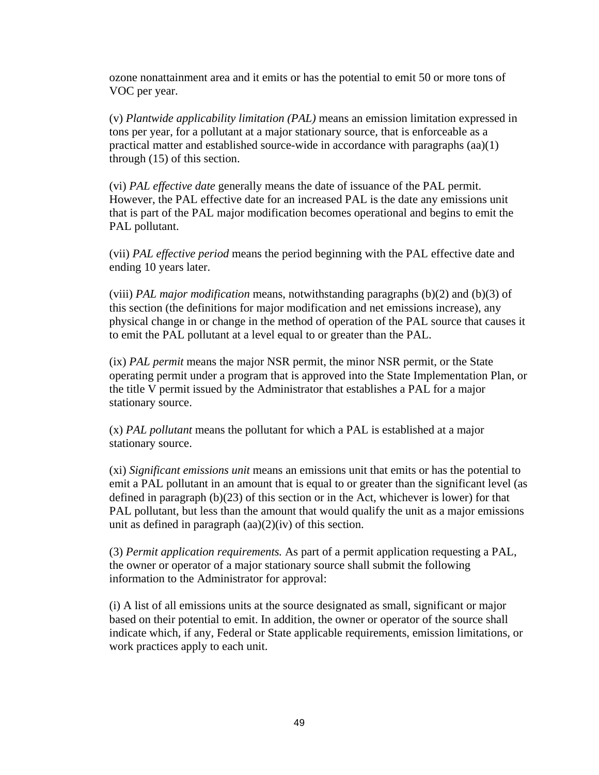ozone nonattainment area and it emits or has the potential to emit 50 or more tons of VOC per year.

(v) *Plantwide applicability limitation (PAL)* means an emission limitation expressed in tons per year, for a pollutant at a major stationary source, that is enforceable as a practical matter and established source-wide in accordance with paragraphs (aa)(1) through (15) of this section.

(vi) *PAL effective date* generally means the date of issuance of the PAL permit. However, the PAL effective date for an increased PAL is the date any emissions unit that is part of the PAL major modification becomes operational and begins to emit the PAL pollutant.

(vii) *PAL effective period* means the period beginning with the PAL effective date and ending 10 years later.

(viii) *PAL major modification* means, notwithstanding paragraphs (b)(2) and (b)(3) of this section (the definitions for major modification and net emissions increase), any physical change in or change in the method of operation of the PAL source that causes it to emit the PAL pollutant at a level equal to or greater than the PAL.

(ix) *PAL permit* means the major NSR permit, the minor NSR permit, or the State operating permit under a program that is approved into the State Implementation Plan, or the title V permit issued by the Administrator that establishes a PAL for a major stationary source.

(x) *PAL pollutant* means the pollutant for which a PAL is established at a major stationary source.

(xi) *Significant emissions unit* means an emissions unit that emits or has the potential to emit a PAL pollutant in an amount that is equal to or greater than the significant level (as defined in paragraph (b)(23) of this section or in the Act, whichever is lower) for that PAL pollutant, but less than the amount that would qualify the unit as a major emissions unit as defined in paragraph  $(aa)(2)(iv)$  of this section.

(3) *Permit application requirements.* As part of a permit application requesting a PAL, the owner or operator of a major stationary source shall submit the following information to the Administrator for approval:

(i) A list of all emissions units at the source designated as small, significant or major based on their potential to emit. In addition, the owner or operator of the source shall indicate which, if any, Federal or State applicable requirements, emission limitations, or work practices apply to each unit.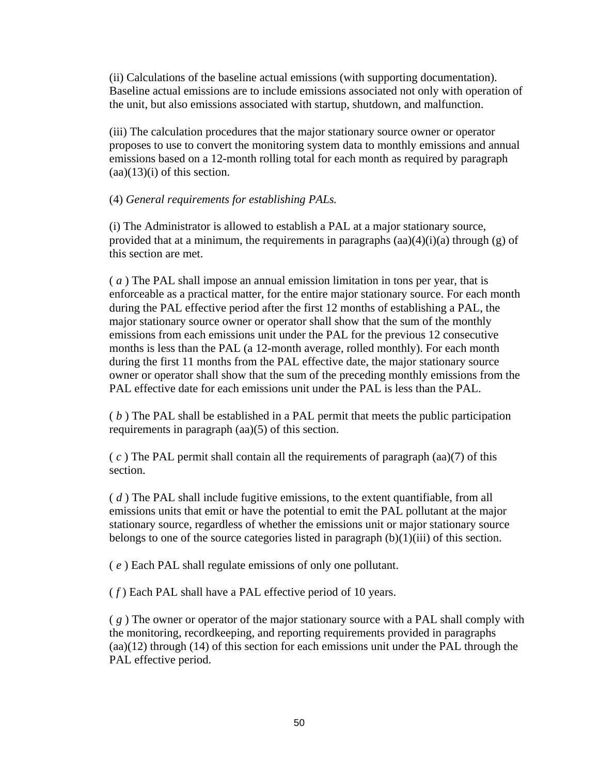(ii) Calculations of the baseline actual emissions (with supporting documentation). Baseline actual emissions are to include emissions associated not only with operation of the unit, but also emissions associated with startup, shutdown, and malfunction.

(iii) The calculation procedures that the major stationary source owner or operator proposes to use to convert the monitoring system data to monthly emissions and annual emissions based on a 12-month rolling total for each month as required by paragraph  $(aa)(13)(i)$  of this section.

(4) *General requirements for establishing PALs.* 

(i) The Administrator is allowed to establish a PAL at a major stationary source, provided that at a minimum, the requirements in paragraphs  $(aa)(4)(i)(a)$  through  $(g)$  of this section are met.

( *a* ) The PAL shall impose an annual emission limitation in tons per year, that is enforceable as a practical matter, for the entire major stationary source. For each month during the PAL effective period after the first 12 months of establishing a PAL, the major stationary source owner or operator shall show that the sum of the monthly emissions from each emissions unit under the PAL for the previous 12 consecutive months is less than the PAL (a 12-month average, rolled monthly). For each month during the first 11 months from the PAL effective date, the major stationary source owner or operator shall show that the sum of the preceding monthly emissions from the PAL effective date for each emissions unit under the PAL is less than the PAL.

( *b* ) The PAL shall be established in a PAL permit that meets the public participation requirements in paragraph (aa)(5) of this section.

( *c* ) The PAL permit shall contain all the requirements of paragraph (aa)(7) of this section.

( *d* ) The PAL shall include fugitive emissions, to the extent quantifiable, from all emissions units that emit or have the potential to emit the PAL pollutant at the major stationary source, regardless of whether the emissions unit or major stationary source belongs to one of the source categories listed in paragraph  $(b)(1)(iii)$  of this section.

( *e* ) Each PAL shall regulate emissions of only one pollutant.

( *f* ) Each PAL shall have a PAL effective period of 10 years.

( *g* ) The owner or operator of the major stationary source with a PAL shall comply with the monitoring, recordkeeping, and reporting requirements provided in paragraphs (aa)(12) through (14) of this section for each emissions unit under the PAL through the PAL effective period.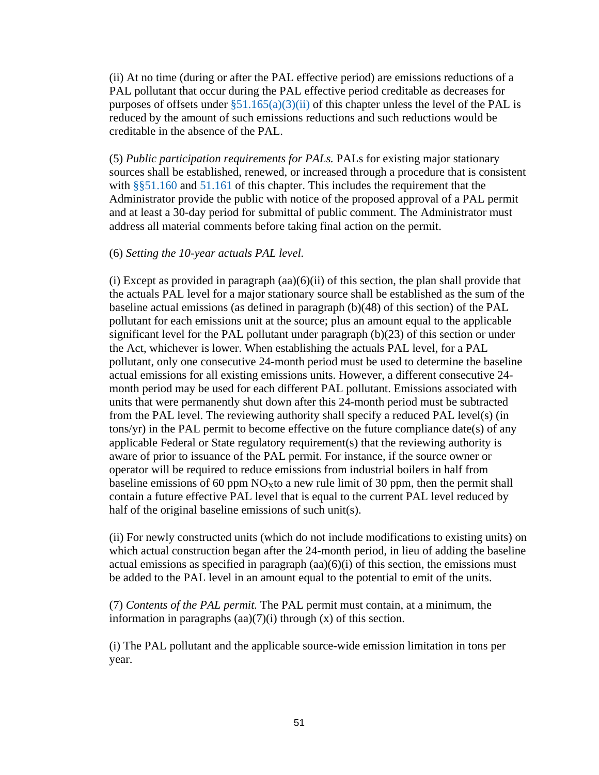(ii) At no time (during or after the PAL effective period) are emissions reductions of a PAL pollutant that occur during the PAL effective period creditable as decreases for purposes of offsets under  $\S 51.165(a)(3)(ii)$  of this chapter unless the level of the PAL is reduced by the amount of such emissions reductions and such reductions would be creditable in the absence of the PAL.

(5) *Public participation requirements for PALs.* PALs for existing major stationary sources shall be established, renewed, or increased through a procedure that is consistent with §§51.160 and 51.161 of this chapter. This includes the requirement that the Administrator provide the public with notice of the proposed approval of a PAL permit and at least a 30-day period for submittal of public comment. The Administrator must address all material comments before taking final action on the permit.

#### (6) *Setting the 10-year actuals PAL level.*

 $(i)$  Except as provided in paragraph  $(aa)(6)(ii)$  of this section, the plan shall provide that the actuals PAL level for a major stationary source shall be established as the sum of the baseline actual emissions (as defined in paragraph (b)(48) of this section) of the PAL pollutant for each emissions unit at the source; plus an amount equal to the applicable significant level for the PAL pollutant under paragraph  $(b)(23)$  of this section or under the Act, whichever is lower. When establishing the actuals PAL level, for a PAL pollutant, only one consecutive 24-month period must be used to determine the baseline actual emissions for all existing emissions units. However, a different consecutive 24 month period may be used for each different PAL pollutant. Emissions associated with units that were permanently shut down after this 24-month period must be subtracted from the PAL level. The reviewing authority shall specify a reduced PAL level(s) (in tons/yr) in the PAL permit to become effective on the future compliance date(s) of any applicable Federal or State regulatory requirement(s) that the reviewing authority is aware of prior to issuance of the PAL permit. For instance, if the source owner or operator will be required to reduce emissions from industrial boilers in half from baseline emissions of 60 ppm  $NO<sub>x</sub>$  to a new rule limit of 30 ppm, then the permit shall contain a future effective PAL level that is equal to the current PAL level reduced by half of the original baseline emissions of such unit(s).

(ii) For newly constructed units (which do not include modifications to existing units) on which actual construction began after the 24-month period, in lieu of adding the baseline actual emissions as specified in paragraph  $(aa)(6)(i)$  of this section, the emissions must be added to the PAL level in an amount equal to the potential to emit of the units.

(7) *Contents of the PAL permit.* The PAL permit must contain, at a minimum, the information in paragraphs  $(aa)(7)(i)$  through  $(x)$  of this section.

(i) The PAL pollutant and the applicable source-wide emission limitation in tons per year.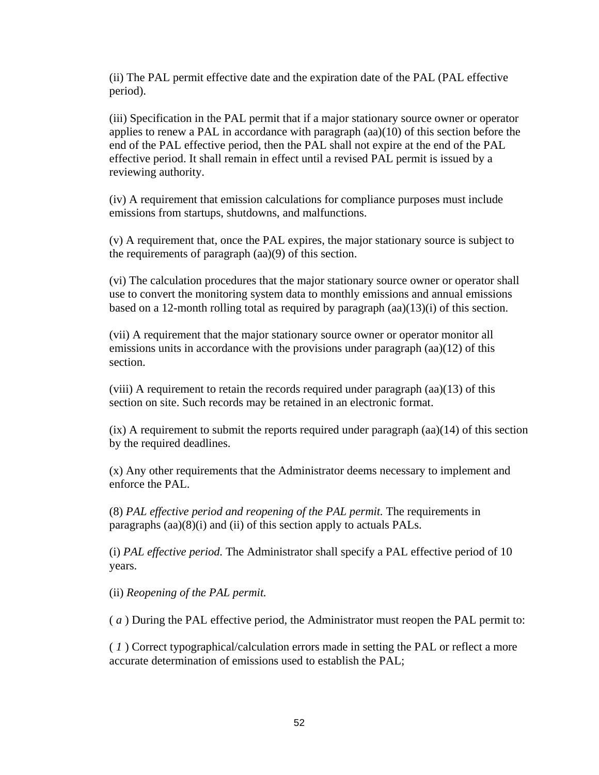(ii) The PAL permit effective date and the expiration date of the PAL (PAL effective period).

(iii) Specification in the PAL permit that if a major stationary source owner or operator applies to renew a PAL in accordance with paragraph  $(aa)(10)$  of this section before the end of the PAL effective period, then the PAL shall not expire at the end of the PAL effective period. It shall remain in effect until a revised PAL permit is issued by a reviewing authority.

(iv) A requirement that emission calculations for compliance purposes must include emissions from startups, shutdowns, and malfunctions.

(v) A requirement that, once the PAL expires, the major stationary source is subject to the requirements of paragraph (aa)(9) of this section.

(vi) The calculation procedures that the major stationary source owner or operator shall use to convert the monitoring system data to monthly emissions and annual emissions based on a 12-month rolling total as required by paragraph  $(aa)(13)(i)$  of this section.

(vii) A requirement that the major stationary source owner or operator monitor all emissions units in accordance with the provisions under paragraph (aa)(12) of this section.

(viii) A requirement to retain the records required under paragraph (aa)(13) of this section on site. Such records may be retained in an electronic format.

 $(ix)$  A requirement to submit the reports required under paragraph  $(aa)(14)$  of this section by the required deadlines.

(x) Any other requirements that the Administrator deems necessary to implement and enforce the PAL.

(8) *PAL effective period and reopening of the PAL permit.* The requirements in paragraphs (aa)(8)(i) and (ii) of this section apply to actuals PALs.

(i) *PAL effective period.* The Administrator shall specify a PAL effective period of 10 years.

(ii) *Reopening of the PAL permit.* 

( *a* ) During the PAL effective period, the Administrator must reopen the PAL permit to:

( *1* ) Correct typographical/calculation errors made in setting the PAL or reflect a more accurate determination of emissions used to establish the PAL;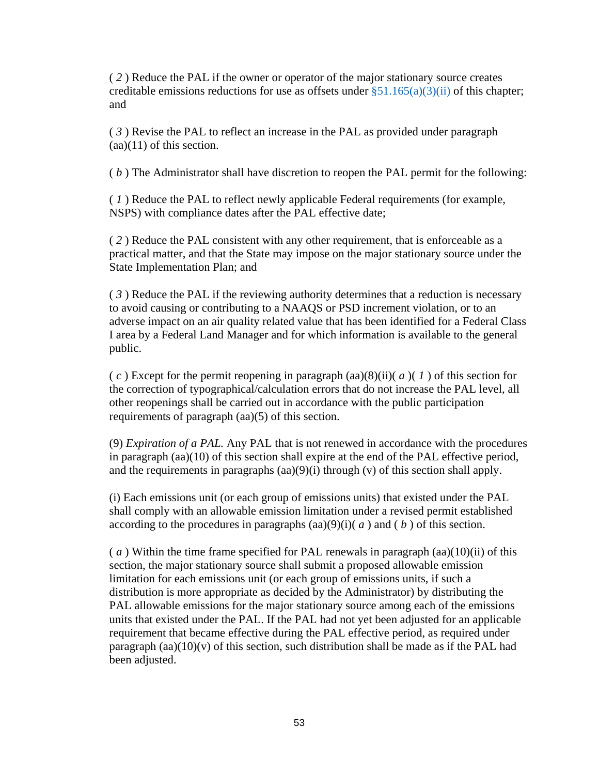( *2* ) Reduce the PAL if the owner or operator of the major stationary source creates creditable emissions reductions for use as offsets under  $\S51.165(a)(3)(ii)$  of this chapter; and

( *3* ) Revise the PAL to reflect an increase in the PAL as provided under paragraph  $(aa)(11)$  of this section.

( *b* ) The Administrator shall have discretion to reopen the PAL permit for the following:

( *1* ) Reduce the PAL to reflect newly applicable Federal requirements (for example, NSPS) with compliance dates after the PAL effective date;

( *2* ) Reduce the PAL consistent with any other requirement, that is enforceable as a practical matter, and that the State may impose on the major stationary source under the State Implementation Plan; and

( *3* ) Reduce the PAL if the reviewing authority determines that a reduction is necessary to avoid causing or contributing to a NAAQS or PSD increment violation, or to an adverse impact on an air quality related value that has been identified for a Federal Class I area by a Federal Land Manager and for which information is available to the general public.

 $(c)$  Except for the permit reopening in paragraph  $(aa)(8)(ii)(a)(1)$  of this section for the correction of typographical/calculation errors that do not increase the PAL level, all other reopenings shall be carried out in accordance with the public participation requirements of paragraph (aa)(5) of this section.

(9) *Expiration of a PAL.* Any PAL that is not renewed in accordance with the procedures in paragraph (aa)(10) of this section shall expire at the end of the PAL effective period, and the requirements in paragraphs (aa)(9)(i) through (v) of this section shall apply.

(i) Each emissions unit (or each group of emissions units) that existed under the PAL shall comply with an allowable emission limitation under a revised permit established according to the procedures in paragraphs  $(aa)(9)(i)(a)$  and  $(b)$  of this section.

 $(a)$  Within the time frame specified for PAL renewals in paragraph  $(aa)(10)(ii)$  of this section, the major stationary source shall submit a proposed allowable emission limitation for each emissions unit (or each group of emissions units, if such a distribution is more appropriate as decided by the Administrator) by distributing the PAL allowable emissions for the major stationary source among each of the emissions units that existed under the PAL. If the PAL had not yet been adjusted for an applicable requirement that became effective during the PAL effective period, as required under paragraph  $(aa)(10)(v)$  of this section, such distribution shall be made as if the PAL had been adjusted.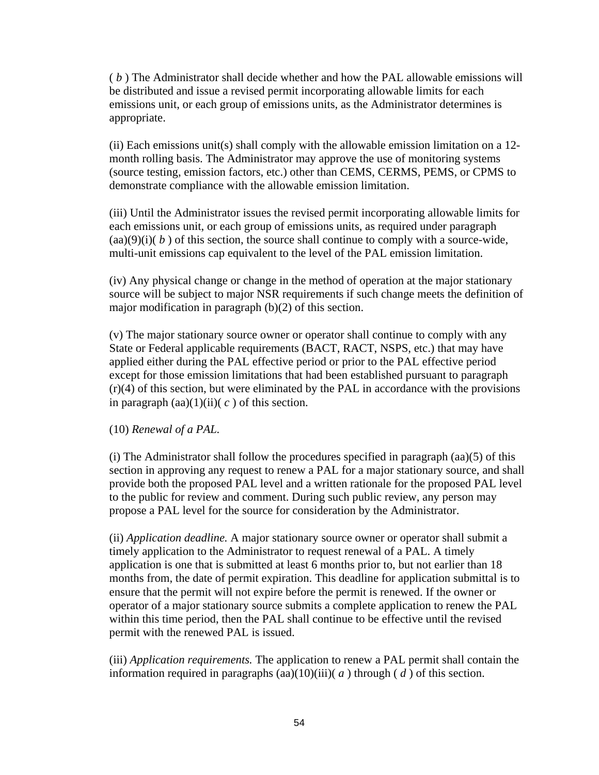( *b* ) The Administrator shall decide whether and how the PAL allowable emissions will be distributed and issue a revised permit incorporating allowable limits for each emissions unit, or each group of emissions units, as the Administrator determines is appropriate.

(ii) Each emissions unit(s) shall comply with the allowable emission limitation on a 12 month rolling basis. The Administrator may approve the use of monitoring systems (source testing, emission factors, etc.) other than CEMS, CERMS, PEMS, or CPMS to demonstrate compliance with the allowable emission limitation.

(iii) Until the Administrator issues the revised permit incorporating allowable limits for each emissions unit, or each group of emissions units, as required under paragraph  $(aa)(9)(i)$  *b*  $)$  of this section, the source shall continue to comply with a source-wide, multi-unit emissions cap equivalent to the level of the PAL emission limitation.

(iv) Any physical change or change in the method of operation at the major stationary source will be subject to major NSR requirements if such change meets the definition of major modification in paragraph (b)(2) of this section.

(v) The major stationary source owner or operator shall continue to comply with any State or Federal applicable requirements (BACT, RACT, NSPS, etc.) that may have applied either during the PAL effective period or prior to the PAL effective period except for those emission limitations that had been established pursuant to paragraph  $(r)(4)$  of this section, but were eliminated by the PAL in accordance with the provisions in paragraph  $(aa)(1)(ii)(c)$  of this section.

(10) *Renewal of a PAL.* 

(i) The Administrator shall follow the procedures specified in paragraph (aa)(5) of this section in approving any request to renew a PAL for a major stationary source, and shall provide both the proposed PAL level and a written rationale for the proposed PAL level to the public for review and comment. During such public review, any person may propose a PAL level for the source for consideration by the Administrator.

(ii) *Application deadline.* A major stationary source owner or operator shall submit a timely application to the Administrator to request renewal of a PAL. A timely application is one that is submitted at least 6 months prior to, but not earlier than 18 months from, the date of permit expiration. This deadline for application submittal is to ensure that the permit will not expire before the permit is renewed. If the owner or operator of a major stationary source submits a complete application to renew the PAL within this time period, then the PAL shall continue to be effective until the revised permit with the renewed PAL is issued.

(iii) *Application requirements.* The application to renew a PAL permit shall contain the information required in paragraphs  $(aa)(10)(iii)$  *a*) through *(d)* of this section.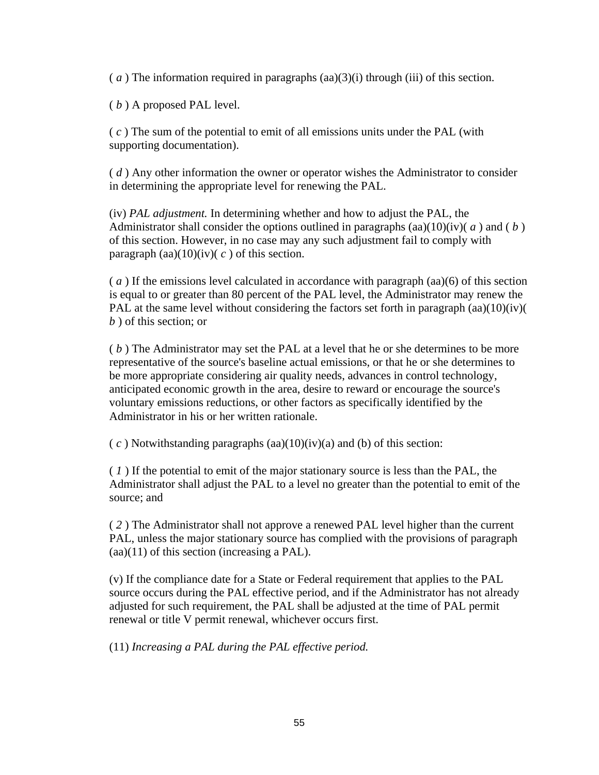$(a)$  The information required in paragraphs  $(aa)(3)(i)$  through (iii) of this section.

( *b* ) A proposed PAL level.

( *c* ) The sum of the potential to emit of all emissions units under the PAL (with supporting documentation).

( *d* ) Any other information the owner or operator wishes the Administrator to consider in determining the appropriate level for renewing the PAL.

(iv) *PAL adjustment.* In determining whether and how to adjust the PAL, the Administrator shall consider the options outlined in paragraphs (aa)(10)(iv)( $a$ ) and ( $b$ ) of this section. However, in no case may any such adjustment fail to comply with paragraph  $(aa)(10)(iv)(c)$  of this section.

( *a* ) If the emissions level calculated in accordance with paragraph (aa)(6) of this section is equal to or greater than 80 percent of the PAL level, the Administrator may renew the PAL at the same level without considering the factors set forth in paragraph (aa)(10)(iv)( *b* ) of this section; or

( *b* ) The Administrator may set the PAL at a level that he or she determines to be more representative of the source's baseline actual emissions, or that he or she determines to be more appropriate considering air quality needs, advances in control technology, anticipated economic growth in the area, desire to reward or encourage the source's voluntary emissions reductions, or other factors as specifically identified by the Administrator in his or her written rationale.

 $(c)$  Notwithstanding paragraphs  $(aa)(10)(iv)(a)$  and (b) of this section:

( *1* ) If the potential to emit of the major stationary source is less than the PAL, the Administrator shall adjust the PAL to a level no greater than the potential to emit of the source; and

( *2* ) The Administrator shall not approve a renewed PAL level higher than the current PAL, unless the major stationary source has complied with the provisions of paragraph (aa)(11) of this section (increasing a PAL).

(v) If the compliance date for a State or Federal requirement that applies to the PAL source occurs during the PAL effective period, and if the Administrator has not already adjusted for such requirement, the PAL shall be adjusted at the time of PAL permit renewal or title V permit renewal, whichever occurs first.

(11) *Increasing a PAL during the PAL effective period.*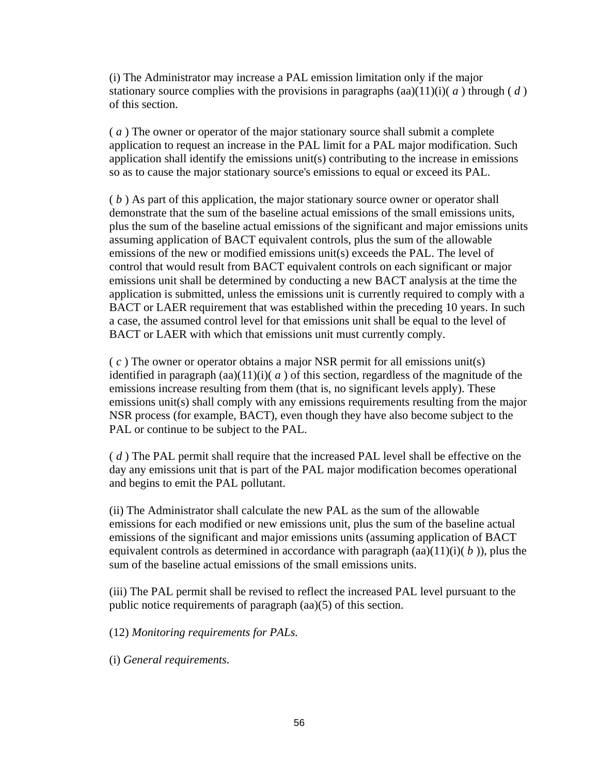(i) The Administrator may increase a PAL emission limitation only if the major stationary source complies with the provisions in paragraphs (aa)(11)(i)( $a$ ) through ( $d$ ) of this section.

( *a* ) The owner or operator of the major stationary source shall submit a complete application to request an increase in the PAL limit for a PAL major modification. Such application shall identify the emissions unit(s) contributing to the increase in emissions so as to cause the major stationary source's emissions to equal or exceed its PAL.

( *b* ) As part of this application, the major stationary source owner or operator shall demonstrate that the sum of the baseline actual emissions of the small emissions units, plus the sum of the baseline actual emissions of the significant and major emissions units assuming application of BACT equivalent controls, plus the sum of the allowable emissions of the new or modified emissions unit(s) exceeds the PAL. The level of control that would result from BACT equivalent controls on each significant or major emissions unit shall be determined by conducting a new BACT analysis at the time the application is submitted, unless the emissions unit is currently required to comply with a BACT or LAER requirement that was established within the preceding 10 years. In such a case, the assumed control level for that emissions unit shall be equal to the level of BACT or LAER with which that emissions unit must currently comply.

( *c* ) The owner or operator obtains a major NSR permit for all emissions unit(s) identified in paragraph  $(aa)(11)(i)(a)$  of this section, regardless of the magnitude of the emissions increase resulting from them (that is, no significant levels apply). These emissions unit(s) shall comply with any emissions requirements resulting from the major NSR process (for example, BACT), even though they have also become subject to the PAL or continue to be subject to the PAL.

( *d* ) The PAL permit shall require that the increased PAL level shall be effective on the day any emissions unit that is part of the PAL major modification becomes operational and begins to emit the PAL pollutant.

(ii) The Administrator shall calculate the new PAL as the sum of the allowable emissions for each modified or new emissions unit, plus the sum of the baseline actual emissions of the significant and major emissions units (assuming application of BACT equivalent controls as determined in accordance with paragraph  $(aa)(11)(i)(b)$ , plus the sum of the baseline actual emissions of the small emissions units.

(iii) The PAL permit shall be revised to reflect the increased PAL level pursuant to the public notice requirements of paragraph (aa)(5) of this section.

(12) *Monitoring requirements for PALs.* 

(i) *General requirements.*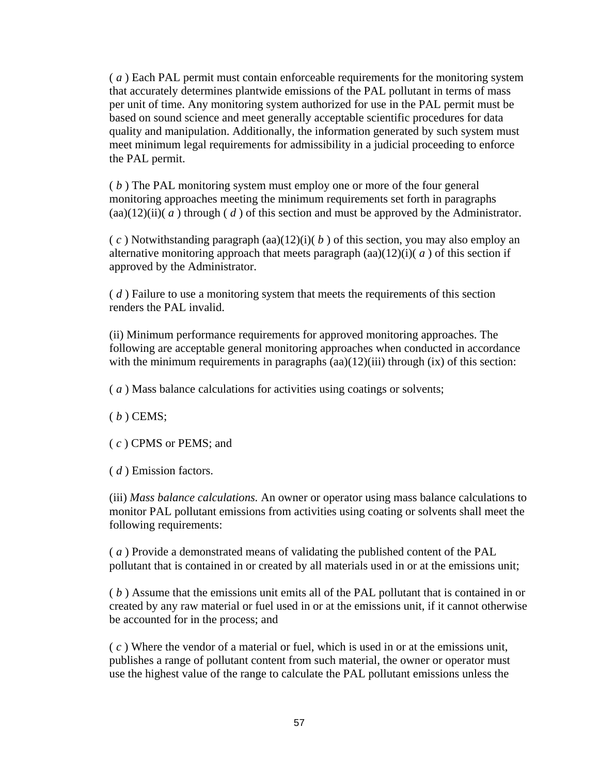( *a* ) Each PAL permit must contain enforceable requirements for the monitoring system that accurately determines plantwide emissions of the PAL pollutant in terms of mass per unit of time. Any monitoring system authorized for use in the PAL permit must be based on sound science and meet generally acceptable scientific procedures for data quality and manipulation. Additionally, the information generated by such system must meet minimum legal requirements for admissibility in a judicial proceeding to enforce the PAL permit.

( *b* ) The PAL monitoring system must employ one or more of the four general monitoring approaches meeting the minimum requirements set forth in paragraphs  $(aa)(12)(ii)$  *a*) through (*d*) of this section and must be approved by the Administrator.

 $(c)$  Notwithstanding paragraph (aa)(12)(i)( *b*) of this section, you may also employ an alternative monitoring approach that meets paragraph  $(aa)(12)(i)(a)$  of this section if approved by the Administrator.

( *d* ) Failure to use a monitoring system that meets the requirements of this section renders the PAL invalid.

(ii) Minimum performance requirements for approved monitoring approaches. The following are acceptable general monitoring approaches when conducted in accordance with the minimum requirements in paragraphs  $(aa)(12)(iii)$  through  $(ix)$  of this section:

( *a* ) Mass balance calculations for activities using coatings or solvents;

( *b* ) CEMS;

( *c* ) CPMS or PEMS; and

( *d* ) Emission factors.

(iii) *Mass balance calculations.* An owner or operator using mass balance calculations to monitor PAL pollutant emissions from activities using coating or solvents shall meet the following requirements:

( *a* ) Provide a demonstrated means of validating the published content of the PAL pollutant that is contained in or created by all materials used in or at the emissions unit;

( *b* ) Assume that the emissions unit emits all of the PAL pollutant that is contained in or created by any raw material or fuel used in or at the emissions unit, if it cannot otherwise be accounted for in the process; and

( *c* ) Where the vendor of a material or fuel, which is used in or at the emissions unit, publishes a range of pollutant content from such material, the owner or operator must use the highest value of the range to calculate the PAL pollutant emissions unless the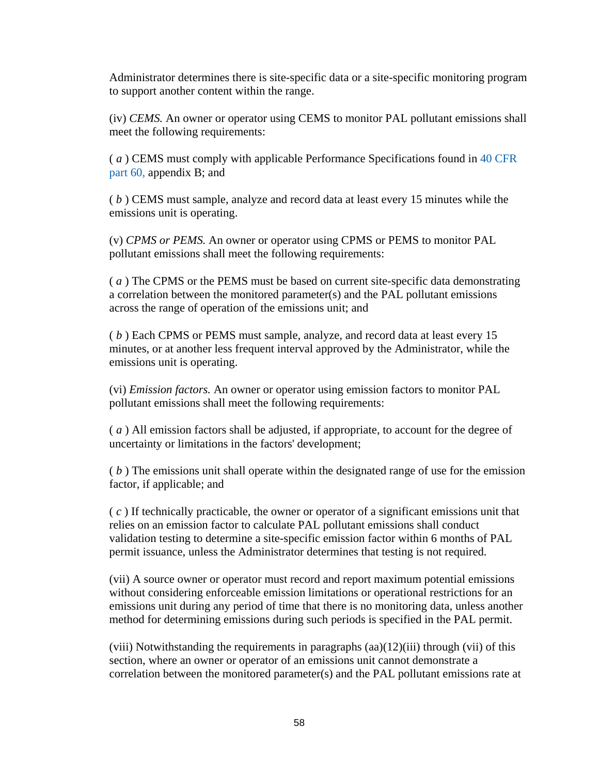Administrator determines there is site-specific data or a site-specific monitoring program to support another content within the range.

(iv) *CEMS.* An owner or operator using CEMS to monitor PAL pollutant emissions shall meet the following requirements:

( *a* ) CEMS must comply with applicable Performance Specifications found in 40 CFR part 60, appendix B; and

( *b* ) CEMS must sample, analyze and record data at least every 15 minutes while the emissions unit is operating.

(v) *CPMS or PEMS.* An owner or operator using CPMS or PEMS to monitor PAL pollutant emissions shall meet the following requirements:

( *a* ) The CPMS or the PEMS must be based on current site-specific data demonstrating a correlation between the monitored parameter(s) and the PAL pollutant emissions across the range of operation of the emissions unit; and

( *b* ) Each CPMS or PEMS must sample, analyze, and record data at least every 15 minutes, or at another less frequent interval approved by the Administrator, while the emissions unit is operating.

(vi) *Emission factors.* An owner or operator using emission factors to monitor PAL pollutant emissions shall meet the following requirements:

( *a* ) All emission factors shall be adjusted, if appropriate, to account for the degree of uncertainty or limitations in the factors' development;

( *b* ) The emissions unit shall operate within the designated range of use for the emission factor, if applicable; and

( *c* ) If technically practicable, the owner or operator of a significant emissions unit that relies on an emission factor to calculate PAL pollutant emissions shall conduct validation testing to determine a site-specific emission factor within 6 months of PAL permit issuance, unless the Administrator determines that testing is not required.

(vii) A source owner or operator must record and report maximum potential emissions without considering enforceable emission limitations or operational restrictions for an emissions unit during any period of time that there is no monitoring data, unless another method for determining emissions during such periods is specified in the PAL permit.

(viii) Notwithstanding the requirements in paragraphs  $(aa)(12)(iii)$  through (vii) of this section, where an owner or operator of an emissions unit cannot demonstrate a correlation between the monitored parameter(s) and the PAL pollutant emissions rate at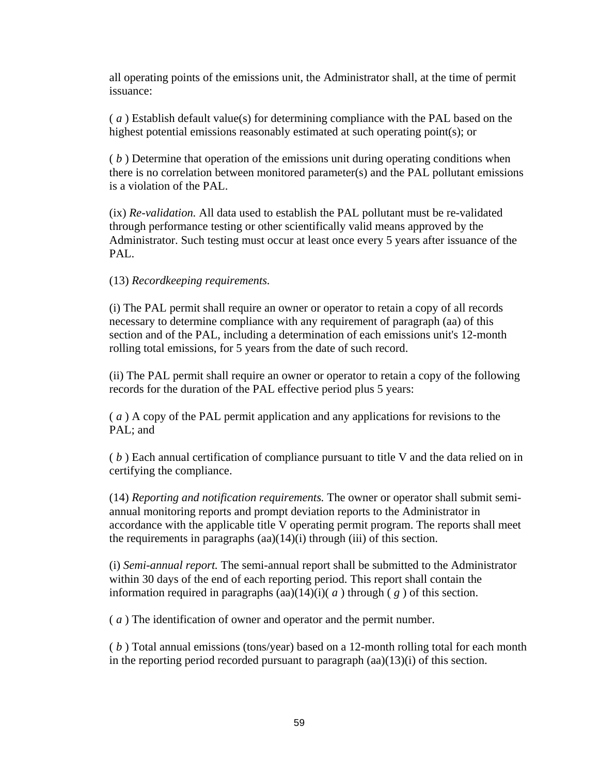all operating points of the emissions unit, the Administrator shall, at the time of permit issuance:

( *a* ) Establish default value(s) for determining compliance with the PAL based on the highest potential emissions reasonably estimated at such operating point(s); or

( *b* ) Determine that operation of the emissions unit during operating conditions when there is no correlation between monitored parameter(s) and the PAL pollutant emissions is a violation of the PAL.

(ix) *Re-validation.* All data used to establish the PAL pollutant must be re-validated through performance testing or other scientifically valid means approved by the Administrator. Such testing must occur at least once every 5 years after issuance of the PAL.

(13) *Recordkeeping requirements.* 

(i) The PAL permit shall require an owner or operator to retain a copy of all records necessary to determine compliance with any requirement of paragraph (aa) of this section and of the PAL, including a determination of each emissions unit's 12-month rolling total emissions, for 5 years from the date of such record.

(ii) The PAL permit shall require an owner or operator to retain a copy of the following records for the duration of the PAL effective period plus 5 years:

( *a* ) A copy of the PAL permit application and any applications for revisions to the PAL; and

( *b* ) Each annual certification of compliance pursuant to title V and the data relied on in certifying the compliance.

(14) *Reporting and notification requirements.* The owner or operator shall submit semiannual monitoring reports and prompt deviation reports to the Administrator in accordance with the applicable title V operating permit program. The reports shall meet the requirements in paragraphs  $(aa)(14)(i)$  through  $(iii)$  of this section.

(i) *Semi-annual report.* The semi-annual report shall be submitted to the Administrator within 30 days of the end of each reporting period. This report shall contain the information required in paragraphs  $(aa)(14)(i)(a)$  through  $(g)$  of this section.

( *a* ) The identification of owner and operator and the permit number.

( *b* ) Total annual emissions (tons/year) based on a 12-month rolling total for each month in the reporting period recorded pursuant to paragraph  $(aa)(13)(i)$  of this section.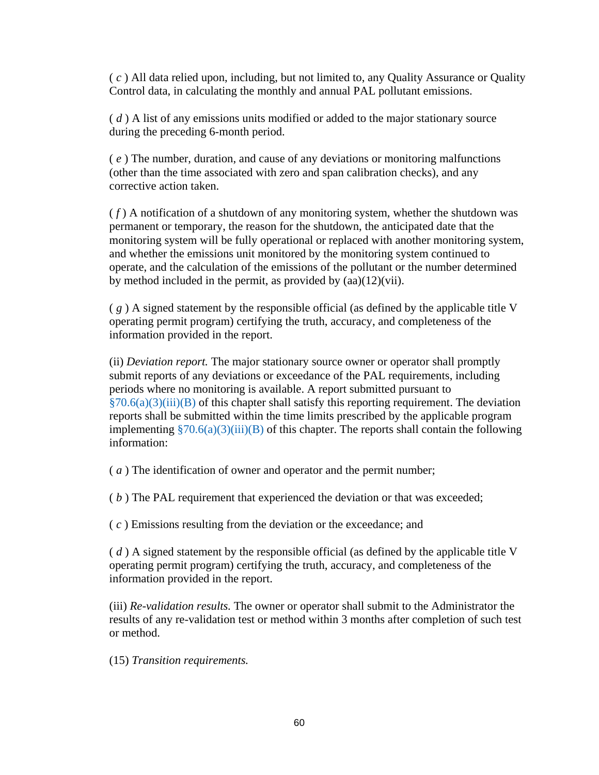( *c* ) All data relied upon, including, but not limited to, any Quality Assurance or Quality Control data, in calculating the monthly and annual PAL pollutant emissions.

( *d* ) A list of any emissions units modified or added to the major stationary source during the preceding 6-month period.

( *e* ) The number, duration, and cause of any deviations or monitoring malfunctions (other than the time associated with zero and span calibration checks), and any corrective action taken.

 $(f)$  A notification of a shutdown of any monitoring system, whether the shutdown was permanent or temporary, the reason for the shutdown, the anticipated date that the monitoring system will be fully operational or replaced with another monitoring system, and whether the emissions unit monitored by the monitoring system continued to operate, and the calculation of the emissions of the pollutant or the number determined by method included in the permit, as provided by (aa)(12)(vii).

 $(g)$  A signed statement by the responsible official (as defined by the applicable title V operating permit program) certifying the truth, accuracy, and completeness of the information provided in the report.

(ii) *Deviation report.* The major stationary source owner or operator shall promptly submit reports of any deviations or exceedance of the PAL requirements, including periods where no monitoring is available. A report submitted pursuant to  $\S70.6(a)(3)(iii)(B)$  of this chapter shall satisfy this reporting requirement. The deviation reports shall be submitted within the time limits prescribed by the applicable program implementing  $\S 70.6(a)(3)(iii)(B)$  of this chapter. The reports shall contain the following information:

( *a* ) The identification of owner and operator and the permit number;

( *b* ) The PAL requirement that experienced the deviation or that was exceeded;

( *c* ) Emissions resulting from the deviation or the exceedance; and

( *d* ) A signed statement by the responsible official (as defined by the applicable title V operating permit program) certifying the truth, accuracy, and completeness of the information provided in the report.

(iii) *Re-validation results.* The owner or operator shall submit to the Administrator the results of any re-validation test or method within 3 months after completion of such test or method.

(15) *Transition requirements.*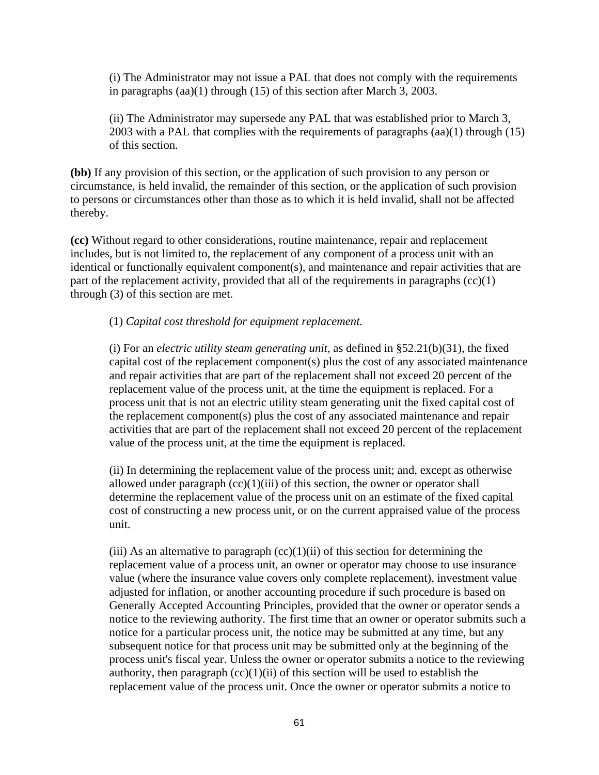(i) The Administrator may not issue a PAL that does not comply with the requirements in paragraphs (aa)(1) through (15) of this section after March 3, 2003.

(ii) The Administrator may supersede any PAL that was established prior to March 3, 2003 with a PAL that complies with the requirements of paragraphs (aa)(1) through (15) of this section.

**(bb)** If any provision of this section, or the application of such provision to any person or circumstance, is held invalid, the remainder of this section, or the application of such provision to persons or circumstances other than those as to which it is held invalid, shall not be affected thereby.

**(cc)** Without regard to other considerations, routine maintenance, repair and replacement includes, but is not limited to, the replacement of any component of a process unit with an identical or functionally equivalent component(s), and maintenance and repair activities that are part of the replacement activity, provided that all of the requirements in paragraphs  $(cc)(1)$ through (3) of this section are met.

## (1) *Capital cost threshold for equipment replacement.*

(i) For an *electric utility steam generating unit,* as defined in §52.21(b)(31), the fixed capital cost of the replacement component(s) plus the cost of any associated maintenance and repair activities that are part of the replacement shall not exceed 20 percent of the replacement value of the process unit, at the time the equipment is replaced. For a process unit that is not an electric utility steam generating unit the fixed capital cost of the replacement component(s) plus the cost of any associated maintenance and repair activities that are part of the replacement shall not exceed 20 percent of the replacement value of the process unit, at the time the equipment is replaced.

(ii) In determining the replacement value of the process unit; and, except as otherwise allowed under paragraph  $(cc)(1)(iii)$  of this section, the owner or operator shall determine the replacement value of the process unit on an estimate of the fixed capital cost of constructing a new process unit, or on the current appraised value of the process unit.

(iii) As an alternative to paragraph  $(cc)(1)(ii)$  of this section for determining the replacement value of a process unit, an owner or operator may choose to use insurance value (where the insurance value covers only complete replacement), investment value adjusted for inflation, or another accounting procedure if such procedure is based on Generally Accepted Accounting Principles, provided that the owner or operator sends a notice to the reviewing authority. The first time that an owner or operator submits such a notice for a particular process unit, the notice may be submitted at any time, but any subsequent notice for that process unit may be submitted only at the beginning of the process unit's fiscal year. Unless the owner or operator submits a notice to the reviewing authority, then paragraph  $(cc)(1)(ii)$  of this section will be used to establish the replacement value of the process unit. Once the owner or operator submits a notice to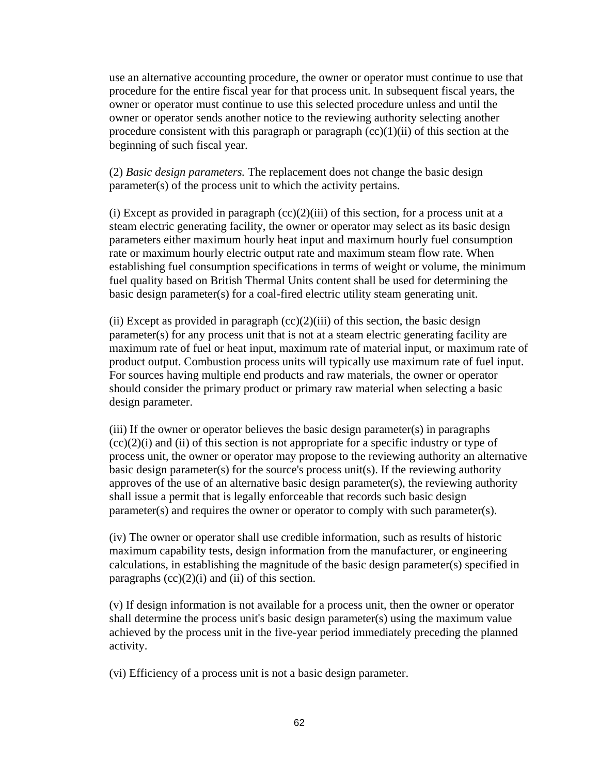use an alternative accounting procedure, the owner or operator must continue to use that procedure for the entire fiscal year for that process unit. In subsequent fiscal years, the owner or operator must continue to use this selected procedure unless and until the owner or operator sends another notice to the reviewing authority selecting another procedure consistent with this paragraph or paragraph  $(cc)(1)(ii)$  of this section at the beginning of such fiscal year.

(2) *Basic design parameters.* The replacement does not change the basic design parameter(s) of the process unit to which the activity pertains.

(i) Except as provided in paragraph  $(cc)(2)(iii)$  of this section, for a process unit at a steam electric generating facility, the owner or operator may select as its basic design parameters either maximum hourly heat input and maximum hourly fuel consumption rate or maximum hourly electric output rate and maximum steam flow rate. When establishing fuel consumption specifications in terms of weight or volume, the minimum fuel quality based on British Thermal Units content shall be used for determining the basic design parameter(s) for a coal-fired electric utility steam generating unit.

(ii) Except as provided in paragraph  $(cc)(2)$ (iii) of this section, the basic design parameter(s) for any process unit that is not at a steam electric generating facility are maximum rate of fuel or heat input, maximum rate of material input, or maximum rate of product output. Combustion process units will typically use maximum rate of fuel input. For sources having multiple end products and raw materials, the owner or operator should consider the primary product or primary raw material when selecting a basic design parameter.

(iii) If the owner or operator believes the basic design parameter(s) in paragraphs  $(cc)(2)(i)$  and (ii) of this section is not appropriate for a specific industry or type of process unit, the owner or operator may propose to the reviewing authority an alternative basic design parameter(s) for the source's process unit(s). If the reviewing authority approves of the use of an alternative basic design parameter(s), the reviewing authority shall issue a permit that is legally enforceable that records such basic design parameter(s) and requires the owner or operator to comply with such parameter(s).

(iv) The owner or operator shall use credible information, such as results of historic maximum capability tests, design information from the manufacturer, or engineering calculations, in establishing the magnitude of the basic design parameter(s) specified in paragraphs  $(cc)(2)(i)$  and  $(ii)$  of this section.

(v) If design information is not available for a process unit, then the owner or operator shall determine the process unit's basic design parameter(s) using the maximum value achieved by the process unit in the five-year period immediately preceding the planned activity.

(vi) Efficiency of a process unit is not a basic design parameter.